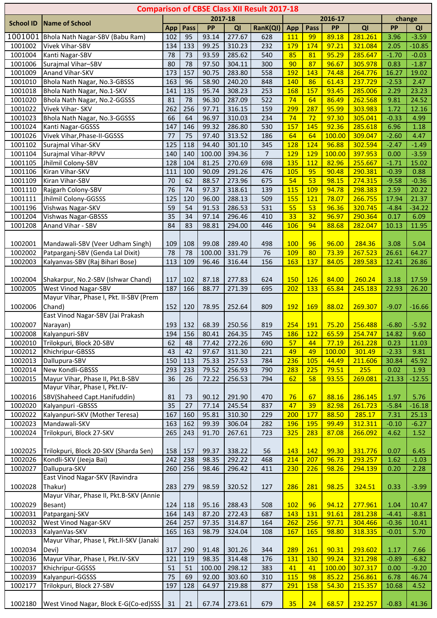|                    |                                                                      |                 |           |                 |                  | <b>Comparison of CBSE Class XII Result 2017-18</b> |                   |            |                |                    |                 |                     |
|--------------------|----------------------------------------------------------------------|-----------------|-----------|-----------------|------------------|----------------------------------------------------|-------------------|------------|----------------|--------------------|-----------------|---------------------|
| <b>School ID</b>   | <b>Name of School</b>                                                |                 |           | 2017-18         |                  |                                                    |                   |            | 2016-17        |                    |                 | change              |
|                    |                                                                      | App             | Pass      | PP              | QI               | RanK(QI)                                           | App               | Pass       | PP             | QI                 | PP              | QI                  |
| 1001001            | Bhola Nath Nagar-SBV (Babu Ram)                                      | 102             | 95        | 93.14           | 277.67           | 628                                                | <b>111</b>        | 99         | 89.18          | 281.261            | 3.96            | $-3.59$             |
| 1001002<br>1001004 | Vivek Vihar-SBV<br>Kanti Nagar-SBV                                   | 134<br>78       | 133<br>73 | 99.25<br>93.59  | 310.23<br>285.62 | 232<br>540                                         | 179<br>85         | 174<br>81  | 97.21<br>95.29 | 321.084<br>285.647 | 2.05<br>$-1.70$ | $-10.85$<br>$-0.03$ |
| 1001006            | Surajmal Vihar-SBV                                                   | 80              | 78        | 97.50           | 304.11           | 300                                                | 90                | 87         | 96.67          | 305.978            | 0.83            | $-1.87$             |
| 1001009            | Anand Vihar-SKV                                                      | 173             | 157       | 90.75           | 283.80           | 558                                                | 192               | 143        | 74.48          | 264.776            | 16.27           | 19.02               |
| 1001010            | Bhola Nath Nagar, No.3-GBSSS                                         | 163             | 96        | 58.90           | 240.20           | 848                                                | 140               | 86         | 61.43          | 237.729            | $-2.53$         | 2.47                |
| 1001018            | Bhola Nath Nagar, No.1-SKV                                           | 141             | 135       | 95.74           | 308.23           | 253                                                | 168               | 157        | 93.45          | 285.006            | 2.29            | 23.23               |
| 1001020            | Bhola Nath Nagar, No.2-GGSSS                                         | 81              | 78        | 96.30           | 287.09           | 522                                                | 74                | 64         | 86.49          | 262.568            | 9.81            | 24.52               |
| 1001022            | Vivek Vihar- SKV                                                     | 262             | 256       | 97.71           | 316.15           | 159                                                | 299               | 287        | 95.99          | 303.983            | 1.72            | 12.16               |
| 1001023            | Bhola Nath Nagar, No.3-GGSSS                                         | 66              | 64        | 96.97           | 310.03           | 234                                                | 74                | 72         | 97.30          | 305.041            | $-0.33$         | 4.99                |
| 1001024            | Kanti Nagar-GGSSS                                                    | 147             | 146       | 99.32           | 286.80           | 530                                                | 157               | 145        | 92.36          | 285.618            | 6.96            | 1.18                |
| 1001026            | Vivek Vihar, Phase-II-GGSSS                                          | 77              | 75        | 97.40           | 313.52           | 186                                                | 64                | 64         | 100.00         | 309.047            | $-2.60$         | 4.47                |
| 1001102            | Surajmal Vihar-SKV                                                   | 125             | 118       | 94.40           | 301.10           | 345                                                | 128               | 124        | 96.88          | 302.594            | $-2.47$         | $-1.49$             |
| 1001104            | Surajmal Vihar-RPVV                                                  | 140             | 140       | 100.00          | 394.36           | $\overline{7}$                                     | 129               | 129        | 100.00         | 397.953            | 0.00            | $-3.59$             |
| 1001105            | Jhilmil Colony-SBV                                                   | 128             | 104       | 81.25           | 270.69           | 698                                                | 135               | 112        | 82.96          | 255.667            | $-1.71$         | 15.02               |
| 1001106            | Kiran Vihar-SKV                                                      | 111             | 100       | 90.09           | 291.26           | 476                                                | 105               | 95         | 90.48          | 290.381            | $-0.39$         | 0.88                |
| 1001109            | Kiran Vihar-SBV                                                      | 70              | 62        | 88.57           | 273.96           | 675                                                | 54                | 53         | 98.15          | 274.315            | $-9.58$         | $-0.36$             |
| 1001110            | Rajgarh Colony-SBV                                                   | 76              | 74        | 97.37           | 318.61           | 139                                                | 115               | 109        | 94.78          | 298.383            | 2.59            | 20.22               |
| 1001111            | Jhilmil Colony-GGSSS                                                 | 125             | 120       | 96.00           | 288.13           | 509                                                | <b>155</b>        | 121        | 78.07          | 266.755            | 17.94           | 21.37               |
| 1001196            | Vishwas Nagar-SKV                                                    | 59              | 54        | 91.53           | 286.53           | 531                                                | 55                | 53         | 96.36          | 320.745            | $-4.84$         | $-34.22$            |
| 1001204            | <b>Vishwas Nagar-GBSSS</b>                                           | $\overline{35}$ | 34        | 97.14           | 296.46           | 410                                                | 33                | 32         | 96.97          | 290.364            | 0.17            | 6.09                |
| 1001208            | Anand Vihar - SBV                                                    | 84              | 83        | 98.81           | 294.00           | 446                                                | <b>106</b>        | 94         | 88.68          | 282.047            | 10.13           | 11.95               |
|                    |                                                                      |                 |           |                 |                  |                                                    |                   |            |                | 284.36             |                 |                     |
| 1002001<br>1002002 | Mandawali-SBV (Veer Udham Singh)<br>Patparganj-SBV (Genda Lal Dixit) | 109<br>78       | 108<br>78 | 99.08<br>100.00 | 289.40<br>331.79 | 498<br>76                                          | <b>100</b><br>109 | 96<br>80   | 96.00<br>73.39 | 267.523            | 3.08<br>26.61   | 5.04<br>64.27       |
| 1002003            | Kalyanvas-SBV (Raj Bihari Bose)                                      | 113             | 109       | 96.46           | 316.44           | 156                                                | 163               | 137        | 84.05          | 289.583            | 12.41           | 26.86               |
|                    |                                                                      |                 |           |                 |                  |                                                    |                   |            |                |                    |                 |                     |
| 1002004            | Shakarpur, No.2-SBV (Ishwar Chand)                                   | 117             | 102       | 87.18           | 277.83           | 624                                                | <b>150</b>        | 126        | 84.00          | 260.24             | 3.18            | 17.59               |
| 1002005            | West Vinod Nagar-SBV                                                 | 187             | 166       | 88.77           | 271.39           | 695                                                | 202               | 133        | 65.84          | 245.183            | 22.93           | 26.20               |
|                    | Mayur Vihar, Phase I, Pkt. II-SBV (Prem                              |                 |           |                 |                  |                                                    |                   |            |                |                    |                 |                     |
| 1002006            | Chand)                                                               | 152             | 120       | 78.95           | 252.64           | 809                                                | <b>192</b>        | <b>169</b> | 88.02          | 269.307            | $-9.07$         | $-16.66$            |
|                    | East Vinod Nagar-SBV (Jai Prakash                                    |                 |           |                 |                  |                                                    |                   |            |                |                    |                 |                     |
| 1002007            | Narayan)                                                             | 193             | 132       | 68.39           | 250.56           | 819                                                | 254               | <b>191</b> | 75.20          | 256.488            | $-6.80$         | $-5.92$             |
| 1002008            | Kalyanpuri-SBV                                                       | 194             | 156       | 80.41           | 264.35           | 745                                                | 186               | 122        | 65.59          | 254.747            | 14.82           | 9.60                |
| 1002010            | Trilokpuri, Block 20-SBV                                             | 62              | 48        | 77.42           | 272.26           | 690                                                | 57                | 44         | 77.19          | 261.228            | 0.23            | 11.03               |
| 1002012            | Khichripur-GBSSS                                                     | 43              | 42        | 97.67           | 311.30           | 221                                                | 49                | 49         | 100.00         | 301.49             | $-2.33$         | 9.81                |
| 1002013            | Dallupura-SBV                                                        | 150             | 113       | 75.33           | 257.53           | 784                                                | 236               | 105        | 44.49          | 211.606            | 30.84           | 45.92               |
| 1002014            | New Kondli-GBSSS                                                     | 293             | 233       | 79.52           | 256.93           | 790                                                | 283               | 225        | 79.51          | 255                | 0.02            | 1.93                |
| 1002015            | Mayur Vihar, Phase II, Pkt.B-SBV                                     | 36              | 26        | 72.22           | 256.53           | 794                                                | 62                | 58         | 93.55          | 269.081            | $-21.33$        | $-12.55$            |
|                    | Mayur Vihar, Phase I, Pkt.IV-                                        |                 |           |                 |                  |                                                    |                   |            |                |                    |                 |                     |
| 1002016            | SBV(Shaheed Capt.Hanifuddin)                                         | 81              | 73        | 90.12           | 291.90           | 470                                                | 76                | 67         | 88.16          | 286.145            | 1.97            | 5.76                |
| 1002020            | Kalyanpuri - GBSSS                                                   | 35              | 27        | 77.14           | 245.54           | 837                                                | 47                | 39         | 82.98          | 261.723            | $-5.84$         | $-16.18$            |
| 1002022            | Kalyanpuri-SKV (Mother Teresa)                                       | 167             | 160       | 95.81           | 310.30           | 229                                                | 200               | 177        | 88.50          | 285.17             | 7.31            | 25.13               |
| 1002023            | Mandawali-SKV                                                        | 163             | 162       | 99.39           | 306.04           | 282                                                | <b>196</b>        | 195        | 99.49          | 312.311            | $-0.10$         | $-6.27$             |
| 1002024            | Trilokpuri, Block 27-SKV                                             | 265             | 243       | 91.70           | 267.61           | 723                                                | 325               | 283        | 87.08          | 266.092            | 4.62            | 1.52                |
| 1002025            | Trilokpuri, Block 20-SKV (Sharda Sen)                                | 158             | 157       | 99.37           | 338.22           | 56                                                 | 143               | 142        | 99.30          | 331.776            | 0.07            | 6.45                |
| 1002026            | Kondli-SKV (Jeeja Bai)                                               | 242             | 238       | 98.35           | 292.22           | 468                                                | 214               | 207        | 96.73          | 293.257            | 1.62            | $-1.03$             |
| 1002027            | Dallupura-SKV                                                        | 260             | 256       | 98.46           | 296.42           | 411                                                | 230               | 226        | 98.26          | 294.139            | 0.20            | 2.28                |
|                    | East Vinod Nagar-SKV (Ravindra                                       |                 |           |                 |                  |                                                    |                   |            |                |                    |                 |                     |
| 1002028            | Thakur)                                                              | 283             | 279       | 98.59           | 320.52           | 127                                                | 286               | 281        | 98.25          | 324.51             | 0.33            | $-3.99$             |
|                    | Mayur Vihar, Phase II, Pkt.B-SKV (Annie                              |                 |           |                 |                  |                                                    |                   |            |                |                    |                 |                     |
| 1002029            | Besant)                                                              | 124             | 118       | 95.16           | 288.43           | 508                                                | 102               | 96         | 94.12          | 277.961            | 1.04            | 10.47               |
| 1002031            | Patparganj-SKV                                                       | 164             | 143       | 87.20           | 272.43           | 687                                                | 143               | 131        | 91.61          | 281.238            | $-4.41$         | $-8.81$             |
| 1002032            | West Vinod Nagar-SKV                                                 | 264             | 257       | 97.35           | 314.87           | 164                                                | 262               | 256        | 97.71          | 304.466            | $-0.36$         | 10.41               |
| 1002033            | KalyanVas-SKV                                                        | 165             | 163       | 98.79           | 324.04           | 108                                                | 167               | <b>165</b> | 98.80          | 318.335            | $-0.01$         | 5.70                |
|                    | Mayur Vihar, Phase I, Pkt.II-SKV (Janaki                             |                 |           |                 |                  |                                                    |                   |            |                |                    |                 |                     |
| 1002034            | Devi)                                                                | 317             | 290       | 91.48           | 301.26           | 344                                                | 289               | 261        | 90.31          | 293.602            | 1.17            | 7.66                |
| 1002036            | Mayur Vihar, Phase I, Pkt.IV-SKV                                     | 121             | 119       | 98.35           | 314.48           | 176                                                | 131               | 130        | 99.24          | 321.298            | $-0.89$         | $-6.82$             |
| 1002037            | Khichripur-GGSSS                                                     | 51              | 51        | 100.00          | 298.12           | 383                                                | 41                | 41         | 100.00         | 307.317            | 0.00            | $-9.20$             |
| 1002039            | Kalyanpuri-GGSSS                                                     | $\overline{75}$ | 69        | 92.00           | 303.60           | 310                                                | 115               | 98         | 85.22          | 256.861            | 6.78            | 46.74               |
| 1002177            | Trilokpuri, Block 27-SBV                                             | 197             | 128       | 64.97           | 219.88           | 877                                                | 291               | 158        | 54.30          | 215.357            | 10.68           | 4.52                |
| 1002180            | West Vinod Nagar, Block E-G(Co-ed)SSS 31                             |                 | 21        | 67.74           | 273.61           | 679                                                | 35                | 24         | 68.57          | 232.257            | $-0.83$         | 41.36               |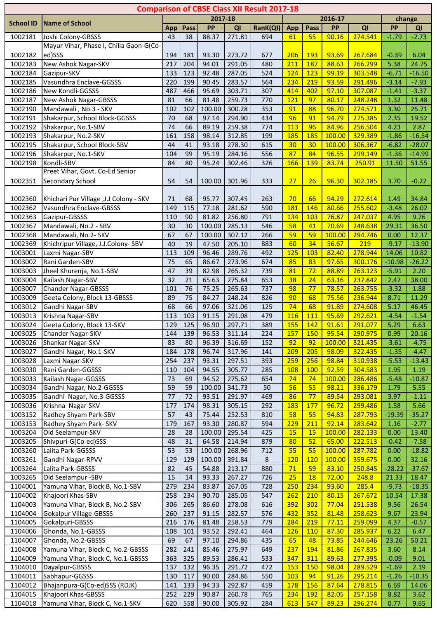|                    |                                          |            |            |                |                  | <b>Comparison of CBSE Class XII Result 2017-18</b> |                   |                   |                 |                    |                 |                   |
|--------------------|------------------------------------------|------------|------------|----------------|------------------|----------------------------------------------------|-------------------|-------------------|-----------------|--------------------|-----------------|-------------------|
| <b>School ID</b>   | <b>Name of School</b>                    |            |            | 2017-18        |                  |                                                    |                   |                   | 2016-17         |                    |                 | change            |
|                    |                                          | App        | Pass       | <b>PP</b>      | QI               | RanK(QI)                                           | App               | Pass              | PP              | QI                 | PP              | QI                |
| 1002181            | Joshi Colony-GBSSS                       | 43         | 38         | 88.37          | 271.81           | 694                                                | 61                | 55                | 90.16           | 274.541            | $-1.79$         | $-2.73$           |
|                    | Mayur Vihar, Phase I, Chilla Gaon-G(Co-  |            |            |                |                  |                                                    |                   |                   |                 |                    |                 |                   |
| 1002182            | ed)SSS                                   | 194        | 181        | 93.30          | 273.72           | 677                                                | 206               | <b>193</b>        | 93.69           | 267.684            | $-0.39$         | 6.04              |
| 1002183<br>1002184 | New Ashok Nagar-SKV<br>Gazipur-SKV       | 217<br>133 | 204<br>123 | 94.01<br>92.48 | 291.05<br>287.05 | 480<br>524                                         | 211<br>124        | 187<br>123        | 88.63<br>99.19  | 266.299<br>303.548 | 5.38<br>$-6.71$ | 24.75<br>$-16.50$ |
| 1002185            | Vasundhra Enclave-GGSSS                  | 220        | 199        | 90.45          | 283.57           | 564                                                | 234               | 219               | 93.59           | 291.496            | $-3.14$         | $-7.93$           |
| 1002186            | New Kondli-GGSSS                         | 487        | 466        | 95.69          | 303.71           | 307                                                | 414               | 402               | 97.10           | 307.087            | $-1.41$         | $-3.37$           |
| 1002187            | New Ashok Nagar-GBSSS                    | 81         | 66         | 81.48          | 259.73           | 770                                                | 121               | 97                | 80.17           | 248.248            | 1.32            | 11.48             |
| 1002190            | Mandawali, No.3 - SKV                    | 102        | 102        | 100.00         | 300.28           | 353                                                | 91                | 88                | 96.70           | 274.571            | 3.30            | 25.71             |
| 1002191            | Shakarpur, School Block-GGSSS            | 70         | 68         | 97.14          | 294.90           | 434                                                | 96                | 91                | 94.79           | 275.385            | 2.35            | 19.52             |
| 1002192            | Shakarpur, No.1-SBV                      | 74         | 66         | 89.19          | 259.38           | 774                                                | 113               | 96                | 84.96           | 256.504            | 4.23            | 2.87              |
| 1002193            | Shakarpur, No.2-SKV                      | 161        | 158        | 98.14          | 312.85           | 199                                                | 185               | 185               | 100.00          | 329.389            | $-1.86$         | $-16.54$          |
| 1002195            | Shakarpur, School Block-SBV              | 44         | 41         | 93.18          | 278.30           | 615                                                | 30                | 30                | 100.00          | 306.367            | $-6.82$         | $-28.07$          |
| 1002196            | Shakarpur, No.1-SKV                      | 104        | 99         | 95.19          | 284.16           | 556                                                | 87                | 84                | 96.55           | 299.149            | $-1.36$         | $-14.99$          |
| 1002198            | Kondli-SBV                               | 84         | 80         | 95.24          | 302.46           | 326                                                | 166               | 139               | 83.74           | 250.91             | 11.50           | 51.55             |
|                    | Preet Vihar, Govt. Co-Ed Senior          |            |            |                |                  |                                                    |                   |                   |                 |                    |                 |                   |
| 1002351            | Secondary School                         | 54         | 54         | 100.00         | 301.96           | 333                                                | 27                | 26                | 96.30           | 302.185            | 3.70            | $-0.22$           |
|                    |                                          |            |            |                |                  |                                                    |                   |                   |                 |                    |                 |                   |
| 1002360<br>1002362 | Khichari Pur Village , J.J Colony - SKV  | 71<br>149  | 68<br>115  | 95.77<br>77.18 | 307.45<br>281.62 | 263<br>590                                         | 70<br>181         | 66<br>146         | 94.29<br>80.66  | 272.614<br>255.602 | 1.49<br>$-3.48$ | 34.84             |
| 1002363            | Vasundhra Enclave-GBSSS<br>Gazipur-GBSSS | 110        | 90         | 81.82          | 256.80           | 791                                                | 134               | 103               | 76.87           | 247.037            | 4.95            | 26.02<br>9.76     |
| 1002367            | Mandawali, No.2 - SBV                    | 30         | 30         | 100.00         | 285.13           | 546                                                | 58                | 41                | 70.69           | 248.638            | 29.31           | 36.50             |
| 1002368            | Mandawali, No.2- SKV                     | 67         | 67         | 100.00         | 307.12           | 266                                                | 59                | 59                | 100.00          | 294.746            | 0.00            | 12.37             |
| 1002369            | Khichripur Village, J.J.Colony-SBV       | 40         | 19         | 47.50          | 205.10           | 883                                                | 60                | 34                | 56.67           | 219                | $-9.17$         | $-13.90$          |
| 1003001            | Laxmi Nagar-SBV                          | 113        | 109        | 96.46          | 289.76           | 492                                                | 125               | 103               | 82.40           | 278.944            | 14.06           | 10.82             |
| 1003002            | Rani Garden-SBV                          | 75         | 65         | 86.67          | 273.96           | 674                                                | 85                | 83                | 97.65           | 300.176            | $-10.98$        | $-26.22$          |
| 1003003            | Jheel Khurenja, No.1-SBV                 | 47         | 39         | 82.98          | 265.32           | 739                                                | 81                | 72                | 88.89           | 263.123            | $-5.91$         | 2.20              |
| 1003004            | Kailash Nagar-SBV                        | 32         | 21         | 65.63          | 275.84           | 653                                                | 38                | 24                | 63.16           | 237.842            | 2.47            | 38.00             |
| 1003007            | <b>Chander Nagar-GBSSS</b>               | 101        | 76         | 75.25          | 265.63           | 737                                                | 98                | 77                | 78.57           | 263.755            | $-3.32$         | 1.88              |
| 1003009            | Geeta Colony, Block 13-GBSSS             | 89         | 75         | 84.27          | 248.24           | 826                                                | 90                | 68                | 75.56           | 236.944            | 8.71            | 11.29             |
| 1003012            | Gandhi Nagar-SBV                         | 68         | 66         | 97.06          | 321.06           | 125                                                | 74                | 68                | 91.89           | 274.608            | 5.17            | 46.45             |
| 1003013            | Krishna Nagar-SBV                        | 113        | 103        | 91.15          | 291.08           | 479                                                | 116               | 111               | 95.69           | 292.621            | $-4.54$         | $-1.54$           |
| 1003024            | Geeta Colony, Block 13-SKV               | 129        | 125        | 96.90          | 297.71           | 389                                                | 155               | 142               | 91.61           | 291.077            | 5.29            | 6.63              |
| 1003025            | Chander Nagar-SKV                        | 144        | 139        | 96.53          | 311.14           | 224                                                | <b>157</b>        | <b>150</b>        | 95.54           | 290.975            | 0.99            | 20.16             |
| 1003026            | Shankar Nagar-SKV                        | 83         | 80         | 96.39          | 316.69           | 152                                                | 92                | 92                | 100.00          | 321.435            | $-3.61$         | $-4.75$           |
| 1003027            | Gandhi Nagar, No.1-SKV                   | 184        | 178        | 96.74          | 317.96           | 141                                                | 209               | 205               | 98.09           | 322.435            | $-1.35$         | $-4.47$           |
| 1003028            | Laxmi Nagar-SKV                          | 254        | 237        | 93.31          | 297.51           | 393                                                | 259               | 256               | 98.84           | 310.938            | $-5.53$         | $-13.43$          |
| 1003030<br>1003033 | Rani Garden-GGSSS<br>Kailash Nagar-GGSSS | 110<br>73  | 104<br>69  | 94.55<br>94.52 | 305.77<br>275.62 | 285<br>654                                         | 108<br>74         | <b>100</b><br>74  | 92.59<br>100.00 | 304.583<br>286.486 | 1.95<br>$-5.48$ | 1.19<br>$-10.87$  |
| 1003034            | Gandhi Nagar, No.2-GGSSS                 | 59         | 59         | 100.00         | 341.73           | 50                                                 | 56                | 55                | 98.21           | 336.179            | 1.79            | 5.55              |
| 1003035            | Gandhi Nagar, No.3-GGSSS                 | 77         | 72         | 93.51          | 291.97           | 469                                                | 86                | 77                | 89.54           | 293.081            | 3.97            | $-1.11$           |
| 1003036            | Krishna Nagar-SKV                        | 177        | 174        | 98.31          | 305.15           | 292                                                | 183               | 177               | 96.72           | 299.486            | 1.58            | 5.66              |
| 1003152            | Radhey Shyam Park-SBV                    | 57         | 43         | 75.44          | 252.53           | 810                                                | 58                | 55                | 94.83           | 287.793            | $-19.39$        | $-35.27$          |
| 1003153            | Radhey Shyam Park- SKV                   | 179        | 167        | 93.30          | 280.87           | 594                                                | 229               | 211               | 92.14           | 283.642            | 1.16            | $-2.77$           |
| 1003204            | Old Seelampur-SKV                        | 28         | 28         | 100.00         | 295.54           | 425                                                | 15                | 15                | 100.00          | 282.133            | 0.00            | 13.40             |
| 1003205            | Shivpuri-G(Co-ed)SSS                     | 48         | 31         | 64.58          | 214.94           | 879                                                | 80                | 52                | 65.00           | 222.513            | $-0.42$         | $-7.58$           |
| 1003260            | Lalita Park-GGSSS                        | 53         | 53         | 100.00         | 268.96           | 712                                                | 55                | 55                | 100.00          | 287.782            | 0.00            | $-18.82$          |
| 1003261            | Gandhi Nagar-RPVV                        | 129        | 129        | 100.00         | 391.84           | 8                                                  | 120               | 120               | 100.00          | 359.675            | 0.00            | 32.16             |
| 1003264            | Lalita Park-GBSSS                        | 82         | 45         | 54.88          | 213.17           | 880                                                | 71                | 59                | 83.10           | 250.845            | $-28.22$        | $-37.67$          |
| 1003265            | Old Seelampur -SBV                       | 15         | 14         | 93.33          | 267.27           | 726                                                | 25                | 18                | 72.00           | 248.8              | 21.33           | 18.47             |
| 1104001            | Yamuna Vihar, Block B, No.1-SBV          | 279        | 234        | 83.87          | 267.05           | 728                                                | 250               | 234               | 93.60           | 285.4              | $-9.73$         | $-18.35$          |
| 1104002            | Khajoori Khas-SBV                        | 258        | 234        | 90.70          | 285.05           | 547                                                | 262               | 210               | 80.15           | 267.672            | 10.54           | 17.38             |
| 1104003            | Yamuna Vihar, Block B, No.2-SBV          | 306        | 265        | 86.60          | 278.08           | 616                                                | 392               | 302               | 77.04           | 251.538            | 9.56            | 26.54             |
| 1104004            | <b>Gokalpur Village-GBSSS</b>            | 260        | 237        | 91.15          | 282.57           | 576                                                | 432               | 352               | 81.48           | 258.623            | 9.67            | 23.94             |
| 1104005<br>1104006 | Gokalpuri-GBSSS<br>Ghonda, No.1-GBSSS    | 216<br>108 | 176        | 81.48          | 258.53<br>292.41 | 779<br>464                                         | 284<br><b>126</b> | 219<br><b>110</b> | 77.11<br>87.30  | 259.099<br>285.937 | 4.37<br>6.22    | $-0.57$<br>6.47   |
| 1104007            | Ghonda, No.2-GBSSS                       | 69         | 101<br>67  | 93.52<br>97.10 | 294.86           | 435                                                | 65                | 48                | 73.85           | 244.646            | 23.26           | 50.21             |
| 1104008            | Yamuna Vihar, Block C, No.2-GBSSS        | 282        | 241        | 85.46          | 275.97           | 649                                                | 237               | 194               | 81.86           | 267.835            | 3.60            | 8.14              |
| 1104009            | Yamuna Vihar, Block C, No.1-GBSSS        | 363        | 325        | 89.53          | 286.41           | 533                                                | 347               | 311               | 89.63           | 277.395            | $-0.09$         | 9.01              |
| 1104010            | Dayalpur-GBSSS                           | 137        | 132        | 96.35          | 291.72           | 472                                                | 153               | <b>150</b>        | 98.04           | 289.529            | $-1.69$         | 2.19              |
| 1104011            | Sabhapur-GGSSS                           | 130        | 117        | 90.00          | 284.86           | 550                                                | 103               | 94                | 91.26           | 295.214            | $-1.26$         | $-10.35$          |
| 1104012            | Bhajanpura-G(Co-ed)SSS (RDJK)            | 141        | 133        | 94.33          | 292.87           | 459                                                | 178               | 156               | 87.64           | 278.815            | 6.69            | 14.06             |
| 1104015            | Khajoori Khas-GBSSS                      | 252        | 229        | 90.87          | 260.78           | 765                                                | 234               | <b>192</b>        | 82.05           | 257.158            | 8.82            | 3.62              |
| 1104018            | Yamuna Vihar, Block C, No.1-SKV          | 620        | 558        | 90.00          | 305.92           | 284                                                | 613               | 547               | 89.23           | 296.274            | 0.77            | 9.65              |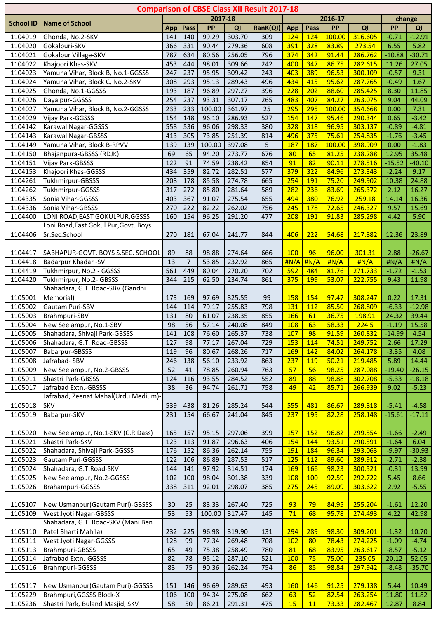|                  |                                                              |                 |                |         |        | <b>Comparison of CBSE Class XII Result 2017-18</b> |                   |                   |                |                    |                    |          |
|------------------|--------------------------------------------------------------|-----------------|----------------|---------|--------|----------------------------------------------------|-------------------|-------------------|----------------|--------------------|--------------------|----------|
| <b>School ID</b> | Name of School                                               |                 |                | 2017-18 |        |                                                    |                   |                   | 2016-17        |                    |                    | change   |
|                  |                                                              | App             | Pass           | PP      | QI     | RanK(QI)                                           | App               | Pass              | PP             | QI                 | PP                 | QI       |
| 1104019          | Ghonda, No.2-SKV                                             | 141             | 140            | 99.29   | 303.70 | 309                                                | 124               | 124               | 100.00         | 316.605            | $-0.71$            | $-12.91$ |
| 1104020          | Gokalpuri-SKV                                                | 366             | 331            | 90.44   | 279.36 | 608                                                | 391               | 328               | 83.89          | 273.54             | 6.55               | 5.82     |
| 1104021          | Gokalpur Village-SKV                                         | 787             | 634            | 80.56   | 256.05 | 796                                                | 374               | 342               | 91.44          | 286.762            | $-10.88$           | $-30.71$ |
| 1104022          | Khajoori Khas-SKV                                            | 453             | 444            | 98.01   | 309.66 | 242                                                | 400               | 347               | 86.75          | 282.615            | 11.26              | 27.05    |
| 1104023          | Yamuna Vihar, Block B, No.1-GGSSS                            | 247             | 237            | 95.95   | 309.42 | 243                                                | 403               | 389               | 96.53          | 300.109            | $-0.57$            | 9.31     |
| 1104024          | Yamuna Vihar, Block C, No.2-SKV                              | 308             | 293            | 95.13   | 289.43 | 496                                                | 434               | 415               | 95.62          | 287.765            | $-0.49$            | 1.67     |
| 1104025          | Ghonda, No.1-GGSSS                                           | 193             | 187            | 96.89   | 297.27 | 396                                                | 228               | 202               | 88.60          | 285.425            | 8.30               | 11.85    |
| 1104026          | Dayalpur-GGSSS                                               | 254             | 237            | 93.31   | 307.17 | 265                                                | 483               | 407               | 84.27          | 263.075            | 9.04               | 44.09    |
| 1104027          | Yamuna Vihar, Block B, No.2-GGSSS                            | 233             | 233            | 100.00  | 361.97 | 25                                                 | 295               | 295               | 100.00         | 354.668            | 0.00               | 7.31     |
| 1104029          | Vijay Park-GGSSS                                             | 154             | 148            | 96.10   | 286.93 | 527                                                | 154               | 147               | 95.46          | 290.344            | 0.65               | $-3.42$  |
| 1104142          | Karawal Nagar-GGSSS                                          | 558             | 536            | 96.06   | 298.33 | 380                                                | 328               | 318               | 96.95          | 303.137            | $-0.89$            | $-4.81$  |
| 1104143          | Karawal Nagar-GBSSS                                          | 413             | 305            | 73.85   | 251.39 | 814                                                | 496               | 375               | 75.61          | 254.835            | $-1.76$            | $-3.45$  |
| 1104149          | Yamuna Vihar, Block B-RPVV                                   | 139             | 139            | 100.00  | 397.08 | 5                                                  | 187               | 187               | 100.00         | 398.909            | 0.00               | $-1.83$  |
| 1104150          | Bhajanpura-GBSSS (RDJK)                                      | 69              | 65             | 94.20   | 273.77 | 676                                                | 80                | 65                | 81.25          | 238.288            | 12.95              | 35.48    |
| 1104151          | Vijay Park-GBSSS                                             | 122             | 91             | 74.59   | 238.42 | 854                                                | 91                | 82                | 90.11          | 278.516            | $-15.52$           | $-40.10$ |
| 1104153          | Khajoori Khas-GGSSS                                          | 434             | 359            | 82.72   | 282.51 | 577                                                | 379               | 322               | 84.96          | 273.343            | $-2.24$            | 9.17     |
| 1104261          | Tukhmirpur-GBSSS                                             | 208             | 178            | 85.58   | 274.78 | 665                                                | 254               | 191               | 75.20          | 249.902            | 10.38              | 24.88    |
| 1104262          | Tukhmirpur-GGSSS                                             | 317             | 272            | 85.80   | 281.64 | 589                                                | 282               | 236               | 83.69          | 265.372            | 2.12               | 16.27    |
| 1104335          | Sonia Vihar-GGSSS                                            | 403             | 367            | 91.07   | 275.54 | 655                                                | 494               | 380               | 76.92          | 259.18             | 14.14              | 16.36    |
| 1104336          | Sonia Vihar-GBSSS                                            | 270             | 222            | 82.22   | 262.02 | 756                                                | 245               | 178               | 72.65          | 246.327            | 9.57               | 15.69    |
| 1104400          | LONI ROAD, EAST GOKULPUR, GGSSS                              | 160             | 154            | 96.25   | 291.20 | 477                                                | 208               | 191               | 91.83          | 285.298            | 4.42               | 5.90     |
|                  | Loni Road, East Gokul Pur, Govt. Boys                        |                 |                |         |        |                                                    |                   |                   |                |                    |                    |          |
| 1104406          | Sr.Sec.School                                                | 270             | 181            | 67.04   | 241.77 | 844                                                | 406               | 222               | 54.68          | 217.882            | 12.36              | 23.89    |
|                  |                                                              |                 |                |         |        |                                                    |                   |                   |                |                    |                    |          |
| 1104417          | SABHAPUR-GOVT. BOYS S.SEC. SCHOOL                            | 89              | 88             | 98.88   | 274.64 | 666                                                | <b>100</b>        | 96                | 96.00          | 301.31             | 2.88               | $-26.67$ |
| 1104418          | Badarpur Khadar -SV                                          | 13              | $\overline{7}$ | 53.85   | 232.92 | 865                                                |                   | #N/A #N/A         | H N/A          | H N/A              | #N/A               | H N/A    |
| 1104419          | Tukhmirpur, No.2 - GGSSS                                     | 561             | 449            | 80.04   | 270.20 | 702                                                | 592               | 484               | 81.76          | 271.733            | $-1.72$            | $-1.53$  |
| 1104420          | Tukhmirpur, No.2- GBSSS                                      | 344             | 215            | 62.50   | 234.74 | 861                                                | 375               | <b>199</b>        | 53.07          | 222.755            | 9.43               | 11.98    |
|                  | Shahadara, G.T. Road-SBV (Gandhi                             |                 |                |         |        |                                                    |                   |                   |                |                    |                    |          |
| 1105001          | Memorial)                                                    | 173             | 169            | 97.69   | 325.55 | 99                                                 | 158               | 154               | 97.47          | 308.247            | 0.22               | 17.31    |
| 1105002          | Gautam Puri-SBV                                              | 144             | 114            | 79.17   | 255.83 | 798                                                | 131               | 112               | 85.50          | 268.809            | $-6.33$            | $-12.98$ |
| 1105003          | Brahmpuri-SBV                                                | 131             | 80             | 61.07   | 238.35 | 855                                                | 166               | 61                | 36.75          | 198.91             | 24.32              | 39.44    |
| 1105004          | New Seelampur, No.1-SBV                                      | 98              | 56             | 57.14   | 240.08 | 849                                                | 108               | 63                | 58.33          | 224.5              | $-1.19$            | 15.58    |
| 1105005          | Shahadara, Shivaji Park-GBSSS                                | 141             | 108            | 76.60   | 265.37 | 738                                                | 107               | 98                | 91.59          | 260.832            | $-14.99$           | 4.54     |
| 1105006          | Shahadara, G.T. Road-GBSSS                                   | 127             | 98             | 77.17   | 267.04 | 729                                                | <b>153</b>        | 114               | 74.51          | 249.752            | 2.66               | 17.29    |
| 1105007          | Babarpur-GBSSS                                               | 119             | 96             | 80.67   | 268.26 | 717                                                | 169               | 142               | 84.02          | 264.178            | $-3.35$            | 4.08     |
| 1105008          | Jafrabad-SBV                                                 | 246             | 138            | 56.10   | 233.92 | 863                                                | 237               | 119               | 50.21          | 219.485            | 5.89               | 14.44    |
| 1105009          | New Seelampur, No.2-GBSSS                                    | $\overline{52}$ | 41             | 78.85   | 260.94 | 763                                                | 57                | 56                | 98.25          | 287.088            | $-19.40$           | $-26.15$ |
| 1105011          | Shastri Park-GBSSS                                           | 124             | 116            | 93.55   | 284.52 | 552                                                | 89                | 88                | 98.88          | 302.708            | $-5.33$            | $-18.18$ |
| 1105017          | Jafrabad Extn.-GBSSS<br>Jafrabad, Zeenat Mahal(Urdu Medium)- | 38              | 36             | 94.74   | 261.71 | 758                                                | 49                | 42                | 85.71          | 266.939            | 9.02               | $-5.23$  |
|                  |                                                              |                 |                |         |        |                                                    |                   |                   |                |                    |                    |          |
| 1105018          | <b>SKV</b>                                                   | 539             | 438            | 81.26   | 285.24 | 544                                                | 555               | 481               | 86.67          | 289.818            | $-5.41$            | $-4.58$  |
| 1105019          | Babarpur-SKV                                                 | 231             | 154            | 66.67   | 241.04 | 845                                                | 237               | 195               | 82.28          | 258.148            | $-15.61$           | $-17.11$ |
|                  |                                                              |                 |                |         |        |                                                    |                   |                   |                |                    |                    |          |
| 1105020          | New Seelampur, No.1-SKV (C.R.Dass)                           | 165             | 157            | 95.15   | 297.06 | 399                                                | 157               | <b>152</b>        | 96.82          | 299.554            | $-1.66$            | $-2.49$  |
| 1105021          | Shastri Park-SKV                                             | 123             | 113<br>152     | 91.87   | 296.63 | 406                                                | 154<br><b>191</b> | 144<br>184        | 93.51<br>96.34 | 290.591<br>293.063 | $-1.64$            | 6.04     |
| 1105022          | Shahadara, Shivaji Park-GGSSS                                | 176             |                | 86.36   | 262.14 | 755                                                |                   |                   |                |                    | $-9.97$            | $-30.93$ |
| 1105023          | Gautam Puri-GGSSS                                            | 122             | 106            | 86.89   | 287.53 | 517                                                | <b>125</b><br>169 | <b>112</b><br>166 | 89.60<br>98.23 | 289.912<br>300.521 | $-2.71$            | $-2.38$  |
| 1105024          | Shahadara, G.T.Road-SKV                                      | 144             | 141            | 97.92   | 314.51 | 174                                                |                   |                   |                | 292.722            | $-0.31$            | 13.99    |
| 1105025          | New Seelampur, No.2-GGSSS                                    | 102             | 100            | 98.04   | 301.38 | 339                                                | <b>108</b>        | <b>100</b>        | 92.59          |                    | 5.45               | 8.66     |
| 1105026          | Brahampuri-GGSSS                                             | 338             | 311            | 92.01   | 298.07 | 385                                                | 275               | 245               | 89.09          | 303.622            | 2.92               | $-5.55$  |
| 1105107          | New Usmanpur(Gautam Puri)-GBSSS                              | 30              | 25             | 83.33   | 267.40 | 725                                                | 93                | 79                | 84.95          | 255.204            |                    | 12.20    |
|                  |                                                              |                 |                |         |        |                                                    |                   |                   |                |                    | $-1.61$            |          |
| 1105109          | West Jyoti Nagar-GBSSS<br>Shahadara, G.T. Road-SKV (Mani Ben | 53              | 53             | 100.00  | 317.47 | 145                                                | 71                | 68                | 95.78          | 274.493            | 4.22               | 42.98    |
| 1105110          | Patel Bharti Mahila)                                         | 232             | 225            | 96.98   | 319.90 |                                                    | 294               | 289               | 98.30          | 309.201            |                    | 10.70    |
| 1105111          | West Jyoti Nagar-GGSSS                                       | 128             | 99             | 77.34   | 269.48 | 131<br>708                                         | 102               | 80                | 78.43          | 274.225            | $-1.32$<br>$-1.09$ | $-4.74$  |
| 1105113          | Brahmpuri-GBSSS                                              | 65              | 49             | 75.38   | 258.49 | 780                                                | 81                | 68                | 83.95          | 263.617            | $-8.57$            | $-5.12$  |
| 1105114          | Jafrabad Extn.-GGSSS                                         | 82              | 78             | 95.12   | 287.10 | 521                                                | 100               | 75                | 75.00          | 235.05             | 20.12              | 52.05    |
| 1105116          | Brahmpuri-GGSSS                                              | 83              | 75             | 90.36   | 262.24 | 754                                                | 86                | 85                | 98.84          | 297.942            | $-8.48$            | $-35.70$ |
|                  |                                                              |                 |                |         |        |                                                    |                   |                   |                |                    |                    |          |
| 1105117          | New Usmanpur (Gautam Puri)-GGSSS                             | 151             | 146            | 96.69   | 289.63 | 493                                                | <b>160</b>        | 146               | 91.25          | 279.138            | 5.44               | 10.49    |
| 1105229          | Brahmpuri, GGSSS Block-X                                     | 106             | 100            | 94.34   | 275.08 | 662                                                | 63                | 52                | 82.54          | 263.254            | 11.80              | 11.82    |
| 1105236          | Shastri Park, Buland Masjid, SKV                             | 58              | 50             | 86.21   | 291.31 | 475                                                | 15                | 11                | 73.33          | 282.467            | 12.87              | 8.84     |
|                  |                                                              |                 |                |         |        |                                                    |                   |                   |                |                    |                    |          |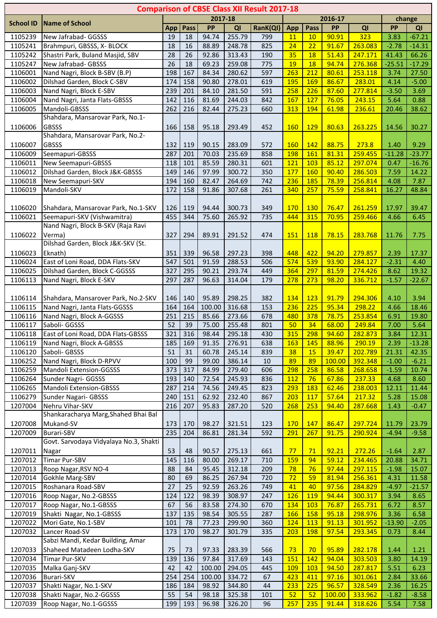|                  |                                                  |     |      |         |        | <b>Comparison of CBSE Class XII Result 2017-18</b> |            |            |             |         |           |          |
|------------------|--------------------------------------------------|-----|------|---------|--------|----------------------------------------------------|------------|------------|-------------|---------|-----------|----------|
| <b>School ID</b> | Name of School                                   |     |      | 2017-18 |        |                                                    |            |            | $2016 - 17$ |         |           | change   |
|                  |                                                  | App | Pass | PP      | QI     | RanK(QI)                                           | App        | Pass       | PP          | QI      | <b>PP</b> | QI       |
| 1105239          | New Jafrabad- GGSSS                              | 19  | 18   | 94.74   | 255.79 | 799                                                | 11         | 10         | 90.91       | 323     | 3.83      | $-67.21$ |
| 1105241          | Brahmpuri, GBSSS, X- BLOCK                       | 18  | 16   | 88.89   | 248.78 | 825                                                | 24         | 22         | 91.67       | 263.083 | $-2.78$   | $-14.31$ |
| 1105242          | Shastri Park, Buland Masjid, SBV                 | 28  | 26   | 92.86   | 313.43 | 190                                                | 35         | 18         | 51.43       | 247.171 | 41.43     | 66.26    |
| 1105247          | New Jafrabad- GBSSS                              | 26  | 18   | 69.23   | 259.08 | 775                                                | 19         | 18         | 94.74       | 276.368 | $-25.51$  | $-17.29$ |
| 1106001          | Nand Nagri, Block B-SBV (B.P)                    | 198 | 167  | 84.34   | 280.62 | 597                                                | 263        | 212        | 80.61       | 253.118 | 3.74      | 27.50    |
| 1106002          | Dilshad Garden, Block C-SBV                      | 174 | 158  | 90.80   | 278.01 | 619                                                | 195        | 169        | 86.67       | 283.01  | 4.14      | $-5.00$  |
| 1106003          | Nand Nagri, Block E-SBV                          | 239 | 201  | 84.10   | 281.50 | 591                                                | 258        | 226        | 87.60       | 277.814 | $-3.50$   | 3.69     |
| 1106004          | Nand Nagri, Janta Flats-GBSSS                    | 142 | 116  | 81.69   | 244.03 | 842                                                | 167        | 127        | 76.05       | 243.15  | 5.64      | 0.88     |
| 1106005          | Mandoli-GBSSS                                    | 262 | 216  | 82.44   | 275.23 | 660                                                | 313        | 194        | 61.98       | 236.61  | 20.46     | 38.62    |
|                  | Shahdara, Mansarovar Park, No.1-                 |     |      |         |        |                                                    |            |            |             |         |           |          |
|                  |                                                  |     |      |         |        |                                                    |            |            |             |         |           |          |
| 1106006          | <b>GBSSS</b><br>Shahdara, Mansarovar Park, No.2- | 166 | 158  | 95.18   | 293.49 | 452                                                | <b>160</b> | <b>129</b> | 80.63       | 263.225 | 14.56     | 30.27    |
|                  |                                                  |     |      |         |        |                                                    |            |            |             |         |           |          |
| 1106007          | <b>GBSSS</b>                                     | 132 | 119  | 90.15   | 283.09 | 572                                                | <b>160</b> | 142        | 88.75       | 273.8   | 1.40      | 9.29     |
| 1106009          | Seemapuri-GBSSS                                  | 287 | 201  | 70.03   | 235.69 | 858                                                | <b>198</b> | 161        | 81.31       | 259.455 | $-11.28$  | $-23.77$ |
| 1106011          | New Seemapuri-GBSSS                              | 118 | 101  | 85.59   | 280.31 | 601                                                | <b>121</b> | 103        | 85.12       | 297.074 | 0.47      | $-16.76$ |
| 1106012          | Dilshad Garden, Block J&K-GBSSS                  | 149 | 146  | 97.99   | 300.72 | 350                                                | 177        | 160        | 90.40       | 286.503 | 7.59      | 14.22    |
| 1106018          | New Seemapuri-SKV                                | 194 | 160  | 82.47   | 264.69 | 742                                                | 236        | 185        | 78.39       | 256.814 | 4.08      | 7.87     |
| 1106019          | Mandoli-SKV                                      | 172 | 158  | 91.86   | 307.68 | 261                                                | 340        | 257        | 75.59       | 258.841 | 16.27     | 48.84    |
|                  |                                                  |     |      |         |        |                                                    |            |            |             |         |           |          |
| 1106020          | Shahdara, Mansarovar Park, No.1-SKV              | 126 | 119  | 94.44   | 300.73 | 349                                                | 170        | <b>130</b> | 76.47       | 261.259 | 17.97     | 39.47    |
| 1106021          | Seemapuri-SKV (Vishwamitra)                      | 455 | 344  | 75.60   | 265.92 | 735                                                | 444        | 315        | 70.95       | 259.466 | 4.66      | 6.45     |
|                  | Nand Nagri, Block B-SKV (Raja Ravi               |     |      |         |        |                                                    |            |            |             |         |           |          |
| 1106022          | Verma)                                           | 327 | 294  | 89.91   | 291.52 | 474                                                | <b>151</b> | <b>118</b> | 78.15       | 283.768 | 11.76     | 7.75     |
|                  | Dilshad Garden, Block J&K-SKV (St.               |     |      |         |        |                                                    |            |            |             |         |           |          |
| 1106023          | Eknath)                                          | 351 | 339  | 96.58   | 297.23 | 398                                                | 448        | 422        | 94.20       | 279.857 | 2.39      | 17.37    |
| 1106024          | East of Loni Road, DDA Flats-SKV                 | 547 | 501  | 91.59   | 288.53 | 506                                                | 574        | 539        | 93.90       | 284.127 | $-2.31$   | 4.40     |
| 1106025          | Dilshad Garden, Block C-GGSSS                    | 327 | 295  | 90.21   | 293.74 | 449                                                | 364        | 297        | 81.59       | 274.426 | 8.62      | 19.32    |
| 1106113          | Nand Nagri, Block E-SKV                          | 297 | 287  | 96.63   | 314.04 | 179                                                | 278        | 273        | 98.20       | 336.712 | $-1.57$   | $-22.67$ |
|                  |                                                  |     |      |         |        |                                                    |            |            |             |         |           |          |
| 1106114          | Shahdara, Mansarover Park, No.2-SKV              | 146 | 140  | 95.89   | 298.25 | 382                                                | 134        | 123        | 91.79       | 294.306 | 4.10      | 3.94     |
| 1106115          | Nand Nagri, Janta Flats-GGSSS                    | 164 | 164  | 100.00  | 316.68 | 153                                                | 236        | 225        | 95.34       | 298.22  | 4.66      | 18.46    |
| 1106116          | Nand Nagri, Block A-GGSSS                        | 251 | 215  | 85.66   | 273.66 | 678                                                | 480        | 378        | 78.75       | 253.854 | 6.91      | 19.80    |
| 1106117          | Saboli- GGSSS                                    | 52  | 39   | 75.00   | 255.48 | 801                                                | 50         | 34         | 68.00       | 249.84  | 7.00      | 5.64     |
| 1106118          | East of Loni Road, DDA Flats-GBSSS               | 321 | 316  | 98.44   | 295.18 | 430                                                | <b>315</b> | 298        | 94.60       | 282.873 | 3.84      | 12.31    |
| 1106119          | Nand Nagri, Block A-GBSSS                        | 185 | 169  | 91.35   | 276.91 | 638                                                | 163        | 145        | 88.96       | 290.19  |           | $-13.28$ |
|                  |                                                  | 51  |      |         |        |                                                    |            |            |             |         | 2.39      |          |
| 1106120          | Saboli- GBSSS                                    |     | 31   | 60.78   | 245.14 | 839                                                | 38         | <b>15</b>  | 39.47       | 202.789 | 21.31     | 42.35    |
| 1106252          | Nand Nagri, Block D-RPVV                         | 100 | 99   | 99.00   | 386.14 | 10                                                 | 89         | 89         | 100.00      | 392.348 | $-1.00$   | $-6.21$  |
| 1106259          | Mandoli Extension-GGSSS                          | 373 | 317  | 84.99   | 279.40 | 606                                                | 298        | 258        | 86.58       | 268.658 | $-1.59$   | 10.74    |
| 1106264          | Sunder Nagri- GGSSS                              | 193 | 140  | 72.54   | 245.93 | 836                                                | 112        | 76         | 67.86       | 237.33  | 4.68      | 8.60     |
| 1106265          | Mandoli Extension-GBSSS                          | 287 | 214  | 74.56   | 249.45 | 823                                                | 293        | 183        | 62.46       | 238.003 | 12.11     | 11.44    |
| 1106279          | Sunder Nagari- GBSSS                             | 240 | 151  | 62.92   | 232.40 | 867                                                | 203        | <b>117</b> | 57.64       | 217.32  | 5.28      | 15.08    |
| 1207004          | Nehru Vihar-SKV                                  | 216 | 207  | 95.83   | 287.20 | 520                                                | 268        | 253        | 94.40       | 287.668 | 1.43      | $-0.47$  |
|                  | Shankaracharya Marg, Shahed Bhai Bal             |     |      |         |        |                                                    |            |            |             |         |           |          |
| 1207008          | Mukand-SV                                        | 173 | 170  | 98.27   | 321.51 | 123                                                | 170        | 147        | 86.47       | 297.724 | 11.79     | 23.79    |
| 1207009          | <b>Burari-SBV</b>                                | 235 | 204  | 86.81   | 281.34 | 592                                                | 291        | 267        | 91.75       | 290.924 | $-4.94$   | $-9.58$  |
|                  | Govt. Sarvodaya Vidyalaya No.3, Shakti           |     |      |         |        |                                                    |            |            |             |         |           |          |
| 1207011          | Nagar                                            | 53  | 48   | 90.57   | 275.13 | 661                                                | 77         | 71         | 92.21       | 272.26  | $-1.64$   | 2.87     |
| 1207012          | Timar Pur-SBV                                    | 145 | 116  | 80.00   | 269.17 | 710                                                | 159        | 94         | 59.12       | 234.465 | 20.88     | 34.71    |
| 1207013          | Roop Nagar, RSV NO-4                             | 88  | 84   | 95.45   | 312.18 | 209                                                | 78         | 76         | 97.44       | 297.115 | $-1.98$   | 15.07    |
| 1207014          | Gokhle Marg-SBV                                  | 80  | 69   | 86.25   | 267.94 | 720                                                | 72         | 59         | 81.94       | 256.361 | 4.31      | 11.58    |
| 1207015          | Roshanara Road-SBV                               | 27  | 25   | 92.59   | 263.26 | 749                                                | 41         | 40         | 97.56       | 284.829 | $-4.97$   | $-21.57$ |
| 1207016          | Roop Nagar, No.2-GBSSS                           | 124 | 122  | 98.39   | 308.97 | 247                                                | 126        | 119        | 94.44       | 300.317 | 3.94      | 8.65     |
| 1207017          | Roop Nagar, No.1-GBSSS                           | 67  | 56   | 83.58   | 274.30 | 670                                                | 134        | 103        | 76.87       | 265.731 | 6.72      | 8.57     |
| 1207019          | Shakti Nagar, No.1-GBSSS                         | 137 | 135  | 98.54   | 305.55 | 287                                                | 166        | 158        | 95.18       | 298.976 | 3.36      | 6.58     |
| 1207022          | Mori Gate, No.1-SBV                              | 101 | 78   | 77.23   | 299.90 | 360                                                | 124        | <b>113</b> | 91.13       | 301.952 | $-13.90$  | $-2.05$  |
| 1207032          | Lancer Road-SV                                   | 173 | 170  | 98.27   | 301.79 | 335                                                | 203        | 198        | 97.54       | 293.345 | 0.73      | 8.44     |
|                  | Sabzi Mandi, Kedar Building, Amar                |     |      |         |        |                                                    |            |            |             |         |           |          |
| 1207033          | Shaheed Matadeen Lodha-SKV                       | 75  | 73   | 97.33   | 283.39 | 566                                                | 73         | 70         | 95.89       | 282.178 | 1.44      | 1.21     |
| 1207034          | Timar Pur-SKV                                    | 139 | 136  | 97.84   | 317.69 | 143                                                | 151        | 142        | 94.04       | 303.503 | 3.80      | 14.19    |
| 1207035          | Malka Ganj-SKV                                   | 42  | 42   | 100.00  | 294.05 | 445                                                | 109        | 103        | 94.50       | 287.817 | 5.51      | 6.23     |
| 1207036          | <b>Burari-SKV</b>                                | 254 | 254  | 100.00  | 334.72 | 67                                                 | 423        | 411        | 97.16       | 301.061 | 2.84      | 33.66    |
| 1207037          | Shakti Nagar, No.1-SKV                           | 186 | 184  | 98.92   | 344.80 | 44                                                 | 233        | 225        | 96.57       | 328.549 | 2.36      | 16.25    |
| 1207038          | Shakti Nagar, No.2-GGSSS                         | 55  | 54   | 98.18   | 325.38 | 101                                                | 52         | 52         | 100.00      | 333.962 | $-1.82$   | $-8.58$  |
| 1207039          | Roop Nagar, No.1-GGSSS                           | 199 | 193  | 96.98   | 326.20 | 96                                                 | 257        | 235        | 91.44       | 318.626 | 5.54      | 7.58     |
|                  |                                                  |     |      |         |        |                                                    |            |            |             |         |           |          |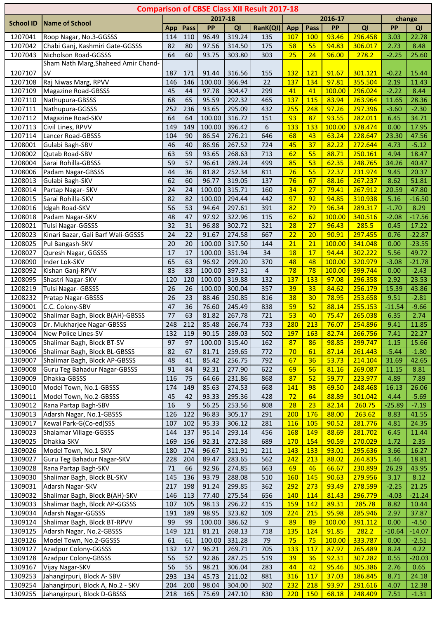|                  |                                     |                 |      |         |        | <b>Comparison of CBSE Class XII Result 2017-18</b> |                 |            |         |         |          |          |
|------------------|-------------------------------------|-----------------|------|---------|--------|----------------------------------------------------|-----------------|------------|---------|---------|----------|----------|
| <b>School ID</b> | <b>Name of School</b>               |                 |      | 2017-18 |        |                                                    |                 |            | 2016-17 |         |          | change   |
|                  |                                     | App             | Pass | PP      | QI     | RanK(QI)                                           | <b>App</b>      | Pass       | PP      | QI      | PP       | QI       |
| 1207041          | Roop Nagar, No.3-GGSSS              | 114             | 110  | 96.49   | 319.24 | 135                                                | 107             | <b>100</b> | 93.46   | 296.458 | 3.03     | 22.78    |
| 1207042          | Chabi Ganj, Kashmiri Gate-GGSSS     | 82              | 80   | 97.56   | 314.50 | 175                                                | 58              | 55         | 94.83   | 306.017 | 2.73     | 8.48     |
| 1207043          | Nicholson Road-GGSSS                | 64              | 60   | 93.75   | 303.80 | 303                                                | 25              | 24         | 96.00   | 278.2   | $-2.25$  | 25.60    |
|                  | Sham Nath Marg, Shaheed Amir Chand- |                 |      |         |        |                                                    |                 |            |         |         |          |          |
| 1207107          | <b>SV</b>                           | 187             | 171  | 91.44   | 316.56 | 155                                                | <b>132</b>      | <b>121</b> | 91.67   | 301.121 | $-0.22$  | 15.44    |
| 1207108          | Raj Niwas Marg, RPVV                | 146             | 146  | 100.00  | 366.94 | 22                                                 | 137             | 134        | 97.81   | 355.504 | 2.19     | 11.43    |
| 1207109          | <b>Magazine Road-GBSSS</b>          | 45              | 44   | 97.78   | 304.47 | 299                                                | 41              | 41         | 100.00  | 296.024 | $-2.22$  | 8.44     |
| 1207110          | Nathupura-GBSSS                     | 68              | 65   | 95.59   | 292.32 | 465                                                | 137             | 115        | 83.94   | 263.964 | 11.65    | 28.36    |
| 1207111          | Nathupura-GGSSS                     | 252             | 236  | 93.65   | 295.09 | 432                                                | 255             | 248        | 97.26   | 297.396 | $-3.60$  | $-2.30$  |
| 1207112          | Magazine Road-SKV                   | 64              | 64   | 100.00  | 316.72 | 151                                                | 93              | 87         | 93.55   | 282.011 | 6.45     | 34.71    |
| 1207113          | Civil Lines, RPVV                   | 149             | 149  | 100.00  | 396.42 | 6                                                  | 133             | 133        | 100.00  | 378.474 | 0.00     | 17.95    |
| 1207114          | Lancer Road-GBSSS                   | 104             | 90   | 86.54   | 276.21 | 646                                                | 68              | 43         | 63.24   | 228.647 | 23.30    | 47.56    |
| 1208001          | Gulabi Bagh-SBV                     | 46              | 40   | 86.96   | 267.52 | 724                                                | 45              | 37         | 82.22   | 272.644 | 4.73     | $-5.12$  |
| 1208002          | Qutab Road-SBV                      | 63              | 59   | 93.65   | 268.63 | 713                                                | 62              | 55         | 88.71   | 250.161 | 4.94     | 18.47    |
| 1208004          | Sarai Rohilla-GBSSS                 | 59              | 57   | 96.61   | 289.24 | 499                                                | 85              | 53         | 62.35   | 248.765 | 34.26    | 40.47    |
| 1208006          | Padam Nagar-GBSSS                   | 44              | 36   | 81.82   | 252.34 | 811                                                | 76              | 55         | 72.37   | 231.974 | 9.45     | 20.37    |
| 1208013          | Gulabi Bagh-SKV                     | 62              | 60   | 96.77   | 319.05 | 137                                                | 76              | 67         | 88.16   | 267.237 | 8.62     | 51.81    |
| 1208014          | Partap Nagar- SKV                   | 24              | 24   | 100.00  | 315.71 | 160                                                | 34              | 27         | 79.41   | 267.912 | 20.59    | 47.80    |
| 1208015          | Sarai Rohilla-SKV                   | 82              | 82   | 100.00  | 294.44 | 442                                                | 97              | 92         | 94.85   | 310.938 | 5.16     | $-16.50$ |
| 1208016          | Idgah Road-SKV                      | 56              | 53   | 94.64   | 297.61 | 391                                                | 82              | 79         | 96.34   | 289.317 | $-1.70$  | 8.29     |
| 1208018          | Padam Nagar-SKV                     | 48              | 47   | 97.92   | 322.96 | 115                                                | 62              | 62         | 100.00  | 340.516 | $-2.08$  | $-17.56$ |
| 1208021          | Tulsi Nagar-GGSSS                   | 32              | 31   | 96.88   | 302.72 | 321                                                | 28              | 27         | 96.43   | 285.5   | 0.45     | 17.22    |
| 1208023          | Kinari Bazar, Gali Barf Wali-GGSSS  | 24              | 22   | 91.67   | 274.58 | 667                                                | $\overline{22}$ | 20         | 90.91   | 297.455 | 0.76     | $-22.87$ |
| 1208025          | Pul Bangash-SKV                     | 20              | 20   | 100.00  | 317.50 | 144                                                | 21              | 21         | 100.00  | 341.048 | 0.00     | $-23.55$ |
| 1208027          | Quresh Nagar, GGSSS                 | $\overline{17}$ | 17   | 100.00  | 351.94 | 34                                                 | 18              | 17         | 94.44   | 302.222 | 5.56     | 49.72    |
| 1208090          | Inder Lok-SKV                       | 65              | 63   | 96.92   | 299.20 | 370                                                | 48              | 48         | 100.00  | 320.979 | $-3.08$  | $-21.78$ |
| 1208092          | Kishan Ganj-RPVV                    | 83              | 83   | 100.00  | 397.31 | 4                                                  | 78              | 78         | 100.00  | 399.744 | 0.00     | $-2.43$  |
| 1208095          | Shastri Nagar-SKV                   | 120             | 120  | 100.00  | 319.88 | 132                                                | 137             | 133        | 97.08   | 296.358 | 2.92     | 23.53    |
| 1208219          | Tulsi Nagar- GBSSS                  | 26              | 26   | 100.00  | 300.04 | 357                                                | 39              | 33         | 84.62   | 256.179 | 15.39    | 43.86    |
| 1208232          | Pratap Nagar-GBSSS                  | 26              | 23   | 88.46   | 250.85 | 816                                                | 38              | 30         | 78.95   | 253.658 | 9.51     | $-2.81$  |
| 1309001          | C.C. Colony-SBV                     | 47              | 36   | 76.60   | 245.49 | 838                                                | 59              | 52         | 88.14   | 255.153 | $-11.54$ | $-9.66$  |
| 1309002          | Shalimar Bagh, Block B(AH)-GBSSS    | 77              | 63   | 81.82   | 267.78 | 721                                                | 53              | 40         | 75.47   | 265.038 | 6.35     | 2.74     |
| 1309003          | Dr. Mukharjee Nagar-GBSSS           | 248             | 212  | 85.48   | 266.74 | 733                                                | 280             | 213        | 76.07   | 254.896 | 9.41     | 11.85    |
| 1309004          | New Police Lines-SV                 | 132             | 119  | 90.15   | 289.03 | 502                                                | <b>197</b>      | 163        | 82.74   | 266.756 | 7.41     | 22.27    |
| 1309005          | Shalimar Bagh, Block BT-SV          | 97              | 97   | 100.00  | 315.40 | 162                                                | 87              | 86         | 98.85   | 299.747 | 1.15     | 15.66    |
| 1309006          | Shalimar Bagh, Block BL-GBSSS       | 82              | 67   | 81.71   | 259.65 | 772                                                | 70              | 61         | 87.14   | 261.443 | $-5.44$  | $-1.80$  |
| 1309007          | Shalimar Bagh, Block AP-GBSSS       | 48              | 41   | 85.42   | 256.75 | 792                                                | 67              | 36         | 53.73   | 214.104 | 31.69    | 42.65    |
| 1309008          | Guru Teg Bahadur Nagar-GBSSS        | 91              | 84   | 92.31   | 277.90 | 622                                                | 69              | 56         | 81.16   | 269.087 | 11.15    | 8.81     |
| 1309009          | Dhakka-GBSSS                        | 116             | 75   | 64.66   | 231.86 | 868                                                | 87              | 52         | 59.77   | 223.977 | 4.89     | 7.89     |
| 1309010          | Model Town, No.1-GBSSS              | 174             | 149  | 85.63   | 274.53 | 668                                                | 141             | 98         | 69.50   | 248.468 | 16.13    | 26.06    |
| 1309011          | Model Town, No.2-GBSSS              | 45              | 42   | 93.33   | 295.36 | 428                                                | 72              | 64         | 88.89   | 301.042 | 4.44     | $-5.69$  |
| 1309012          | Rana Partap Bagh-SBV                | 16              | 9    | 56.25   | 253.56 | 808                                                | 28              | 23         | 82.14   | 260.75  | $-25.89$ | $-7.19$  |
| 1309013          | Adarsh Nagar, No.1-GBSSS            | 126             | 122  | 96.83   | 305.17 | 291                                                | 200             | 176        | 88.00   | 263.62  | 8.83     | 41.55    |
| 1309017          | Kewal Park-G(Co-ed)SSS              | 107             | 102  | 95.33   | 306.12 | 281                                                | 116             | <b>105</b> | 90.52   | 281.776 | 4.81     | 24.35    |
| 1309023          | Shalamar Village-GGSSS              | 144             | 137  | 95.14   | 293.14 | 456                                                | 168             | 149        | 88.69   | 281.702 | 6.45     | 11.44    |
| 1309025          | Dhakka-SKV                          | 169             | 156  | 92.31   | 272.38 | 689                                                | 170             | 154        | 90.59   | 270.029 | 1.72     | 2.35     |
| 1309026          | Model Town, No.1-SKV                | 180             | 174  | 96.67   | 311.91 | 211                                                | 143             | 133        | 93.01   | 295.636 | 3.66     | 16.27    |
| 1309027          | Guru Teg Bahadur Nagar-SKV          | 228             | 204  | 89.47   | 283.65 | 562                                                | 242             | 213        | 88.02   | 264.835 | 1.46     | 18.81    |
| 1309028          | Rana Partap Bagh-SKV                | 71              | 66   | 92.96   | 274.85 | 663                                                | 69              | 46         | 66.67   | 230.899 | 26.29    | 43.95    |
| 1309030          | Shalimar Bagh, Block BL-SKV         | 145             | 136  | 93.79   | 288.08 | 510                                                | 160             | 145        | 90.63   | 279.956 | 3.17     | 8.12     |
| 1309031          | Adarsh Nagar-SKV                    | 217             | 198  | 91.24   | 299.85 | 362                                                | 292             | 273        | 93.49   | 278.599 | $-2.25$  | 21.25    |
| 1309032          | Shalimar Bagh, Block B(AH)-SKV      | 146             | 113  | 77.40   | 275.54 | 656                                                | 140             | 114        | 81.43   | 296.779 | $-4.03$  | $-21.24$ |
| 1309033          | Shalimar Bagh, Block AP-GGSSS       | 107             | 105  | 98.13   | 296.22 | 415                                                | <b>159</b>      | 142        | 89.31   | 285.78  | 8.82     | 10.44    |
| 1309034          | Adarsh Nagar-GGSSS                  | 191             | 189  | 98.95   | 323.82 | 109                                                | 224             | 215        | 95.98   | 285.946 | 2.97     | 37.87    |
| 1309124          | Shalimar Bagh, Block BT-RPVV        | 99              | 99   | 100.00  | 386.62 | 9                                                  | 89              | 89         | 100.00  | 391.112 | 0.00     | $-4.50$  |
| 1309125          | Adarsh Nagar, No.2-GBSSS            | 149             | 121  | 81.21   | 268.13 | 718                                                | <b>135</b>      | 124        | 91.85   | 282.2   | $-10.64$ | $-14.07$ |
| 1309126          | Model Town, No.2-GGSSS              | 61              | 61   | 100.00  | 331.28 | 79                                                 | 75              | 75         | 100.00  | 333.787 | 0.00     | $-2.51$  |
| 1309127          | Azadpur Colony-GGSSS                | 132             | 127  | 96.21   | 269.71 | 705                                                | 133             | 117        | 87.97   | 265.489 | 8.24     | 4.22     |
| 1309128          | Azadpur Colony-GBSSS                | 56              | 52   | 92.86   | 287.25 | 519                                                | 39              | 36         | 92.31   | 307.282 | 0.55     | $-20.03$ |
| 1309167          | Vijay Nagar-SKV                     | 56              | 55   | 98.21   | 306.04 | 283                                                | 44              | 42         | 95.46   | 305.386 | 2.76     | 0.65     |
| 1309253          | Jahangirpuri, Block A-SBV           | 293             | 134  | 45.73   | 211.02 | 881                                                | 316             | <b>117</b> | 37.03   | 186.845 | 8.71     | 24.18    |
| 1309254          | Jahangirpuri, Block A, No.2 - SKV   | 204             | 200  | 98.04   | 304.00 | 302                                                | 232             | 218        | 93.97   | 291.616 | 4.07     | 12.38    |
| 1309255          | Jahangirpuri, Block D-GBSSS         | 218             | 165  | 75.69   | 247.10 | 830                                                | 220             | <b>150</b> | 68.18   | 248.409 | 7.51     | $-1.31$  |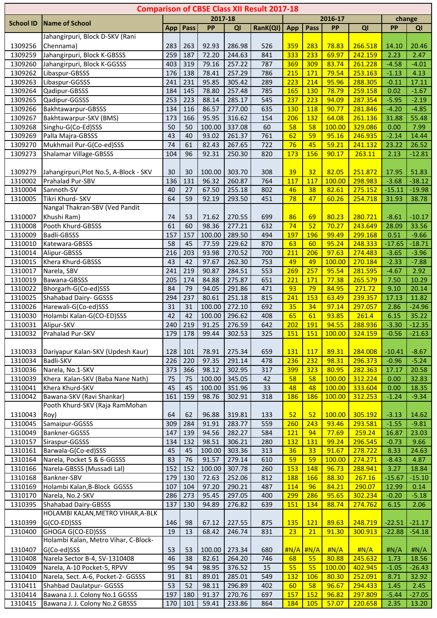|                  |                                        |                 |           |           |        | <b>Comparison of CBSE Class XII Result 2017-18</b> |                 |                                     |               |                |           |               |
|------------------|----------------------------------------|-----------------|-----------|-----------|--------|----------------------------------------------------|-----------------|-------------------------------------|---------------|----------------|-----------|---------------|
|                  |                                        |                 |           | 2017-18   |        |                                                    |                 |                                     | 2016-17       |                |           | change        |
| <b>School ID</b> | <b>Name of School</b>                  | App             | Pass      | <b>PP</b> | QI     | RanK(QI)                                           | App             | Pass                                | PP            | QI             | <b>PP</b> | QI            |
|                  | Jahangirpuri, Block D-SKV (Rani        |                 |           |           |        |                                                    |                 |                                     |               |                |           |               |
| 1309256          | Chennama)                              | 283             | 263       | 92.93     | 286.98 | 526                                                | 359             | 283                                 | 78.83         | 266.518        | 14.10     | 20.46         |
| 1309259          | Jahangirpuri, Block K-GBSSS            | 259             | 187       | 72.20     | 244.63 | 841                                                | 333             | 233                                 | 69.97         | 242.159        | 2.23      | 2.47          |
| 1309260          | Jahangirpuri, Block K-GGSSS            | 403             | 319       | 79.16     | 257.22 | 787                                                | 369             | 309                                 | 83.74         | 261.228        | $-4.58$   | $-4.01$       |
| 1309262          | Libaspur-GBSSS                         | 176             | 138       | 78.41     | 257.29 | 786                                                | 215             | 171                                 | 79.54         | 253.163        | $-1.13$   | 4.13          |
| 1309263          | Libaspur-GGSSS                         | 241             | 231       | 95.85     | 305.42 | 289                                                | 223             | 214                                 | 95.96         | 288.305        | $-0.11$   | 17.11         |
| 1309264          | Qadipur-GBSSS                          | 184             | 145       | 78.80     | 257.48 | 785                                                | <b>165</b>      | 130                                 | 78.79         | 259.158        | 0.02      | $-1.67$       |
| 1309265          | Qadipur-GGSSS                          | 253             | 223       | 88.14     | 285.17 | 545                                                | 237             | 223                                 | 94.09         | 287.354        | $-5.95$   | $-2.19$       |
| 1309266          | Bakhtawarpur-GBSSS                     | 134             | 116       | 86.57     | 277.00 | 635                                                | 130             | 118                                 | 90.77         | 281.846        | $-4.20$   | $-4.85$       |
| 1309267          | Bakhtawarpur-SKV (BMS)                 | 173             | 166       | 95.95     | 316.62 | 154                                                | 206             | 132                                 | 64.08         | 261.136        | 31.88     | 55.48         |
| 1309268          | Singhu-G(Co-Ed)SSS                     | 50              | 50        | 100.00    | 337.08 | 60                                                 | 58              | 58                                  | 100.00        | 329.086        | 0.00      | 7.99          |
| 1309269          | Palla Majra-GBSSS                      | 43              | 40        | 93.02     | 261.37 | 761                                                | 62              | 59                                  | 95.16         | 246.935        | $-2.14$   | 14.44         |
| 1309270          | Mukhmail Pur-G(Co-ed)SSS               | 74              | 61        | 82.43     | 267.65 | 722                                                | 76              | 45                                  | 59.21         | 241.132        | 23.22     | 26.52         |
| 1309273          | <b>Shalamar Village-GBSSS</b>          | 104             | 96        | 92.31     | 250.30 | 820                                                | 173             | 156                                 | 90.17         | 263.11         | 2.13      | $-12.81$      |
|                  |                                        |                 |           |           |        |                                                    |                 |                                     |               |                |           |               |
| 1309279          | Jahangirpuri, Plot No.5, A-Block - SKV | 30              | 30        | 100.00    | 303.70 | 308                                                | 39              | 32                                  | 82.05         | 251.872        | 17.95     | 51.83         |
| 1310002          | Prahalad Pur-SBV                       | 136             | 131       | 96.32     | 260.87 | 764                                                | 117             | 117                                 | 100.00        | 298.983        | $-3.68$   | $-38.12$      |
| 1310004          | Sannoth-SV                             | 40              | 27        | 67.50     | 255.18 | 802                                                | 46              | 38                                  | 82.61         | 275.152        | $-15.11$  | $-19.98$      |
| 1310005          | Tikri Khurd- SKV                       | 64              | 59        | 92.19     | 293.50 | 451                                                | 78              | 47                                  | 60.26         | 254.718        | 31.93     | 38.78         |
|                  | Nangal Thakran-SBV (Ved Pandit         |                 |           |           |        |                                                    |                 |                                     |               |                |           |               |
| 1310007          | Khushi Ram)                            | 74              | 53        | 71.62     | 270.55 | 699                                                | 86              | 69                                  | 80.23         | 280.721        | $-8.61$   | $-10.17$      |
| 1310008          | Pooth Khurd-GBSSS                      | 61              | 60        | 98.36     | 277.21 | 632                                                | $\overline{74}$ | 52                                  | 70.27         | 243.649        | 28.09     | 33.56         |
| 1310009          | <b>Badli-GBSSS</b>                     | 157             | 157       | 100.00    | 289.50 | 494                                                | 197             | 196                                 | 99.49         | 299.168        | 0.51      | $-9.66$       |
| 1310010          | Katewara-GBSSS                         | $\overline{58}$ | 45        | 77.59     | 229.62 | 870                                                | 63              | 60                                  | 95.24         | 248.333        | $-17.65$  | $-18.71$      |
| 1310014          | Alipur-GBSSS                           | 216             | 203       | 93.98     | 270.52 | 700                                                | 211             | 206                                 | 97.63         | 274.483        | $-3.65$   | $-3.96$       |
| 1310015          | Khera Khurd-GBSSS                      | 43              | 42        | 97.67     | 262.30 | 753                                                | 49              | 49                                  | 100.00        | 270.184        | $-2.33$   | $-7.88$       |
| 1310017          | Narela, SBV                            | 241             | 219       | 90.87     | 284.51 | 553                                                | 269             | 257                                 | 95.54         | 281.595        | $-4.67$   | 2.92          |
| 1310019          | Bawana-GBSSS                           | 205             | 174       | 84.88     | 275.87 | 651                                                | 221             | 171                                 | 77.38         | 265.579        | 7.50      | 10.29         |
| 1310022          | Bhorgarh-G(Co-ed)SSS                   | 84              | 79        | 94.05     | 291.86 | 471                                                | 93              | 79                                  | 84.95         | 271.72         | 9.10      | 20.14         |
| 1310025          | Shahabad Dairy- GGSSS                  | 294             | 237       | 80.61     | 251.18 | 815                                                | 241             | 153                                 | 63.49         | 239.357        | 17.13     | 11.82         |
| 1310026          | Harewali-G(Co-ed)SSS                   | 31              | 31        | 100.00    | 272.10 | 692                                                | 35              | 34                                  | 97.14         | 297.057        | 2.86      | $-24.96$      |
| 1310030          | Holambi Kalan-G(CO-ED)SSS              | 42              | 42        | 100.00    | 296.62 | 408                                                | 65              | 61                                  | 93.85         | 261.4          | 6.15      | 35.22         |
| 1310031          | Alipur-SKV                             | 240             | 219       | 91.25     | 276.59 | 642                                                | 202             | 191                                 | 94.55         | 288.936        | $-3.30$   | $-12.35$      |
| 1310032          | Prahalad Pur-SKV                       |                 | 179   178 | 99.44     | 302.53 | 325                                                | <u> 151 </u>    | <u> 151</u>                         | <u>100.00</u> | <u>324.159</u> | $-0.56$   | $-21.63$      |
|                  |                                        |                 |           |           |        |                                                    |                 |                                     |               |                |           |               |
| 1310033          | Dariyapur Kalan-SKV (Updesh Kaur)      | 128             | 101       | 78.91     | 275.34 | 659                                                | <b>131</b>      | <b>117</b>                          | 89.31         | 284.008        | $-10.41$  | $-8.67$       |
| 1310034          | Badli-SKV                              | 226             | 220       | 97.35     | 291.14 | 478                                                | 236             | 232                                 | 98.31         | 296.373        | $-0.96$   | $-5.24$       |
| 1310036          | Narela, No.1-SKV                       | 373             | 366       | 98.12     | 302.95 | 317                                                | 399             | 323                                 | 80.95         | 282.363        | 17.17     | 20.58         |
| 1310039          | Khera Kalan-SKV (Baba Nane Nath)       | 75              | 75        | 100.00    | 345.05 | 42                                                 | 58              | 58                                  | 100.00        | 312.224        | 0.00      | 32.83         |
| 1310041          | Khera Khurd-SKV                        | 45              | 45        | 100.00    | 351.96 | 33                                                 | 48              | 48                                  | 100.00        | 333.604        | 0.00      | 18.35         |
| 1310042          | Bawana-SKV (Ravi Shankar)              | 161             | 159       | 98.76     | 302.91 | 318                                                | 186             | 186                                 | 100.00        | 312.253        | $-1.24$   | $-9.34$       |
|                  | Pooth Khurd-SKV (Raja RamMohan         |                 |           |           |        |                                                    |                 |                                     |               |                |           |               |
| 1310043          | Roy)                                   | 64              | 62        | 96.88     | 319.81 | 133                                                | 52              | 52                                  | 100.00        | 305.192        | $-3.13$   | 14.62         |
| 1310045          | Samaipur-GGSSS                         | 309             | 284       | 91.91     | 283.77 | 559                                                | 260             | 243                                 | 93.46         | 293.581        | $-1.55$   | $-9.81$       |
| 1310049          | Bankner-GGSSS                          | 147             | 139       | 94.56     | 282.27 | 584                                                | 121             | 94                                  | 77.69         | 259.24         | 16.87     | 23.03         |
| 1310157          | Siraspur-GGSSS                         | 134             | 132       | 98.51     | 306.21 | 280                                                | <b>132</b>      | 131                                 | 99.24         | 296.545        | $-0.73$   | 9.66          |
| 1310161          | Barwala-G(Co-ed)SSS                    | 45              | 45        | 100.00    | 303.36 | 313                                                | 36              | 33                                  | 91.67         | 278.722        | 8.33      | 24.63         |
| 1310164          | Narela, Pocket 5 & 6-GGSSS             | 83              | 76        | 91.57     | 279.14 |                                                    | 59              | 59                                  | 100.00        | 274.271        | $-8.43$   |               |
| 1310166          | Narela-GBSSS (Mussadi Lal)             | 152             | 152       | 100.00    | 307.78 | 610<br>260                                         | 153             | 148                                 | 96.73         | 288.941        | 3.27      | 4.87<br>18.84 |
| 1310168          | Bankner-SBV                            | 179             | 130       | 72.63     | 252.06 | 812                                                | 188             | 166                                 | 88.30         | 267.16         | $-15.67$  | $-15.10$      |
|                  |                                        | 107             | 104       | 97.20     |        |                                                    |                 | 96                                  | 84.21         | 290.07         |           |               |
| 1310169          | Holambi Kalan, B-Block GGSSS           | 286             |           |           | 290.21 | 487                                                | 114<br>299      | 286                                 | 95.65         |                | 12.99     | 0.14          |
| 1310170          | Narela, No.2-SKV                       |                 | 273       | 95.45     | 297.05 | 400                                                |                 |                                     |               | 302.234        | $-0.20$   | $-5.18$       |
| 1310395          | Shahabad Dairy-GBSSS                   | 137             | 130       | 94.89     | 276.82 | 639                                                | 151             | 134                                 | 88.74         | 274.762        | 6.15      | 2.06          |
|                  | HOLAMBI KALAN, METRO VIHAR, A-BLK      |                 |           |           |        |                                                    |                 |                                     |               |                |           |               |
| 1310399          | G(CO-ED)SSS                            | 146             | 98        | 67.12     | 227.55 | 875                                                | <b>135</b>      | <b>121</b>                          | 89.63         | 248.719        | $-22.51$  | $-21.17$      |
| 1310400          | GHOGA G(CO-ED)SSS                      | 19              | 13        | 68.42     | 246.74 | 831                                                | 23              | 21                                  | 91.30         | 300.913        | $-22.88$  | $-54.18$      |
|                  | Holambi Kalan, Metro Vihar, C-Block-   |                 |           |           |        |                                                    |                 |                                     |               |                |           |               |
| 1310407          | G(Co-ed)SSS                            | 53              | 53        | 100.00    | 273.34 | 680                                                |                 | $\frac{\text{H N/A}}{\text{H N/A}}$ | H N/A         | H N/A          | #N/A      | #N/A          |
| 1310408          | Narela Sector B-4, SV-1310408          | 46              | 38        | 82.61     | 264.20 | 746                                                | 68              | 55                                  | 80.88         | 245.632        | 1.73      | 18.56         |
| 1310409          | Narela, A-10 Pocket-5, RPVV            | 95              | 94        | 98.95     | 376.52 | 15                                                 | 55              | 55                                  | 100.00        | 402.945        | $-1.05$   | $-26.43$      |
| 1310410          | Narela, Sect. A-6, Pocket-2- GGSSS     | 91              | 81        | 89.01     | 285.01 | 549                                                | 132             | 106                                 | 80.30         | 252.091        | 8.71      | 32.92         |
| 1310411          | Shahbad Daulatpur- GGSSS               | 53              | 52        | 98.11     | 296.89 | 402                                                | 60              | 58                                  | 96.67         | 294.433        | 1.45      | 2.45          |
| 1310414          | Bawana J. J. Colony No.1 GGSSS         | 197             | 180       | 91.37     | 270.76 | 697                                                | 157             | 152                                 | 96.82         | 297.809        | $-5.44$   | $-27.05$      |
| 1310415          | Bawana J. J. Colony No.2 GBSSS         | 170             | 101       | 59.41     | 233.86 | 864                                                | 184             | 105                                 | 57.07         | 220.658        | 2.35      | 13.20         |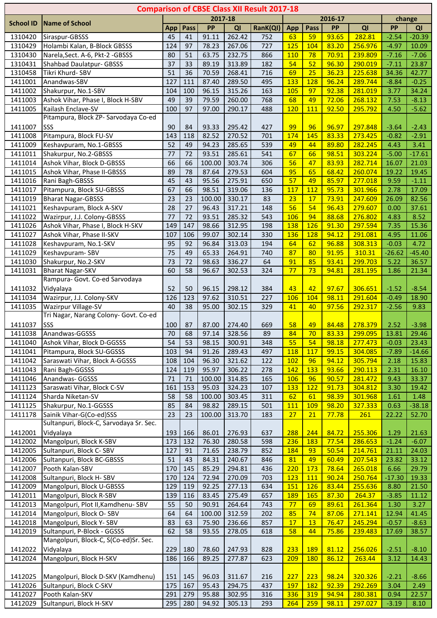|                    |                                              |                 |            |                 |                  | <b>Comparison of CBSE Class XII Result 2017-18</b> |            |            |                |                    |                 |                |
|--------------------|----------------------------------------------|-----------------|------------|-----------------|------------------|----------------------------------------------------|------------|------------|----------------|--------------------|-----------------|----------------|
|                    |                                              |                 |            | 2017-18         |                  |                                                    |            |            | 2016-17        |                    |                 | change         |
| <b>School ID</b>   | <b>Name of School</b>                        | App             | Pass       | PP              | QI               | RanK(QI)                                           | <b>App</b> | Pass       | <b>PP</b>      | QI                 | <b>PP</b>       | QI             |
| 1310420            | Siraspur-GBSSS                               | 45              | 41         | 91.11           | 262.42           | 752                                                | 63         | 59         | 93.65          | 282.81             | $-2.54$         | $-20.39$       |
| 1310429            | Holambi Kalan, B-Block GBSSS                 | 124             | 97         | 78.23           | 267.06           | 727                                                | 125        | 104        | 83.20          | 256.976            | $-4.97$         | 10.09          |
| 1310430            | Narela, Sect. A-6, Pkt-2 - GBSSS             | 80              | 51         | 63.75           | 232.75           | 866                                                | 110        | 78         | 70.91          | 239.809            | $-7.16$         | $-7.06$        |
| 1310431            | <b>Shahbad Daulatpur- GBSSS</b>              | 37              | 33         | 89.19           | 313.89           | 182                                                | 54         | 52         | 96.30          | 290.019            | $-7.11$         | 23.87          |
| 1310458            | Tikri Khurd- SBV                             | $\overline{51}$ | 36         | 70.59           | 268.41           | 716                                                | 69         | 25         | 36.23          | 225.638            | 34.36           | 42.77          |
| 1411001            | Anandwas-SBV                                 | 127             | 111        | 87.40           | 289.50           | 495                                                | 133        | 128        | 96.24          | 289.744            | $-8.84$         | $-0.25$        |
| 1411002            | Shakurpur, No.1-SBV                          | 104             | 100        | 96.15           | 315.26           | 163                                                | 105        | 97         | 92.38          | 281.019            | 3.77            | 34.24          |
| 1411003            | Ashok Vihar, Phase I, Block H-SBV            | 49              | 39         | 79.59           | 260.00           | 768                                                | 68         | 49         | 72.06          | 268.132            | 7.53            | $-8.13$        |
| 1411005            | Kailash Enclave-SV                           | 100             | 97         | 97.00           | 290.17           | 488                                                | 120        | 111        | 92.50          | 295.792            | 4.50            | $-5.62$        |
|                    | Pitampura, Block ZP- Sarvodaya Co-ed         |                 |            |                 |                  |                                                    |            |            |                |                    |                 |                |
| 1411007            | SSS                                          | 90              | 84         | 93.33           | 295.42           | 427                                                | 99         | 96         | 96.97          | 297.848            | $-3.64$         | $-2.43$        |
| 1411008            | Pitampura, Block FU-SV                       | 143             | 118        | 82.52           | 270.52           | 701                                                | 174        | 145        | 83.33          | 273.425            | $-0.82$         | $-2.91$        |
| 1411009            | Keshavpuram, No.1-GBSSS                      | 52              | 49         | 94.23           | 285.65           | 539                                                | 49         | 44         | 89.80          | 282.245            | 4.43            | 3.41           |
| 1411011            | Shakurpur, No.2-GBSSS                        | 77              | 72         | 93.51           | 285.61           | 541                                                | 67         | 66         | 98.51          | 303.224            | $-5.00$         | $-17.61$       |
| 1411014            | Ashok Vihar, Block D-GBSSS                   | 66              | 66         | 100.00          | 303.74           | 306                                                | 56         | 47         | 83.93          | 282.714            | 16.07           | 21.03          |
| 1411015            | Ashok Vihar, Phase II-GBSSS                  | 89<br>45        | 78         | 87.64           | 279.53           | 604                                                | 95<br>57   | 65<br>49   | 68.42          | 260.074            | 19.22           | 19.45          |
| 1411016<br>1411017 | Rani Bagh-GBSSS<br>Pitampura, Block SU-GBSSS | 67              | 43<br>66   | 95.56           | 275.91           | 650                                                |            |            | 85.97<br>95.73 | 277.018            | 9.59            | $-1.11$        |
| 1411019            | <b>Bharat Nagar-GBSSS</b>                    | 23              | 23         | 98.51<br>100.00 | 319.06<br>330.17 | 136<br>83                                          | 117<br>23  | 112<br>17  | 73.91          | 301.966<br>247.609 | 2.78<br>26.09   | 17.09<br>82.56 |
| 1411021            | Keshavpuram, Block A-SKV                     | 28              | 27         | 96.43           | 317.21           |                                                    | 56         | 54         | 96.43          | 279.607            | 0.00            | 37.61          |
| 1411022            | Wazirpur, J.J. Colony-GBSSS                  | 77              | 72         | 93.51           | 285.32           | 148<br>543                                         | 106        | 94         | 88.68          | 276.802            | 4.83            | 8.52           |
| 1411026            | Ashok Vihar, Phase I, Block H-SKV            | 149             | 147        | 98.66           | 312.95           | 198                                                | 138        | 126        | 91.30          | 297.594            | 7.35            | 15.36          |
| 1411027            | Ashok Vihar, Phase II-SKV                    | 107             | 106        | 99.07           | 302.14           | 330                                                | 136        | 128        | 94.12          | 291.081            | 4.95            | 11.06          |
| 1411028            | Keshavpuram, No.1-SKV                        | 95              | 92         | 96.84           | 313.03           | 194                                                | 64         | 62         | 96.88          | 308.313            | $-0.03$         | 4.72           |
| 1411029            | Keshavpuram-SBV                              | 75              | 49         | 65.33           | 264.91           | 740                                                | 87         | 80         | 91.95          | 310.31             | $-26.62$        | $-45.40$       |
| 1411030            | Shakurpur, No.2-SKV                          | 73              | 72         | 98.63           | 336.27           | 64                                                 | 91         | 85         | 93.41          | 299.703            | 5.22            | 36.57          |
| 1411031            | <b>Bharat Nagar-SKV</b>                      | 60              | 58         | 96.67           | 302.53           | 324                                                | 77         | 73         | 94.81          | 281.195            | 1.86            | 21.34          |
|                    | Rampura- Govt. Co-ed Sarvodaya               |                 |            |                 |                  |                                                    |            |            |                |                    |                 |                |
| 1411032            | Vidyalaya                                    | 52              | 50         | 96.15           | 298.12           | 384                                                | 43         | 42         | 97.67          | 306.651            | $-1.52$         | $-8.54$        |
| 1411034            | Wazirpur, J.J. Colony-SKV                    | 126             | 123        | 97.62           | 310.51           | 227                                                | 106        | 104        | 98.11          | 291.604            | $-0.49$         | 18.90          |
| 1411035            | Wazirpur Village-SV                          | 40              | 38         | 95.00           | 302.15           | 329                                                | 41         | 40         | 97.56          | 292.317            | $-2.56$         | 9.83           |
|                    | Tri Nagar, Narang Colony- Govt. Co-ed        |                 |            |                 |                  |                                                    |            |            |                |                    |                 |                |
| 1411037            | SSS                                          | 100             | 87         | 87.00           | 274.40           | 669                                                | 58         | 49         | 84.48          | 278.379            | 2.52            | $-3.98$        |
| 1411038            | Anandwas-GGSSS                               | 70              | 68         | 97.14           | 328.56           | 89                                                 | 84         | 70         | 83.33          | <u>299.095</u>     | 13.81           | 29.46          |
| 1411040            | Ashok Vihar, Block D-GGSSS                   | 54              | 53         | 98.15           | 300.91           | 348                                                | 55         | 54         | 98.18          | 277.473            | $-0.03$         | 23.43          |
| 1411041            | Pitampura, Block SU-GGSSS                    | 103             | 94         | 91.26           | 289.43           | 497                                                | <b>118</b> | 117        | 99.15          | 304.085            | $-7.89$         | $-14.66$       |
| 1411042            | Saraswati Vihar, Block A-GGSSS               | 108             | 104        | 96.30           | 321.62           | 122                                                | 102        | 96         | 94.12          | 305.794            | 2.18            | 15.83          |
| 1411043            | Rani Bagh-GGSSS                              | 124             | 119        | 95.97           | 306.22           | 278                                                | 142        | 133        | 93.66          | 290.113            | 2.31            | 16.10          |
| 1411046            | Anandwas- GGSSS                              | 71              | 71         | 100.00          | 314.85           | 165                                                | 106        | 96         | 90.57          | 281.472            | 9.43            | 33.37          |
| 1411123            | Saraswati Vihar, Block C-SV                  | 161             | 153        | 95.03           | 324.23           | 107                                                | 133        | 122        | 91.73          | 304.812            | 3.30            | 19.42          |
| 1411124            | Sharda Niketan-SV                            | 58              | 58         | 100.00          | 303.45           | 311                                                | 62         | 61         | 98.39          | 301.968            | 1.61            | 1.48           |
| 1411125            | Shakurpur, No.1-GGSSS                        | 85              | 84         | 98.82           | 289.15           | 501                                                | <b>111</b> | <b>109</b> | 98.20          | 327.333            | 0.63            | $-38.18$       |
| 1411178            | Sainik Vihar-G(Co-ed)SSS                     | 23              | 23         | 100.00          | 313.70           | 183                                                | 27         | 21         | 77.78          | 261                | 22.22           | 52.70          |
|                    | Sultanpuri, Block-C, Sarvodaya Sr. Sec.      |                 |            |                 |                  |                                                    |            |            |                |                    |                 |                |
| 1412001            | Vidyalaya                                    | 193             | 166        | 86.01           | 276.93           | 637                                                | 288        | 244        | 84.72          | 255.306            | 1.29            | 21.63          |
| 1412002            | Mangolpuri, Block K-SBV                      | 173             | 132        | 76.30           | 280.58           | 598                                                | 236        | <b>183</b> | 77.54          | 286.653            | $-1.24$         | $-6.07$        |
| 1412005            | Sultanpuri, Block C-SBV                      | 127             | 91         | 71.65           | 238.79           | 852                                                | 184        | 93         | 50.54          | 214.761            | 21.11           | 24.03          |
| 1412006            | Sultanpuri, Block BC-GBSSS                   | 51              | 43         | 84.31           | 240.67           | 846                                                | 81         | 49         | 60.49          | 207.543            | 23.82           | 33.12          |
| 1412007            | Pooth Kalan-SBV                              | 170             | 145        | 85.29           | 294.81           | 436                                                | 220        | 173        | 78.64          | 265.018            | 6.66            | 29.79          |
| 1412008            | Sultanpuri, Block H-SBV                      | 170             | 124        | 72.94           | 270.09           | 703                                                | 123        | 111        | 90.24          | 250.764            | $-17.30$        | 19.33          |
| 1412009            | Mangolpuri, Block U-GBSSS                    | 129             | 119        | 92.25           | 277.13           | 634                                                | 151        | <b>126</b> | 83.44          | 255.636            | 8.80            | 21.50          |
| 1412011            | Mangolpuri, Block R-SBV                      | 139             | 116        | 83.45           | 275.49           | 657                                                | 189        | 165        | 87.30          | 264.37             | $-3.85$         | 11.12          |
| 1412013            | Mangolpuri, Plot II, Kamdhenu-SBV            | 55              | 50         | 90.91           | 264.64           | 743                                                | 77         | 69         | 89.61          | 261.364            | 1.30            | 3.27           |
| 1412014            | Mangolpuri, Block O- SBV                     | 64              | 64         | 100.00          | 312.59           | 202                                                | 85         | 74         | 87.06          | 271.141            | 12.94           | 41.45          |
| 1412018            | Mangolpuri, Block Y-SBV                      | 83              | 63         | 75.90           | 236.66           | 857                                                | 17         | 13         | 76.47          | 245.294            | $-0.57$         | $-8.63$        |
| 1412019            | Sultanpuri, P-Block - GGSSS                  | 62              | 58         | 93.55           | 278.05           | 618                                                | 58         | 44         | 75.86          | 239.483            | 17.69           | 38.57          |
|                    | Mangolpuri, Block-C, S(Co-ed)Sr. Sec.        |                 |            |                 |                  |                                                    |            |            |                |                    |                 |                |
| 1412022            | Vidyalaya                                    | 229             | 180        | 78.60           | 247.93           | 828                                                | 233        | <b>189</b> | 81.12          | 256.026            | $-2.51$         | $-8.10$        |
| 1412024            | Mangolpuri, Block H-SKV                      | 186             | 166        | 89.25           | 277.87           | 623                                                | 209        | <b>180</b> | 86.12          | 263.44             | 3.12            | 14.43          |
|                    |                                              |                 |            |                 |                  |                                                    |            |            |                |                    |                 |                |
| 1412025            | Mangolpuri, Block D-SKV (Kamdhenu)           | 151             | 145        | 96.03           | 311.67           | 216                                                | 227        | 223        | 98.24          | 320.326            | $-2.21$         | $-8.66$        |
| 1412026<br>1412027 | Sultanpuri, Block C-SKV<br>Pooth Kalan-SKV   | 175<br>291      | 167        | 95.43<br>95.88  | 294.75           | 437                                                | <b>197</b> | <b>182</b> | 92.39<br>94.94 | 292.269            | 3.04            | 2.49           |
| 1412029            | Sultanpuri, Block H-SKV                      | 295             | 279<br>280 | 94.92           | 302.95<br>305.13 | 316<br>293                                         | 336<br>264 | 319<br>259 | 98.11          | 280.381<br>297.027 | 0.94<br>$-3.19$ | 22.57<br>8.10  |
|                    |                                              |                 |            |                 |                  |                                                    |            |            |                |                    |                 |                |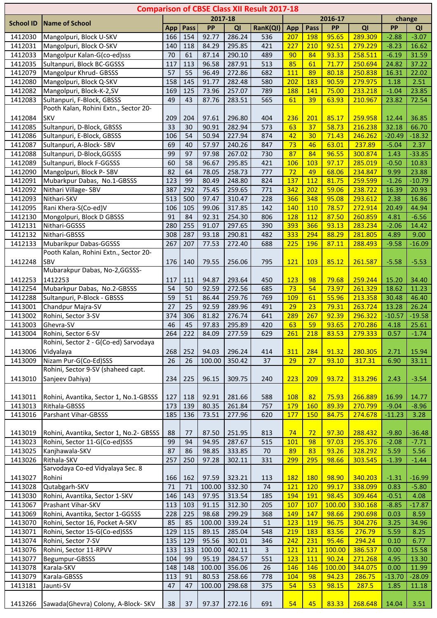|                    |                                                              |                        |            |                 |                  | <b>Comparison of CBSE Class XII Result 2017-18</b> |            |            |                 |                    |                  |                   |
|--------------------|--------------------------------------------------------------|------------------------|------------|-----------------|------------------|----------------------------------------------------|------------|------------|-----------------|--------------------|------------------|-------------------|
| <b>School ID</b>   | <b>Name of School</b>                                        |                        |            | 2017-18         |                  |                                                    |            |            | 2016-17         |                    |                  | change            |
|                    |                                                              | App                    | Pass       | PP              | QI               | RanK(QI)                                           | App        | Pass       | <b>PP</b>       | QI                 | <b>PP</b>        | QI                |
| 1412030            | Mangolpuri, Block U-SKV                                      | 166                    | 154        | 92.77           | 286.24           | 536                                                | 207        | <b>198</b> | 95.65           | 289.309            | $-2.88$          | $-3.07$           |
| 1412031            | Mangolpuri, Block O-SKV                                      | 140                    | 118        | 84.29           | 295.85           | 421                                                | 227        | 210        | 92.51           | 279.229            | $-8.23$          | 16.62             |
| 1412033            | Mangolpur Kalan-G(co-ed)sss                                  | 70                     | 61         | 87.14           | 290.10           | 489                                                | 90         | 84         | 93.33           | 258.511            | $-6.19$          | 31.59             |
| 1412035            | Sultanpuri, Block BC-GGSSS                                   | 117                    | 113        | 96.58           | 287.91           | 513                                                | 85         | 61         | 71.77           | 250.694            | 24.82            | 37.22             |
| 1412079            | Mangolpur Khrud- GBSSS                                       | $\overline{57}$<br>158 | 55         | 96.49<br>91.77  | 272.86           | 682                                                | 111        | 89<br>183  | 80.18           | 250.838            | 16.31            | 22.02             |
| 1412080<br>1412082 | Mangolpuri, Block Q-SKV<br>Mangolpuri, Block-K-2,SV          | 169                    | 145<br>125 | 73.96           | 282.48<br>257.07 | 580<br>789                                         | 202<br>188 | 141        | 90.59<br>75.00  | 279.975<br>233.218 | 1.18<br>$-1.04$  | 2.51<br>23.85     |
| 1412083            | Sultanpuri, F-Block, GBSSS                                   | 49                     | 43         | 87.76           | 283.51           | 565                                                | 61         | 39         | 63.93           | 210.967            | 23.82            | 72.54             |
|                    | Pooth Kalan, Rohini Extn., Sector 20-                        |                        |            |                 |                  |                                                    |            |            |                 |                    |                  |                   |
| 1412084            | <b>SKV</b>                                                   | 209                    | 204        | 97.61           | 296.80           | 404                                                | 236        | 201        | 85.17           | 259.958            | 12.44            | 36.85             |
| 1412085            | Sultanpuri, D-Block, GBSSS                                   | 33                     | 30         | 90.91           | 282.94           | 573                                                | 63         | 37         | 58.73           | 216.238            | 32.18            | 66.70             |
| 1412086            | Sultanpuri, E-Block, GBSSS                                   | 106                    | 54         | 50.94           | 227.94           | 874                                                | 42         | 30         | 71.43           | 246.262            | $-20.49$         | $-18.32$          |
| 1412087            | Sultanpuri, A-Block-SBV                                      | 69                     | 40         | 57.97           | 240.26           | 847                                                | 73         | 46         | 63.01           | 237.89             | $-5.04$          | 2.37              |
| 1412088            | Sultanpuri, D-Block, GGSSS                                   | 99                     | 97         | 97.98           | 267.02           | 730                                                | 87         | 84         | 96.55           | 300.874            | 1.43             | $-33.85$          |
| 1412089            | Sultanpuri, Block F-GGSSS                                    | 60                     | 58         | 96.67           | 295.85           | 421                                                | 106        | 103        | 97.17           | 285.019            | $-0.50$          | 10.83             |
| 1412090            | Mangolpuri, Block P-SBV                                      | 82                     | 64         | 78.05           | 258.73           | 777                                                | 72         | 49         | 68.06           | 234.847            | 9.99             | 23.88             |
| 1412091            | Mubarkpur Dabas, No.1-GBSSS                                  | 123                    | 99         | 80.49           | 248.80           | 824                                                | 137        | 112        | 81.75           | 259.599            | $-1.26$          | $-10.79$          |
| 1412092            | Nithari Village-SBV<br>Nithari-SKV                           | 387<br>513             | 292<br>500 | 75.45<br>97.47  | 259.65           | 771<br>228                                         | 342        | 202<br>348 | 59.06<br>95.08  | 238.722            | 16.39<br>2.38    | 20.93             |
| 1412093<br>1412095 | Rani Khera-S(Co-ed)V                                         | 106                    | 105        | 99.06           | 310.47<br>317.85 | 142                                                | 366<br>140 | 110        | 78.57           | 293.612<br>272.914 | 20.49            | 16.86<br>44.94    |
| 1412130            | Mongolpuri, Block D GBSSS                                    | 91                     | 84         | 92.31           | 254.30           | 806                                                | 128        | 112        | 87.50           | 260.859            | 4.81             | $-6.56$           |
| 1412131            | Nithari-GGSSS                                                | 280                    | 255        | 91.07           | 297.65           | 390                                                | 393        | 366        | 93.13           | 283.234            | $-2.06$          | 14.42             |
| 1412132            | Nithari-GBSSS                                                | 308                    | 287        | 93.18           | 290.81           | 482                                                | 333        | 294        | 88.29           | 281.805            | 4.89             | 9.00              |
| 1412133            | Mubarikpur Dabas-GGSSS                                       | 267                    | 207        | 77.53           | 272.40           | 688                                                | 225        | 196        | 87.11           | 288.493            | $-9.58$          | $-16.09$          |
|                    | Pooth Kalan, Rohini Extn., Sector 20-                        |                        |            |                 |                  |                                                    |            |            |                 |                    |                  |                   |
| 1412248            | SBV                                                          | 176                    | 140        | 79.55           | 256.06           | 795                                                | 121        | 103        | 85.12           | 261.587            | $-5.58$          | $-5.53$           |
|                    | Mubarakpur Dabas, No-2,GGSSS-                                |                        |            |                 |                  |                                                    |            |            |                 |                    |                  |                   |
| 1412253            | 1412253                                                      | 117                    | 111        | 94.87           | 293.64           | 450                                                | 123        | 98         | 79.68           | 259.244            | 15.20            | 34.40             |
| 1412254            | Mubarkpur Dabas, No.2-GBSSS                                  | 54                     | 50         | 92.59           | 272.56           | 685                                                | 73         | 54         | 73.97           | 261.329            | 18.62            | 11.23             |
| 1412288            | Sultanpuri, P-Block - GBSSS                                  | 59                     | 51         | 86.44           | 259.76           | 769                                                | <b>109</b> | 61         | 55.96           | 213.358            | 30.48            | 46.40             |
| 1413001            | Chandpur Majra-SV                                            | 27                     | 25         | 92.59           | 289.96           | 491                                                | 29         | 23         | 79.31           | 263.724            | 13.28            | 26.24             |
| 1413002            | Rohini, Sector 3-SV                                          | 374                    | 306        | 81.82           | 276.74           | 641                                                | 289        | 267        | 92.39           | 296.322            | $-10.57$         | $-19.58$          |
| 1413003            | Ghevra-SV                                                    | 46                     | 45         | 97.83           | 295.89           | 420                                                | 63         | 59         | 93.65           | 270.286            | 4.18             | 25.61             |
| 1413004            | Rohini, Sector 6-SV<br>Rohini, Sector 2 - G(Co-ed) Sarvodaya | 264                    | 222        | 84.09           | 277.59           | 629                                                | 261        | <b>218</b> | 83.53           | 279.333            | 0.57             | $-1.74$           |
| 1413006            | Vidyalaya                                                    | 268                    | 252        | 94.03           | 296.24           | 414                                                | 311        | 284        | 91.32           | 280.305            | 2.71             | 15.94             |
| 1413009            | Nizam Pur-G(Co-Ed)SSS                                        | 26                     | 26         | 100.00          | 350.42           | 37                                                 | 29         | 27         | 93.10           | 317.31             | 6.90             | 33.11             |
|                    | Rohini, Sector 9-SV (shaheed capt.                           |                        |            |                 |                  |                                                    |            |            |                 |                    |                  |                   |
| 1413010            | Sanjeev Dahiya)                                              | 234                    | 225        | 96.15           | 309.75           | 240                                                | 223        | 209        | 93.72           | 313.296            | 2.43             | $-3.54$           |
|                    |                                                              |                        |            |                 |                  |                                                    |            |            |                 |                    |                  |                   |
| 1413011            | Rohini, Avantika, Sector 1, No.1-GBSSS                       | 127                    | 118        | 92.91           | 281.66           | 588                                                | <b>108</b> | 82         | 75.93           | 266.889            | 16.99            | 14.77             |
| 1413013            | Rithala-GBSSS                                                | 173                    | 139        | 80.35           | 261.84           | 757                                                | 179        | <b>160</b> | 89.39           | 270.799            | $-9.04$          | $-8.96$           |
| 1413016            | Parshant Vihar-GBSSS                                         | 185                    | 136        | 73.51           | 277.96           | 620                                                | 177        | 150        | 84.75           | 274.678            | $-11.23$         | 3.28              |
|                    |                                                              |                        |            |                 |                  |                                                    |            |            |                 |                    |                  |                   |
| 1413019            | Rohini, Avantika, Sector 1, No.2- GBSSS                      | 88                     | 77         | 87.50           | 251.95           | 813                                                | 74         | 72         | 97.30           | 288.432            | $-9.80$          | $-36.48$          |
| 1413023            | Rohini, Sector 11-G(Co-ed)SSS                                | 99                     | 94         | 94.95           | 287.67           | 515                                                | 101        | 98         | 97.03           | 295.376            | $-2.08$          | $-7.71$           |
| 1413025<br>1413026 | Kanjhawala-SKV<br>Rithala-SKV                                | 87<br>257              | 86<br>250  | 98.85<br>97.28  | 333.85<br>302.11 | 70<br>331                                          | 89<br>299  | 83<br>295  | 93.26<br>98.66  | 328.292<br>303.545 | 5.59<br>$-1.39$  | 5.56<br>$-1.44$   |
|                    | Sarvodaya Co-ed Vidyalaya Sec. 8                             |                        |            |                 |                  |                                                    |            |            |                 |                    |                  |                   |
| 1413027            | Rohini                                                       | 166                    | 162        | 97.59           | 323.21           | 113                                                | 182        | 180        | 98.90           | 340.203            | $-1.31$          | $-16.99$          |
| 1413028            | Qutabgarh-SKV                                                | $\overline{71}$        | 71         | 100.00          | 332.30           | 74                                                 | 121        | 120        | 99.17           | 338.099            | 0.83             | $-5.80$           |
| 1413030            | Rohini, Avantika, Sector 1-SKV                               | 146                    | 143        | 97.95           | 313.54           | 185                                                | 194        | <b>191</b> | 98.45           | 309.464            | $-0.51$          | 4.08              |
| 1413067            | Prashant Vihar-SKV                                           | 113                    | 103        | 91.15           | 312.30           | 205                                                | 107        | 107        | 100.00          | 330.168            | $-8.85$          | $-17.87$          |
| 1413069            | Rohini, Avantika, Sector 1-GGSSS                             | 228                    | 225        | 98.68           | 299.29           | 368                                                | 149        | 147        | 98.66           | 290.698            | 0.03             | 8.59              |
| 1413070            | Rohini, Sector 16, Pocket A-SKV                              | 85                     | 85         | 100.00          | 339.24           | 51                                                 | 123        | 119        | 96.75           | 304.276            | 3.25             | 34.96             |
| 1413071            | Rohini, Sector 15-G(Co-ed)SSS                                | 129                    | 115        | 89.15           | 285.04           | 548                                                | 219        | 183        | 83.56           | 276.79             | 5.59             | 8.25              |
| 1413074            | Rohini, Sector 7-SV                                          | 135                    | 129        | 95.56           | 301.01           | 346                                                | 242        | 231        | 95.46           | 294.24             | 0.10             | 6.77              |
| 1413076            | Rohini, Sector 11-RPVV                                       | 133                    | 133        | 100.00          | 402.11           | 3                                                  | <b>121</b> | <b>121</b> | 100.00          | 386.537            | 0.00             | 15.58             |
| 1413077            | Begumpur-GBSSS                                               | 104                    | 99         | 95.19           | 284.57           | 551                                                | 123        | 111        | 90.24           | 271.268            | 4.95             | 13.30             |
| 1413078<br>1413079 | Karala-SKV<br>Karala-GBSSS                                   | 148<br>113             | 148<br>91  | 100.00<br>80.53 | 356.06<br>258.66 | 26                                                 | 146<br>104 | 146<br>98  | 100.00<br>94.23 | 344.075<br>286.75  | 0.00<br>$-13.70$ | 11.99<br>$-28.09$ |
| 1413181            | Jaunti-SV                                                    | 47                     | 47         | 100.00          | 298.68           | 778<br>375                                         | 54         | 53         | 98.15           | 287.5              | 1.85             | 11.18             |
|                    |                                                              |                        |            |                 |                  |                                                    |            |            |                 |                    |                  |                   |
| 1413266            | Sawada(Ghevra) Colony, A-Block- SKV                          | 38                     | 37         | 97.37           | 272.16           | 691                                                | 54         | 45         | 83.33           | 268.648            | 14.04            | 3.51              |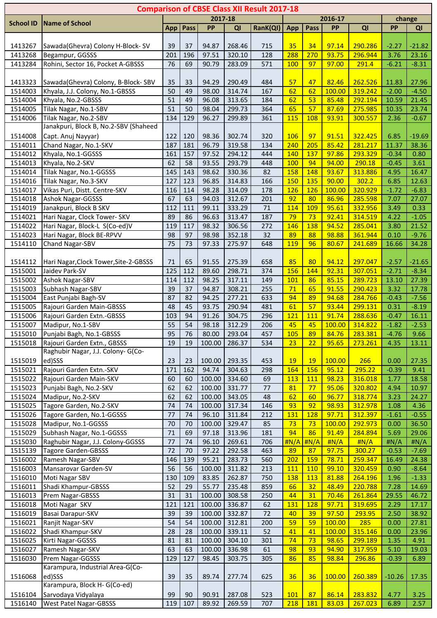|                    |                                                                   |              |          |                 |                  | <b>Comparison of CBSE Class XII Result 2017-18</b> |             |                  |                 |                    |                 |                  |
|--------------------|-------------------------------------------------------------------|--------------|----------|-----------------|------------------|----------------------------------------------------|-------------|------------------|-----------------|--------------------|-----------------|------------------|
| <b>School ID</b>   | <b>Name of School</b>                                             |              |          | 2017-18         |                  |                                                    |             |                  | 2016-17         |                    |                 | change           |
|                    |                                                                   | App          | Pass     | PP              | QI               | RanK(QI)                                           | App         | Pass             | PP              | QI                 | PP              | QI               |
|                    |                                                                   |              |          |                 |                  |                                                    |             |                  |                 |                    |                 |                  |
| 1413267            | Sawada(Ghevra) Colony H-Block-SV                                  | 39           | 37       | 94.87           | 268.46           | 715                                                | 35          | 34               | 97.14           | 290.286            | $-2.27$         | $-21.82$         |
| 1413268            | Begampur, GGSSS                                                   | 201          | 196      | 97.51           | 320.10           | 128                                                | 288         | 270              | 93.75           | 296.944            | 3.76            | 23.16            |
| 1413284            | Rohini, Sector 16, Pocket A-GBSSS                                 | 76           | 69       | 90.79           | 283.09           | 571                                                | <b>100</b>  | 97               | 97.00           | 291.4              | $-6.21$         | $-8.31$          |
|                    |                                                                   |              |          |                 |                  |                                                    |             |                  |                 |                    |                 |                  |
| 1413323            | Sawada(Ghevra) Colony, B-Block-SBV                                | 35           | 33       | 94.29           | 290.49           | 484                                                | 57          | 47               | 82.46           | 262.526            | 11.83           | 27.96            |
| 1514003            | Khyala, J.J. Colony, No.1-GBSSS                                   | 50           | 49       | 98.00           | 314.74           | 167                                                | 62          | 62               | 100.00          | 319.242            | $-2.00$         | $-4.50$          |
| 1514004            | Khyala, No.2-GBSSS                                                | 51           | 49       | 96.08           | 313.65           | 184                                                | 62          | 53               | 85.48           | 292.194            | 10.59           | 21.45            |
| 1514005            | Tilak Nagar, No.1-SBV                                             | 51           | 50       | 98.04           | 299.73           | 364                                                | 65          | 57               | 87.69           | 275.985            | 10.35           | 23.74            |
| 1514006            | Tilak Nagar, No.2-SBV                                             | 134          | 129      | 96.27           | 299.89           | 361                                                | <b>115</b>  | <b>108</b>       | 93.91           | 300.557            | 2.36            | $-0.67$          |
|                    | Janakpuri, Block B, No.2-SBV (Shaheed                             |              |          |                 |                  |                                                    |             |                  |                 |                    |                 |                  |
| 1514008            | Capt. Anuj Nayyar)                                                | 122          | 120      | 98.36           | 302.74           | 320                                                | 106         | 97               | 91.51           | 322.425            | 6.85            | $-19.69$         |
| 1514011            | Chand Nagar, No.1-SKV                                             | 187          | 181      | 96.79           | 319.58           | 134                                                | 240         | 205              | 85.42           | 281.217            | 11.37           | 38.36            |
| 1514012            | Khyala, No.1-GGSSS                                                | 161          | 157      | 97.52           | 294.12           | 444                                                | 140         | 137              | 97.86           | 293.329            | $-0.34$         | 0.80             |
| 1514013            | Khyala, No.2-SKV                                                  | 62           | 58       | 93.55           | 293.79           | 448                                                | <b>100</b>  | 94               | 94.00           | 290.18             | $-0.45$         | 3.61             |
| 1514014            | Tilak Nagar, No.1-GGSSS                                           | 145          | 143      | 98.62           | 330.36           | 82                                                 | 158         | 148              | 93.67           | 313.886            | 4.95            | 16.47            |
| 1514016            | Tilak Nagar, No.3-SKV                                             | 127          | 123      | 96.85           | 314.83           | 166                                                | <b>150</b>  | 135              | 90.00           | 302.2              | 6.85            | 12.63            |
| 1514017            | Vikas Puri, Distt. Centre-SKV                                     | 116          | 114      | 98.28           | 314.09           | 178                                                | 126         | 126              | 100.00          | 320.929            | $-1.72$         | $-6.83$          |
| 1514018            | Ashok Nagar-GGSSS                                                 | 67           | 63       | 94.03           | 312.67           | 201                                                | 92          | 80               | 86.96           | 285.598            | 7.07            | 27.07            |
| 1514019            | Janakpuri, Block B SKV                                            | 112          | 111      | 99.11           | 333.29           | 71                                                 | 114         | 109              | 95.61           | 332.956            | 3.49            | 0.33             |
| 1514021            | Hari Nagar, Clock Tower- SKV                                      | 89           | 86       | 96.63           | 313.47           | 187                                                | 79          | 73               | 92.41           | 314.519            | 4.22            | $-1.05$          |
| 1514022            | Hari Nagar, Block-L S(Co-ed)V                                     | 119          | 117      | 98.32           | 306.56           | 272                                                | 146         | 138              | 94.52           | 285.041            | 3.80            | 21.52            |
| 1514023            | Hari Nagar, Block BE-RPVV                                         | 98           | 97       | 98.98           | 352.18           | 32                                                 | 89          | 88               | 98.88           | 361.944            | 0.10            | $-9.76$          |
| 1514110            | Chand Nagar-SBV                                                   | 75           | 73       | 97.33           | 275.97           | 648                                                | <b>119</b>  | 96               | 80.67           | 241.689            | 16.66           | 34.28            |
|                    |                                                                   |              |          |                 |                  |                                                    |             |                  |                 |                    |                 |                  |
| 1514112            | Hari Nagar, Clock Tower, Site-2-GBSSS                             | 71           | 65       | 91.55           | 275.39           | 658                                                | 85          | 80               | 94.12           | 297.047            | $-2.57$         | $-21.65$         |
| 1515001            | Jaidev Park-SV                                                    | 125          | 112      | 89.60           | 298.71           | 374                                                | 156         | 144              | 92.31           | 307.051            | $-2.71$         | $-8.34$          |
| 1515002            | <b>Ashok Nagar-SBV</b>                                            | 114          | 112      | 98.25           | 317.11           | 149                                                | 101         | 86               | 85.15           | 289.723            | 13.10           | 27.39            |
| 1515003            | Subhash Nagar-SBV                                                 | 39           | 37       | 94.87           | 308.21           | 255                                                | 71          | 65               | 91.55           | 290.423            | 3.32            | 17.78            |
| 1515004            | East Punjabi Bagh-SV                                              | 87           | 82       | 94.25           | 277.21           | 633                                                | 94          | 89               | 94.68           | 284.766            | $-0.43$         | $-7.56$          |
| 1515005            | Rajouri Garden Main-GBSSS                                         | 48           | 45       | 93.75           | 290.94           | 481                                                | 61          | 57               | 93.44           | 299.131            | 0.31            | $-8.19$          |
| 1515006            | Rajouri Garden Extn.-GBSSS                                        | 103          | 94       | 91.26           | 304.75           | 296                                                | 121         | 111              | 91.74           | 288.636            | $-0.47$         | 16.11            |
| 1515007            | Madipur, No.1-SBV                                                 | 55           | 54       | 98.18           | 312.29           | 206                                                | 45          | 45               | 100.00          | 314.822            | $-1.82$         | $-2.53$          |
| 1515010            | Punjabi Bagh, No.1-GBSSS                                          | 95           | 76       | 80.00           | 293.04           | 457                                                | 105         | 89               | 84.76           | 283.381            | $-4.76$         | 9.66             |
| 1515018            | Rajouri Garden Extn., GBSSS<br>Raghubir Nagar, J.J. Colony- G(Co- | 19           | 19       | 100.00          | 286.37           | 534                                                | 23          | 22               | 95.65           | 273.261            | 4.35            | 13.11            |
|                    |                                                                   |              |          |                 |                  |                                                    |             |                  |                 |                    |                 |                  |
| 1515019            | ed)SSS                                                            | 23           | 23       | 100.00          | 293.35           | 453                                                | <b>19</b>   | <b>19</b>        | 100.00          | 266                | 0.00            | 27.35            |
| 1515021            | Rajouri Garden Extn.-SKV                                          | 171          | 162      | 94.74           | 304.63           | 298                                                | 164         | 156              | 95.12<br>98.23  | 295.22             | $-0.39$         | 9.41             |
| 1515022            | Rajouri Garden Main-SKV                                           | 60<br>62     | 60<br>62 | 100.00          | 334.60           | 69                                                 | <b>113</b>  | <b>111</b><br>77 |                 | 316.018            | 1.77            | 18.58            |
| 1515023            | Punjabi Bagh, No.2-SKV                                            |              |          | 100.00          | 331.77           | 77                                                 | 81          |                  | 95.06           | 320.802            | 4.94            | 10.97            |
| 1515024            | Madipur, No.2-SKV                                                 | 62           | 62       | 100.00          | 343.05           | 48                                                 | 62          | 60               | 96.77           | 318.774<br>312.978 | 3.23            | 24.27            |
| 1515025            | Tagore Garden, No.2-SKV                                           | 74<br>77     | 74<br>74 | 100.00          | 317.34           | 146                                                | 93<br>131   | 92<br><b>128</b> | 98.93           |                    | 1.08            | 4.36             |
| 1515026            | Tagore Garden, No.1-GGSSS                                         | 70           |          | 96.10           | 311.84           | 212                                                | 73          |                  | 97.71<br>100.00 | 312.397            | $-1.61$         | $-0.55$          |
| 1515028            | Madipur, No.1-GGSSS                                               |              | 70       | 100.00          | 329.47           | 85                                                 |             | 73<br>86         |                 | 292.973            | 0.00            | 36.50            |
| 1515029            | Subhash Nagar, No.1-GGSSS<br>Raghubir Nagar, J.J. Colony-GGSSS    | $71\,$<br>77 | 69<br>74 | 97.18           | 313.96           | 181<br>706                                         | 94<br>H N/A | H N/A            | 91.49<br>H N/A  | 284.894<br>H N/A   | 5.69            | 29.06<br>H N/A   |
| 1515030<br>1515139 | Tagore Garden-GBSSS                                               | 72           | 70       | 96.10           | 269.61<br>292.58 |                                                    | 89          | 87               | 97.75           | 300.27             | #N/A<br>$-0.53$ | $-7.69$          |
|                    | Ramesh Nagar-SBV                                                  | 146          | 139      | 97.22<br>95.21  | 283.73           | 463<br>560                                         | 202         | <b>159</b>       | 78.71           | 259.347            |                 |                  |
| 1516002<br>1516003 | Mansarovar Garden-SV                                              | 56           | 56       |                 | 311.82           |                                                    | <b>111</b>  | <b>110</b>       | 99.10           | 320.459            | 16.49           | 24.38<br>$-8.64$ |
| 1516010            | Moti Nagar SBV                                                    | 130          | 109      | 100.00<br>83.85 | 262.87           | 213                                                | 138         | 113              | 81.88           | 264.196            | 0.90<br>1.96    | $-1.33$          |
| 1516011            | Shadi Khampur-GBSSS                                               | 52           | 29       | 55.77           | 235.48           | 750<br>859                                         | 66          | 32               | 48.49           | 220.788            | 7.28            | 14.69            |
| 1516013            | Prem Nagar-GBSSS                                                  | 31           | 31       | 100.00          | 308.58           | 250                                                | 44          | 31               | 70.46           | 261.864            | 29.55           | 46.72            |
| 1516018            | Moti Nagar SKV                                                    | 121          | 121      | 100.00          | 336.87           | 62                                                 | 131         | 128              | 97.71           | 319.695            | 2.29            | 17.17            |
| 1516019            | Basai Darapur-SKV                                                 | 39           | 39       | 100.00          | 332.87           | 72                                                 | 40          | 39               | 97.50           | 293.95             | 2.50            | 38.92            |
| 1516021            | Ranjit Nagar-SKV                                                  | 54           | 54       | 100.00          | 312.81           | 200                                                | 59          | 59               | 100.00          | 285                | 0.00            | 27.81            |
| 1516022            | Shadi Khampur-SKV                                                 | 28           | 28       | 100.00          | 339.11           | 52                                                 | 41          | 41               | 100.00          | 315.146            | 0.00            | 23.96            |
| 1516025            | Kirti Nagar-GGSSS                                                 | 81           | 81       | 100.00          | 304.10           | 301                                                | 74          | 73               | 98.65           | 299.189            | 1.35            | 4.91             |
| 1516027            | Ramesh Nagar-SKV                                                  | 63           | 63       | 100.00          | 336.98           | 61                                                 | 98          | 93               | 94.90           | 317.959            | 5.10            | 19.03            |
| 1516030            | Prem Nagar-GGSSS                                                  | 129          | 127      | 98.45           | 303.75           | 305                                                | 86          | 85               | 98.84           | 296.86             | $-0.39$         | 6.89             |
|                    | Karampura, Industrial Area-G(Co-                                  |              |          |                 |                  |                                                    |             |                  |                 |                    |                 |                  |
| 1516068            | ed)SSS                                                            | 39           | 35       | 89.74           | 277.74           | 625                                                | 36          | 36               | 100.00          | 260.389            | $-10.26$        | 17.35            |
|                    | Karampura, Block H- G(Co-ed)                                      |              |          |                 |                  |                                                    |             |                  |                 |                    |                 |                  |
| 1516104            | Sarvodaya Vidyalaya                                               | 99           | 90       | 90.91           | 287.08           | 523                                                | <b>101</b>  | 87               | 86.14           | 283.832            | 4.77            | 3.25             |
| 1516140            | <b>West Patel Nagar-GBSSS</b>                                     | 119          | 107      | 89.92           | 269.59           | 707                                                | 218         | 181              | 83.03           | 267.023            | 6.89            | 2.57             |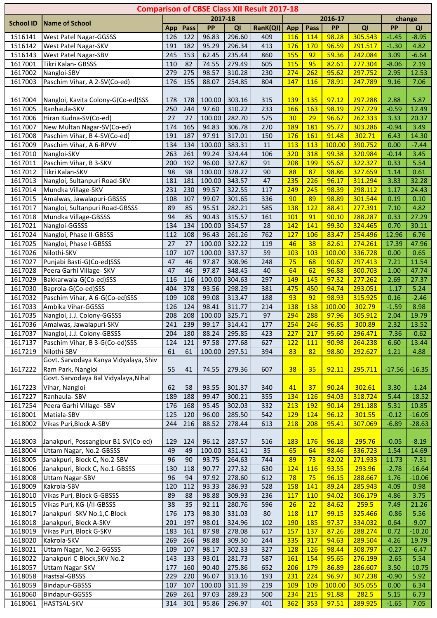|                    |                                       |            |            |                |                  | <b>Comparison of CBSE Class XII Result 2017-18</b> |            |            |                 |                    |                 |              |
|--------------------|---------------------------------------|------------|------------|----------------|------------------|----------------------------------------------------|------------|------------|-----------------|--------------------|-----------------|--------------|
|                    |                                       |            |            | 2017-18        |                  |                                                    |            |            | 2016-17         |                    |                 | change       |
| <b>School ID</b>   | <b>Name of School</b>                 | App        | Pass       | PP             | QI               | RanK(QI)                                           | App        | Pass       | PP              | QI                 | <b>PP</b>       | QI           |
| 1516141            | West Patel Nagar-GGSSS                | 126        | 122        | 96.83          | 296.60           | 409                                                | 116        | 114        | 98.28           | 305.543            | $-1.45$         | $-8.95$      |
| 1516142            | West Patel Nagar-SKV                  | 191        | 182        | 95.29          | 296.34           | 413                                                | 176        | 170        | 96.59           | 291.517            | $-1.30$         | 4.82         |
| 1516143            | West Patel Nagar-SBV                  | 245        | 153        | 62.45          | 235.44           | 860                                                | 155        | 92         | 59.36           | 242.084            | 3.09            | $-6.64$      |
| 1617001            | Tikri Kalan- GBSSS                    | 110        | 82         | 74.55          | 279.49           | 605                                                | 115        | 95         | 82.61           | 277.304            | $-8.06$         | 2.19         |
| 1617002            | Nangloi-SBV                           | 279        | 275        | 98.57          | 310.28           | 230                                                | 274        | 262        | 95.62           | 297.752            | 2.95            | 12.53        |
| 1617003            | Paschim Vihar, A 2-SV(Co-ed)          | 176        | 155        | 88.07          | 254.85           | 804                                                | 147        | 116        | 78.91           | 247.789            | 9.16            | 7.06         |
|                    |                                       |            |            |                |                  |                                                    |            |            |                 |                    |                 |              |
| 1617004            | Nangloi, Kavita Colony-G(Co-ed)SSS    | 178        | 178        | 100.00         | 303.16           | 315                                                | <b>139</b> | 135        | 97.12           | 297.288            | 2.88            | 5.87         |
| 1617005            | Ranhaula-SKV                          | 250        | 244        | 97.60          | 310.22           | 233                                                | 166        | 163        | 98.19           | 297.729            | $-0.59$         | 12.49        |
| 1617006            | Hiran Kudna-SV(Co-ed)                 | 27         | 27         | 100.00         | 282.70           | 575                                                | 30         | 29         | 96.67           | 262.333            | 3.33            | 20.37        |
| 1617007            | New Multan Nagar-SV(Co-ed)            | 174        | 165        | 94.83          | 306.78           | 270                                                | 189        | 181        | 95.77           | 303.286            | $-0.94$         | 3.49         |
| 1617008            | Paschim Vihar, B 4-SV(Co-ed)          | 191        | 187        | 97.91          | 317.01           | 150                                                | 176        | 161        | 91.48           | 302.71             | 6.43            | 14.30        |
| 1617009            | Paschim Vihar, A 6-RPVV               | 134<br>263 | 134        | 100.00         | 383.31           | 11                                                 | 113<br>320 | 113<br>318 | 100.00<br>99.38 | 390.752<br>320.984 | 0.00<br>$-0.14$ | $-7.44$      |
| 1617010<br>1617011 | Nangloi-SKV<br>Paschim Vihar, B 3-SKV | 200        | 261<br>192 | 99.24<br>96.00 | 324.44<br>327.87 | 106<br>91                                          | 208        | <b>199</b> | 95.67           | 322.327            | 0.33            | 3.45<br>5.54 |
| 1617012            | Tikri Kalan-SKV                       | 98         | 98         | 100.00         | 328.27           | 90                                                 | 88         | 87         | 98.86           | 327.659            | 1.14            | 0.61         |
| 1617013            | Nangloi, Sultanpuri Road-SKV          | 181        | 181        | 100.00         | 343.57           | 47                                                 | 235        | 226        | 96.17           | 311.294            | 3.83            | 32.28        |
| 1617014            | Mundka Village-SKV                    | 231        | 230        | 99.57          | 322.55           | 117                                                | 249        | 245        | 98.39           | 298.112            | 1.17            | 24.43        |
| 1617015            | Amalwas, Jawalapuri-GBSSS             | 108        | 107        | 99.07          | 301.65           | 336                                                | 90         | 89         | 98.89           | 301.544            | 0.19            | 0.10         |
| 1617017            | Nangloi, Sultanpuri Road-GBSSS        | 89         | 85         | 95.51          | 282.21           | 585                                                | 138        | 122        | 88.41           | 277.391            | 7.10            | 4.82         |
| 1617018            | Mundka Village-GBSSS                  | 94         | 85         | 90.43          | 315.57           | 161                                                | 101        | 91         | 90.10           | 288.287            | 0.33            | 27.29        |
| 1617021            | Nangloi-GGSSS                         | 134        | 134        | 100.00         | 354.57           | 28                                                 | 142        | 141        | 99.30           | 324.465            | 0.70            | 30.11        |
| 1617024            | Nangloi, Phase II-GBSSS               | 112        | 108        | 96.43          | 261.26           | 762                                                | 127        | 106        | 83.47           | 254.496            | 12.96           | 6.76         |
| 1617025            | Nangloi, Phase I-GBSSS                | 27         | 27         | 100.00         | 322.22           | 119                                                | 46         | 38         | 82.61           | 274.261            | 17.39           | 47.96        |
| 1617026            | Nilothi-SKV                           | 107        | 107        | 100.00         | 337.37           | 59                                                 | 103        | 103        | 100.00          | 336.728            | 0.00            | 0.65         |
| 1617027            | Punjabi Basti-G(Co-ed)SSS             | 47         | 46         | 97.87          | 308.96           | 248                                                | 75         | 68         | 90.67           | 297.413            | 7.21            | 11.54        |
| 1617028            | Peera Garhi Village- SKV              | 47         | 46         | 97.87          | 348.45           | 40                                                 | 64         | 62         | 96.88           | 300.703            | 1.00            | 47.74        |
| 1617029            | Bakkarwala-G(Co-ed)SSS                | 116        | 116        | 100.00         | 304.63           | 297                                                | 149        | 145        | 97.32           | 277.262            | 2.69            | 27.37        |
| 1617030            | Baprola-G(Co-ed)SSS                   | 404        | 378        | 93.56          | 298.29           | 381                                                | 475        | 450        | 94.74           | 293.051            | $-1.17$         | 5.24         |
| 1617032            | Paschim Vihar, A 6-G(Co-ed)SSS        | 109        | 108        | 99.08          | 313.47           | 188                                                | 93         | 92         | 98.93           | 315.925            | 0.16            | $-2.46$      |
| 1617033            | Ambika Vihar-GGSSS                    | 126        | 124        | 98.41          | 311.77           | 214                                                | 138        | 138        | 100.00          | 302.79             | $-1.59$         | 8.98         |
| 1617035            | Nangloi, J.J. Colony-GGSSS            | 208        | 208        | 100.00         | 325.71           | 97                                                 | 294        | 288        | 97.96           | 305.912            | 2.04            | 19.79        |
| 1617036            | Amalwas, Jawalapuri-SKV               | 241        | 239        | 99.17          | 314.41           | 177                                                | 254        | 246        | 96.85           | 300.89             | 2.32            | 13.52        |
| 1617037            | Nangloi, J.J. Colony-GBSSS            | 204        | 180        | 88.24          | 295.85           | 423                                                | 227        | 217        | 95.60           | 296.471            | $-7.36$         | $-0.62$      |
| 1617137            | Paschim Vihar, B 3-G(Co-ed)SSS        | 124        | 121        | 97.58          | 277.68           | 627                                                | 122        | <b>111</b> | 90.98           | 264.238            | 6.60            | 13.44        |
| 1617219            | Nilothi-SBV                           | 61         | 61         | 100.00         | 297.51           | 394                                                | 83         | 82         | 98.80           | 292.627            | 1.21            | 4.88         |
|                    | Govt. Sarvodaya Kanya Vidyalaya, Shiv |            |            |                |                  |                                                    |            |            |                 |                    |                 |              |
| 1617222            | Ram Park, Nangloi                     | 55         | 41         | 74.55          | 279.36           | 607                                                | 38         | 35         | 92.11           | 295.711            | $-17.56$        | $-16.35$     |
|                    | Govt. Sarvodaya Bal Vidyalaya, Nihal  |            |            |                |                  |                                                    |            |            |                 |                    |                 |              |
| 1617223            | Vihar, Nangloi                        | 62         | 58         | 93.55          | 301.37           | 340                                                | 41         | 37         | 90.24           | 302.61             | 3.30            | $-1.24$      |
| 1617227            | Ranhaula-SBV                          | 189        | 188        | 99.47          | 300.21           | 355                                                | 134        | 126        | 94.03           | 318.724            | 5.44            | $-18.52$     |
| 1617254            | Peera Garhi Village- SBV              | 176        | 168        | 95.45          | 302.03           | 332                                                | 213        | <b>192</b> | 90.14           | 291.188            | 5.31            | 10.85        |
| 1618001            | Matiala-SBV                           | 125        | 120        | 96.00          | 285.50           | 542                                                | <b>129</b> | 124        | 96.12           | 301.55             | $-0.12$         | $-16.05$     |
| 1618002            | Vikas Puri, Block A-SBV               | 244        | 216        | 88.52          | 278.44           | 613                                                | 218        | 208        | 95.41           | 307.069            | $-6.89$         | $-28.63$     |
| 1618003            | Janakpuri, Possangipur B1-SV(Co-ed)   | 129        | 124        | 96.12          | 287.57           | 516                                                | <b>183</b> | 176        | 96.18           | 295.76             | $-0.05$         | $-8.19$      |
| 1618004            | Uttam Nagar, No.2-GBSSS               | 49         | 49         | 100.00         | 351.41           | 35                                                 | 65         | 64         | 98.46           | 336.723            | 1.54            | 14.69        |
| 1618005            | Janakpuri, Block C, No.2-SBV          | 96         | 90         | 93.75          | 264.63           | 744                                                | 89         | 73         | 82.02           | 271.933            | 11.73           | $-7.31$      |
| 1618006            | Janakpuri, Block C, No.1-GBSSS        | 130        | 118        | 90.77          | 277.32           | 630                                                | 124        | 116        | 93.55           | 293.96             | $-2.78$         | $-16.64$     |
| 1618008            | <b>Uttam Nagar-SBV</b>                | 96         | 94         | 97.92          | 278.60           | 612                                                | 78         | 75         | 96.15           | 288.667            | 1.76            | $-10.06$     |
| 1618009            | Kakrola-SBV                           | 120        | 112        | 93.33          | 286.93           | 528                                                | 158        | 141        | 89.24           | 285.943            | 4.09            | 0.98         |
| 1618010            | Vikas Puri, Block G-GBSSS             | 89         | 88         | 98.88          | 309.93           | 236                                                | <b>117</b> | 110        | 94.02           | 306.179            | 4.86            | 3.75         |
| 1618015            | Vikas Puri, KG-I/II-GBSSS             | 38         | 35         | 92.11          | 280.76           | 596                                                | 26         | 22         | 84.62           | 259.5              | 7.49            | 21.26        |
| 1618017            | Janakpuri - SKV No.1, C-Block         | 176        | 173        | 98.30          | 331.03           | 80                                                 | <b>118</b> | 117        | 99.15           | 325.466            | $-0.86$         | 5.56         |
| 1618018            | Janakpuri, Block A-SKV                | 201        | 197        | 98.01          | 324.96           | 102                                                | <b>190</b> | 185        | 97.37           | 334.032            | 0.64            | $-9.07$      |
| 1618019            | Vikas Puri, Block G-SKV               | 183        | 161        | 87.98          | 278.08           | 617                                                | 157        | 137        | 87.26           | 288.274            | 0.72            | $-10.20$     |
| 1618020            | Kakrola-SKV                           | 269        | 266        | 98.88          | 309.30           | 244                                                | 335        | 317        | 94.63           | 289.504            | 4.26            | 19.79        |
| 1618021            | Uttam Nagar, No.2-GGSSS               | 109        | 107        | 98.17          | 302.33           | 327                                                | <b>128</b> | 126        | 98.44           | 308.797            | $-0.27$         | $-6.47$      |
| 1618022            | Janakpuri C-Block, SKV No.2           | 143        | 133        | 93.01          | 281.73           | 587                                                | <b>161</b> | 154        | 95.65           | 276.199            | $-2.65$         | 5.54         |
| 1618057            | Uttam Nagar-SKV                       | 177        | 160        | 90.40          | 275.86           | 652                                                | 206        | <b>179</b> | 86.89           | 286.607            | 3.50            | $-10.75$     |
| 1618058            | Hastsal-GBSSS                         | 229        | 220        | 96.07          | 313.16           | 193                                                | 231        | 224        | 96.97           | 307.238            | $-0.90$         | 5.92         |
| 1618059            | Bindapur-GBSSS                        | 107        | 107        | 100.00         | 311.39           | 219                                                | <b>109</b> | <b>109</b> | 100.00          | 305.055            | 0.00            | 6.34         |
| 1618060            | Bindapur-GGSSS                        | 269        | 261        | 97.03          | 289.23           | 500                                                | 234        | 215        | 91.88           | 282.5              | 5.15            | 6.73         |
| 1618061            | HASTSAL-SKV                           | 314        | 301        | 95.86          | 296.97           | 401                                                | 362        | 353        | 97.51           | 289.925            | $-1.65$         | 7.05         |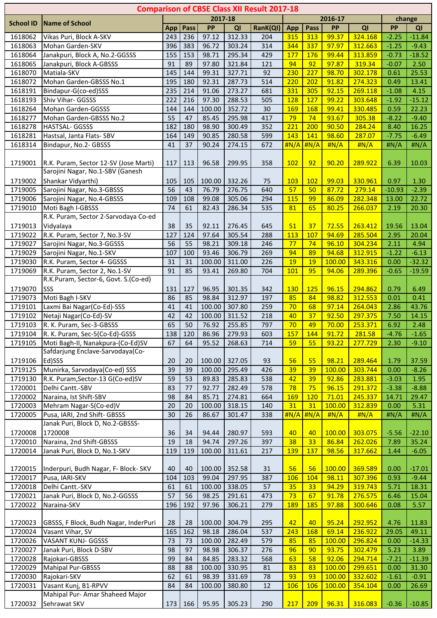|                    |                                                        |            |           |                 |                  | <b>Comparison of CBSE Class XII Result 2017-18</b> |             |                  |                 |                  |                  |                  |
|--------------------|--------------------------------------------------------|------------|-----------|-----------------|------------------|----------------------------------------------------|-------------|------------------|-----------------|------------------|------------------|------------------|
| <b>School ID</b>   | <b>Name of School</b>                                  |            |           | 2017-18         |                  |                                                    |             |                  | 2016-17         |                  |                  | change           |
|                    |                                                        | App        | Pass      | PP              | QI               | RanK(QI)                                           | App         | Pass             | PP              | QI               | <b>PP</b>        | QI               |
| 1618062            | Vikas Puri, Block A-SKV                                | 243        | 236       | 97.12           | 312.33           | 204                                                | 315         | 313              | 99.37           | 324.168          | $-2.25$          | $-11.84$         |
| 1618063            | Mohan Garden-SKV                                       | 396        | 383       | 96.72           | 303.24           | 314                                                | 344         | 337              | 97.97           | 312.663          | $-1.25$          | $-9.43$          |
| 1618064            | Janakpuri, Block A, No.2-GGSSS                         | 155        | 153       | 98.71           | 295.34           | 429                                                | 177         | 176              | 99.44           | 313.859          | $-0.73$          | $-18.52$         |
| 1618065            | Janakpuri, Block A-GBSSS                               | 91         | 89        | 97.80           | 321.84           | 121                                                | 94          | 92               | 97.87           | 319.34           | $-0.07$          | 2.50             |
| 1618070            | Matiala-SKV                                            | 145        | 144       | 99.31           | 327.71           | 92                                                 | 230         | 227              | 98.70           | 302.178          | 0.61             | 25.53            |
| 1618072            | Mohan Garden-GBSSS No.1                                | 195        | 180       | 92.31           | 287.73           | 514                                                | 220         | 202              | 91.82           | 274.323          | 0.49             | 13.41            |
| 1618191            | Bindapur-G(co-ed)SSS                                   | 235        | 214       | 91.06           | 273.27           | 681                                                | 331         | 305              | 92.15           | 269.118          | $-1.08$          | 4.15             |
| 1618193            | Shiv Vihar- GGSSS                                      | 222        | 216       | 97.30           | 288.53           | 505                                                | 128         | 127              | 99.22           | 303.648          | $-1.92$          | $-15.12$         |
| 1618264            | Mohan Garden-GGSSS                                     | 144        | 144       | 100.00          | 352.72           | 30                                                 | <b>169</b>  | 168              | 99.41           | 330.485          | 0.59             | 22.23            |
| 1618277            | Mohan Garden-GBSSS No.2                                | 55         | 47        | 85.45           | 295.98           | 417                                                | 79          | 74               | 93.67           | 305.38           | $-8.22$          | $-9.40$          |
| 1618278            | <b>HASTSAL- GGSSS</b>                                  | 182<br>164 | 180       | 98.90           | 300.49           | 352                                                | 221<br>143  | 200<br>141       | 90.50<br>98.60  | 284.24<br>287.07 | 8.40             | 16.25            |
| 1618281<br>1618314 | Hastsal, Janta Flats-SBV<br>Bindapur, No.2- GBSSS      | 41         | 149<br>37 | 90.85<br>90.24  | 280.58<br>274.15 | 599<br>672                                         | H N/A       | #N/A             | H N/A           | H N/A            | $-7.75$<br>H N/A | $-6.49$<br>H N/A |
|                    |                                                        |            |           |                 |                  |                                                    |             |                  |                 |                  |                  |                  |
| 1719001            | R.K. Puram, Sector 12-SV (Jose Marti)                  | 117        | 113       | 96.58           | 299.95           | 358                                                | 102         | 92               | 90.20           | 289.922          | 6.39             | 10.03            |
|                    | Sarojini Nagar, No.1-SBV (Ganesh                       |            |           |                 |                  |                                                    |             |                  |                 |                  |                  |                  |
| 1719002            | Shankar Vidyarthi)                                     | 105        | 105       | 100.00          | 332.26           | 75                                                 | 103         | 102              | 99.03           | 330.961          | 0.97             | 1.30             |
| 1719005            | Sarojini Nagar, No.3-GBSSS                             | 56         | 43        | 76.79           | 276.75           | 640                                                | 57          | 50               | 87.72           | 279.14           | $-10.93$         | $-2.39$          |
| 1719006            | Sarojini Nagar, No.4-GBSSS                             | 109        | 108       | 99.08           | 305.06           | 294                                                | <b>115</b>  | 99               | 86.09           | 282.348          | 13.00            | 22.72            |
| 1719010            | Moti Bagh I-GBSSS                                      | 74         | 61        | 82.43           | 286.34           | 535                                                | 81          | 65               | 80.25           | 266.037          | 2.19             | 20.30            |
|                    | R.K. Puram, Sector 2-Sarvodaya Co-ed                   |            |           |                 |                  |                                                    |             |                  |                 |                  |                  |                  |
| 1719013            | Vidyalaya                                              | 38         | 35        | 92.11           | 276.45           | 645                                                | 51          | 37               | 72.55           | 263.412          | 19.56            | 13.04            |
| 1719022            | R.K. Puram, Sector 7, No.3-SV                          | 127        | 124       | 97.64           | 305.54           | 288                                                | 113         | 107              | 94.69           | 285.504          | 2.95             | 20.04            |
| 1719027            | Sarojini Nagar, No.3-GGSSS                             | 56         | 55        | 98.21           | 309.18           | 246                                                | 77          | 74               | 96.10           | 304.234          | 2.11             | 4.94             |
| 1719029            | Sarojini Nagar, No.1-SKV                               | 107        | 100       | 93.46           | 306.79           | 269                                                | 94          | 89               | 94.68           | 312.915          | $-1.22$          | $-6.13$          |
| 1719030            | R.K. Puram, Sector 4- GGSSS                            | 31         | 31        | 100.00          | 311.00           | 226                                                | 19          | 19               | 100.00          | 343.316          | 0.00             | $-32.32$         |
| 1719069            | R.K. Puram, Sector 2, No.1-SV                          | 91         | 85        | 93.41           | 269.80           | 704                                                | <b>101</b>  | 95               | 94.06           | 289.396          | $-0.65$          | $-19.59$         |
|                    | R.K.Puram, Sector-6, Govt. S.(Co-ed)                   |            |           |                 |                  |                                                    |             |                  |                 |                  |                  |                  |
| 1719070            | SSS                                                    | 131        | 127       | 96.95           | 301.35           | 342                                                | <b>130</b>  | <b>125</b>       | 96.15           | 294.862          | 0.79             | 6.49             |
| 1719073            | Moti Bagh I-SKV                                        | 86         | 85        | 98.84           | 312.97           | 197                                                | 85          | 84               | 98.82           | 312.553          | 0.01             | 0.41             |
| 1719101            | Laxmi Bai Nagar(Co-Ed)-SSS                             | 41         | 41        | 100.00          | 307.80           | 259                                                | 70          | 68               | 97.14           | 264.043          | 2.86             | 43.76            |
| 1719102            | Netaji Nagar(Co-Ed)-SV                                 | 42         | 42        | 100.00          | 311.52           | 218                                                | 40          | 37               | 92.50           | 297.375          | 7.50             | 14.15            |
| 1719103            | R. K. Puram, Sec-3-GBSSS                               | 65         | 50        | 76.92           | 255.85           | 797                                                | 70          | 49               | 70.00           | 253.371          | 6.92             | 2.48             |
| 1719104            | R. K. Puram, Sec-5(Co-Ed)-GSSS                         | 138        | 120       | 86.96           | 279.93           | 603                                                | 157         | $\overline{144}$ | 91.72           | 281.58           | $-4.76$          | $-1.65$          |
| 1719105            | Moti Bagh-II, Nanakpura-(Co-Ed)SV                      | 67         | 64        | 95.52           | 268.63           | 714                                                | 59          | 55               | 93.22           | 277.729          | 2.30             | $-9.10$          |
|                    | Safdarjung Enclave-Sarvodaya(Co-                       |            |           |                 |                  |                                                    |             |                  |                 |                  |                  |                  |
| 1719106            | Ed)SSS                                                 | 20         | 20        | 100.00          | 327.05           | 93                                                 | 56          | 55               | 98.21           | 289.464          | 1.79             | 37.59            |
| 1719125            | Munirka, Sarvodaya(Co-ed) SSS                          | 39         | 39        | 100.00          | 295.49           | 426                                                | 39          | 39               | 100.00          | 303.744          | 0.00             | $-8.26$          |
| 1719130            | R.K. Puram, Sector-13 G(Co-ed)SV                       | 59         | 53        | 89.83           | 285.83           | 538                                                | 42          | 39               | 92.86           | 283.881          | $-3.03$          | 1.95             |
| 1720001            | Delhi Cantt.-SBV                                       | 83         | 77        | 92.77           | 282.49           | 578                                                | 78          | 75               | 96.15           | 291.372          | $-3.38$          | $-8.88$          |
| 1720002            | Naraina, Ist Shift-SBV                                 | 98         | 84        | 85.71           | 274.81           | 664                                                | <b>169</b>  | 120              | 71.01           | 245.337          | 14.71            | 29.47            |
| 1720003            | Mehram Nagar-S(Co-ed)V<br>Pusa, IARI, 2nd Shift- GBSSS | 20<br>30   | 20<br>26  | 100.00<br>86.67 | 318.15<br>301.47 | 140<br>338                                         | 31<br>H N/A | 31<br>H N/A      | 100.00<br>H N/A | 312.839<br>H N/A | 0.00             | 5.31             |
| 1720005            | Janak Puri, Block D, No.2-GBSSS-                       |            |           |                 |                  |                                                    |             |                  |                 |                  | H N/A            | H N/A            |
| 1720008            | 1720008                                                | 36         | 34        | 94.44           | 280.97           | 593                                                | 40          | 40               | 100.00          | 303.075          | $-5.56$          | $-22.10$         |
| 1720010            | Naraina, 2nd Shift-GBSSS                               | 19         | 18        | 94.74           | 297.26           | 397                                                | 38          | 33               | 86.84           | 262.026          | 7.89             | 35.24            |
| 1720014            | Janak Puri, Block D, No.1-SKV                          | 119        | 119       | 100.00          | 311.61           | 217                                                | 139         | 137              | 98.56           | 317.662          | 1.44             | $-6.05$          |
|                    |                                                        |            |           |                 |                  |                                                    |             |                  |                 |                  |                  |                  |
| 1720015            | Inderpuri, Budh Nagar, F- Block- SKV                   | 40         | 40        | 100.00          | 352.58           | 31                                                 | 56          | 56               | 100.00          | 369.589          | 0.00             | $-17.01$         |
| 1720017            | Pusa, IARI-SKV                                         | 104        | 103       | 99.04           | 297.95           | 387                                                | 106         | 104              | 98.11           | 307.396          | 0.93             | $-9.44$          |
| 1720018            | Delhi Cantt.-SKV                                       | 61         | 61        | 100.00          | 338.05           | 57                                                 | 35          | 33               | 94.29           | 319.743          | 5.71             | 18.31            |
| 1720021            | Janak Puri, Block D, No.2-GGSSS                        | 57         | 56        | 98.25           | 291.61           | 473                                                | 73          | 67               | 91.78           | 276.575          | 6.46             | 15.04            |
| 1720022            | Naraina-SKV                                            | 196        | 192       | 97.96           | 306.21           | 279                                                | 189         | 185              | 97.88           | 300.646          | 0.08             | 5.57             |
|                    |                                                        |            |           |                 |                  |                                                    |             |                  |                 |                  |                  |                  |
| 1720023            | GBSSS, F Block, Budh Nagar, InderPuri                  | 28         | 28        | 100.00          | 304.79           | 295                                                | 42          | 40               | 95.24           | 292.952          | 4.76             | 11.83            |
| 1720024            | Vasant Vihar, SV                                       | 165        | 162       | 98.18           | 286.04           | 537                                                | 243         | 168              | 69.14           | 236.922          | 29.05            | 49.11            |
| 1720026            | <b>VASANT KUNJ- GGSSS</b>                              | 73         | 73        | 100.00          | 282.49           | 579                                                | 85          | 85               | 100.00          | 296.824          | 0.00             | $-14.33$         |
| 1720027            | Janak Puri, Block D-SBV                                | 98         | 97        | 98.98           | 306.37           | 276                                                | 96          | 90               | 93.75           | 302.479          | 5.23             | 3.89             |
| 1720028            | Rajokari-GBSSS                                         | 99         | 84        | 84.85           | 283.32           | 568                                                | 63          | 58               | 92.06           | 294.714          | $-7.21$          | $-11.39$         |
| 1720029            | <b>Mahipal Pur-GBSSS</b>                               | 88         | 88        | 100.00          | 330.95           | 81                                                 | 83          | 83               | 100.00          | 299.651          | 0.00             | 31.30            |
| 1720030            | Rajokari-SKV                                           | 62         | 61        | 98.39           | 331.69           | 78                                                 | 93          | 93               | 100.00          | 332.602          | $-1.61$          | $-0.91$          |
| 1720031            | Vasant Kunj, B1-RPVV                                   | 84         | 84        | 100.00          | 380.80           | 12                                                 | 106         | 106              | 100.00          | 354.104          | 0.00             | 26.69            |
|                    | Mahipal Pur- Amar Shaheed Major                        |            |           |                 |                  |                                                    |             |                  |                 |                  |                  |                  |
| 1720032            | Sehrawat SKV                                           |            | 173 166   | 95.95           | 305.23           | 290                                                | 217         | 209              | 96.31           | 316.083          | $-0.36$          | $-10.85$         |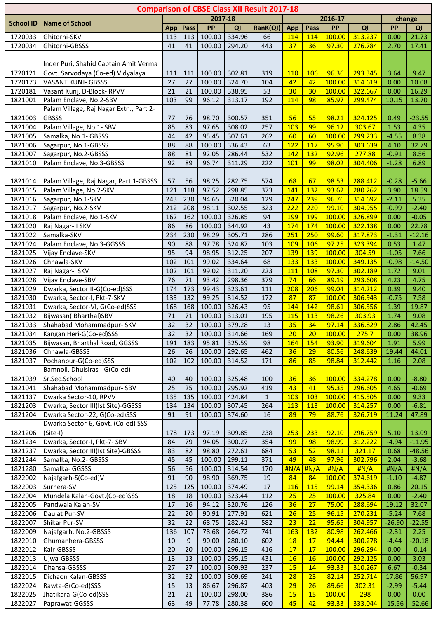|                    |                                                      |           |          |                  |                  | <b>Comparison of CBSE Class XII Result 2017-18</b> |                 |                  |                 |                    |                 |                     |
|--------------------|------------------------------------------------------|-----------|----------|------------------|------------------|----------------------------------------------------|-----------------|------------------|-----------------|--------------------|-----------------|---------------------|
| <b>School ID</b>   | <b>Name of School</b>                                |           |          | 2017-18          |                  |                                                    |                 |                  | 2016-17         |                    |                 | change              |
|                    |                                                      | App       | Pass     | PP               | QI               | RanK(QI)                                           | <b>App</b>      | Pass             | PP              | QI                 | <b>PP</b>       | QI                  |
| 1720033            | Ghitorni-SKV                                         | 113       | 113      | 100.00           | 334.96           | 66                                                 | 114             | 114              | 100.00          | 313.237            | 0.00            | 21.73               |
| 1720034            | Ghitorni-GBSSS                                       | 41        | 41       | 100.00           | 294.20           | 443                                                | 37              | 36               | 97.30           | 276.784            | 2.70            | 17.41               |
|                    |                                                      |           |          |                  |                  |                                                    |                 |                  |                 |                    |                 |                     |
|                    | Inder Puri, Shahid Captain Amit Verma                |           |          |                  |                  |                                                    |                 |                  |                 |                    |                 |                     |
| 1720121            | Govt. Sarvodaya (Co-ed) Vidyalaya                    | 111       | 111      | 100.00           | 302.81           | 319                                                | <b>110</b>      | 106              | 96.36           | 293.345            | 3.64            | 9.47                |
| 1720173            | <b>VASANT KUNJ- GBSSS</b>                            | 27        | 27       | 100.00           | 324.70           | 104                                                | 42              | 42               | 100.00          | 314.619            | 0.00            | 10.08               |
| 1720181<br>1821001 | Vasant Kunj, D-Block-RPVV<br>Palam Enclave, No.2-SBV | 21<br>103 | 21<br>99 | 100.00<br>96.12  | 338.95<br>313.17 | 53<br>192                                          | 30<br>114       | 30<br>98         | 100.00<br>85.97 | 322.667<br>299.474 | 0.00            | 16.29               |
|                    | Palam Village, Raj Nagar Extn., Part 2-              |           |          |                  |                  |                                                    |                 |                  |                 |                    | 10.15           | 13.70               |
| 1821003            | <b>GBSSS</b>                                         | 77        | 76       | 98.70            | 300.57           | 351                                                | 56              | 55               | 98.21           | 324.125            | 0.49            | $-23.55$            |
| 1821004            | Palam Village, No.1- SBV                             | 85        | 83       | 97.65            | 308.02           | 257                                                | 103             | 99               | 96.12           | 303.67             | 1.53            | 4.35                |
| 1821005            | Samalka, No.1- GBSSS                                 | 44        | 42       | 95.45            | 307.61           | 262                                                | 60              | 60               | 100.00          | 299.233            | $-4.55$         | 8.38                |
| 1821006            | Sagarpur, No.1-GBSSS                                 | 88        | 88       | 100.00           | 336.43           | 63                                                 | 122             | 117              | 95.90           | 303.639            | 4.10            | 32.79               |
| 1821007            | Sagarpur, No.2-GBSSS                                 | 88        | 81       | 92.05            | 286.44           | 532                                                | 142             | 132              | 92.96           | 277.88             | $-0.91$         | 8.56                |
| 1821010            | Palam Enclave, No.3-GBSSS                            | 92        | 89       | 96.74            | 311.29           | 222                                                | <b>101</b>      | 99               | 98.02           | 304.406            | $-1.28$         | 6.89                |
|                    |                                                      |           |          |                  |                  |                                                    |                 |                  |                 |                    |                 |                     |
| 1821014            | Palam Village, Raj Nagar, Part 1-GBSSS               | 57        | 56       | 98.25            | 282.75           | 574                                                | 68              | 67               | 98.53           | 288.412            | $-0.28$         | $-5.66$             |
| 1821015            | Palam Village, No.2-SKV                              | 121       | 118      | 97.52            | 298.85           | 373                                                | 141             | 132              | 93.62           | 280.262            | 3.90            | 18.59               |
| 1821016            | Sagarpur, No.1-SKV                                   | 243       | 230      | 94.65            | 320.04           | 129                                                | 247             | 239              | 96.76           | 314.692            | $-2.11$         | 5.35                |
| 1821017            | Sagarpur, No.2-SKV                                   | 212       | 208      | 98.11            | 302.55           | 323                                                | 222             | 220              | 99.10           | 304.955            | $-0.99$         | $-2.40$             |
| 1821018            | Palam Enclave, No.1-SKV                              | 162       | 162      | 100.00           | 326.85           | 94                                                 | <b>199</b>      | <b>199</b>       | 100.00          | 326.899            | 0.00            | $-0.05$             |
| 1821020            | Raj Nagar-II SKV                                     | 86        | 86       | 100.00           | 344.92           | 43                                                 | 174             | 174              | 100.00          | 322.138            | 0.00            | 22.78               |
| 1821022            | Samalka-SKV                                          | 234       | 230      | 98.29            | 305.71           | 286                                                | 251             | 250              | 99.60           | 317.873            | $-1.31$         | $-12.16$            |
| 1821024            | Palam Enclave, No.3-GGSSS                            | 90        | 88       | 97.78            | 324.87           | 103                                                | 109             | 106              | 97.25           | 323.394            | 0.53            | 1.47                |
| 1821025            | Vijay Enclave-SKV                                    | 95        | 94       | 98.95            | 312.25           | 207                                                | 139             | <b>139</b>       | 100.00          | 304.59             | $-1.05$         | 7.66                |
| 1821026            | Chhawla-SKV                                          | 102       | 101      | 99.02            | 334.64           | 68                                                 | 133             | 133              | 100.00          | 349.135            | $-0.98$         | $-14.50$            |
| 1821027            | Raj Nagar-I SKV                                      | 102       | 101      | 99.02            | 311.20           | 223                                                | <b>111</b>      | 108              | 97.30           | 302.189            | 1.72            | 9.01                |
| 1821028            | Vijay Enclave-SBV                                    | 76        | 71       | 93.42            | 298.36           | 379                                                | 74              | 66               | 89.19           | 293.608            | 4.23            | 4.75                |
| 1821029            | Dwarka, Sector II-G(Co-ed)SSS                        | 174       | 173      | 99.43            | 323.61           | 111                                                | 208             | 206              | 99.04           | 314.212            | 0.39            | 9.40                |
| 1821030            | Dwarka, Sector-I, Pkt-7-SKV                          | 133       | 132      | 99.25            | 314.52           | 172                                                | 87              | 87               | 100.00          | 306.943            | $-0.75$         | 7.58                |
| 1821031            | Dwarka, Sector-VI, G(Co-ed)SSS                       | 168       | 168      | 100.00           | 326.43           | 95                                                 | 144             | 142              | 98.61           | 306.556            | 1.39            | 19.87               |
| 1821032<br>1821033 | Bijwasan(Bharthal)SBV<br>Shahabad Mohammadpur- SKV   | 71<br>32  | 71<br>32 | 100.00<br>100.00 | 313.01<br>379.28 | 195<br>13                                          | 115<br>35       | 113<br>34        | 98.26<br>97.14  | 303.93<br>336.829  | 1.74<br>2.86    | 9.08<br>42.45       |
| 1821034            | Kangan Heri-G(Co-ed)SSS                              | 32        | 32       | 100.00           | 314.66           | 169                                                | 20              | 20               | 100.00          | 275.7              | 0.00            | 38.96               |
| 1821035            | Bijwasan, Bharthal Road, GGSSS                       | 191       | 183      | 95.81            | 325.59           | 98                                                 | 164             | 154              | 93.90           | 319.604            | 1.91            | 5.99                |
| 1821036            | Chhawla-GBSSS                                        | 26        | 26       | 100.00           | 292.65           | 462                                                | 36              | 29               | 80.56           | 248.639            | 19.44           | 44.01               |
| 1821037            | Pochanpur-G(Co-ed)SSS                                | 102       | 102      | 100.00           | 314.52           | 171                                                | 86              | 85               | 98.84           | 312.442            | 1.16            | 2.08                |
|                    | Bamnoli, Dhulsiras -G(Co-ed)                         |           |          |                  |                  |                                                    |                 |                  |                 |                    |                 |                     |
| 1821039            | Sr.Sec.School                                        | 40        | 40       | 100.00           | 325.48           | 100                                                | 36              | 36               | 100.00          | 334.278            | 0.00            | $-8.80$             |
| 1821041            | Shahabad Mohammadpur- SBV                            | 25        | 25       | 100.00           | 295.92           | 419                                                | 43              | 41               | 95.35           | 296.605            | 4.65            | $-0.69$             |
| 1821137            | Dwarka Sector-10, RPVV                               | 135       | 135      | 100.00           | 424.84           | $\mathbf{1}$                                       | 103             | 103              | 100.00          | 415.505            | 0.00            | 9.33                |
| 1821203            | Dwarka, Sector III(Ist Site)-GGSSS                   | 134       | 134      | 100.00           | 307.45           | 264                                                | <b>113</b>      | <b>113</b>       | 100.00          | 314.257            | 0.00            | $-6.81$             |
| 1821204            | Dwarka Sector-22, G(Co-ed)SSS                        | 91        | 91       | 100.00           | 374.60           | 16                                                 | 89              | 79               | 88.76           | 326.719            | 11.24           | 47.89               |
|                    | Dwarka Sector-6, Govt. (Co-ed) SSS                   |           |          |                  |                  |                                                    |                 |                  |                 |                    |                 |                     |
| 1821206            | (Site-I)                                             | 178       | 173      | 97.19            | 309.85           | 238                                                | 253             | 233              | 92.10           | 296.759            | 5.10            | 13.09               |
| 1821234            | Dwarka, Sector-I, Pkt-7- SBV                         | 84        | 79       | 94.05            | 300.27           | 354                                                | 99              | 98               | 98.99           | 312.222            | $-4.94$         | $-11.95$            |
| 1821237            | Dwarka, Sector III(Ist Site)-GBSSS                   | 83        | 82       | 98.80            | 272.61           | 684                                                | 53              | 52               | 98.11           | 321.17             | 0.68            | $-48.56$            |
| 1821244            | Samalka, No.2- GBSSS                                 | 45        | 45       | 100.00           | 299.11           | 371                                                | 49              | 48               | 97.96           | 302.796            | 2.04            | $-3.68$             |
| 1821280            | Samalka- GGSSS                                       | 56        | 56       | 100.00           | 314.54           | 170                                                | H N/A           | H N/A            | H N/A           | H N/A              | H N/A           | #N/A                |
| 1822002            | Najafgarh-S(Co-ed)V                                  | 91        | 90       | 98.90            | 369.75           | 19                                                 | 84              | 84               | 100.00          | 374.619            | $-1.10$         | $-4.87$             |
| 1822003            | Surhera-SV                                           | 125       | 125      | 100.00           | 374.49           | 17                                                 | <b>116</b>      | <b>115</b>       | 99.14           | 354.336            | 0.86            | 20.15               |
| 1822004            | Mundela Kalan-Govt.(Co-ed)SSS                        | 18        | 18       | 100.00           | 323.44           | 112                                                | 25              | 25               | 100.00          | 325.84             | 0.00            | $-2.40$             |
| 1822005            | Pandwala Kalan-SV                                    | 17        | 16       | 94.12            | 320.76           | 126                                                | 36              | 27               | 75.00           | 288.694            | 19.12           | 32.07               |
| 1822006            | Daulat Pur-SV                                        | 22        | 20       | 90.91            | 277.91           | 621                                                | 26              | 25               | 96.15           | 270.231            | $-5.24$         | 7.68                |
| 1822007            | Shikar Pur-SV                                        | 32        | 22       | 68.75            | 282.41           | 582                                                | 23              | 22               | 95.65           | 304.957            | $-26.90$        | $-22.55$            |
| 1822009<br>1822010 | Najafgarh, No.2-GBSSS                                | 136       | 107<br>9 | 78.68            | 264.72           | 741                                                | <b>163</b>      | <b>132</b><br>17 | 80.98<br>94.44  | 262.466            | $-2.31$         | 2.25                |
| 1822012            | Ghumanhera-GBSSS<br>Kair-GBSSS                       | 10<br>20  | 20       | 90.00<br>100.00  | 280.10<br>296.15 | 602<br>416                                         | <b>18</b><br>17 | 17               | 100.00          | 300.278<br>296.294 | $-4.44$<br>0.00 | $-20.18$<br>$-0.14$ |
| 1822013            | Ujwa-GBSSS                                           | 13        | 13       | 100.00           | 295.15           | 431                                                | 16              | <b>16</b>        | 100.00          | 292.125            | 0.00            | 3.03                |
| 1822014            | Dhansa-GBSSS                                         | 27        | 27       | 100.00           | 309.93           | 237                                                | 15              | 14               | 93.33           | 310.267            | 6.67            | $-0.34$             |
| 1822015            | Dichaon Kalan-GBSSS                                  | 32        | 32       | 100.00           | 309.69           | 241                                                | 28              | 23               | 82.14           | 252.714            | 17.86           | 56.97               |
| 1822024            | Rawta-G(Co-ed)SSS                                    | 15        | 13       | 86.67            | 296.87           | 403                                                | 29              | 26               | 89.66           | 302.31             | $-2.99$         | $-5.44$             |
| 1822025            | Jhatikara-G(Co-ed)SSS                                | 21        | 21       | 100.00           | 298.00           | 386                                                | 15              | 15               | 100.00          | 298                | 0.00            | 0.00 <sub>1</sub>   |
| 1822027            | Paprawat-GGSSS                                       | 63        | 49       | 77.78            | 280.38           | 600                                                | 45              | 42               | 93.33           | 333.044            | $-15.56$        | $-52.66$            |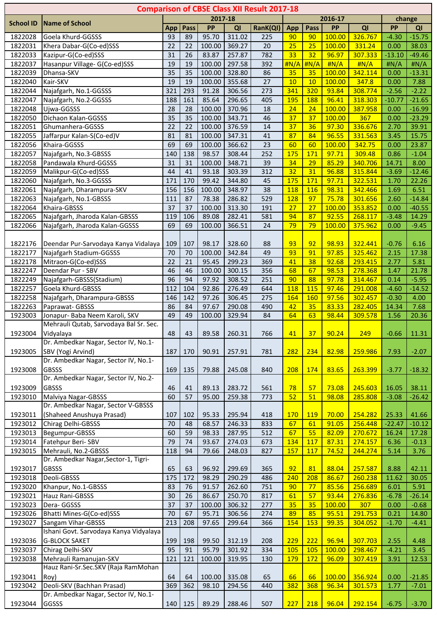| <b>Comparison of CBSE Class XII Result 2017-18</b> |                                                              |                 |                    |        |        |                 |            |            |        |         |           |          |  |
|----------------------------------------------------|--------------------------------------------------------------|-----------------|--------------------|--------|--------|-----------------|------------|------------|--------|---------|-----------|----------|--|
|                                                    |                                                              |                 | 2017-18<br>2016-17 |        |        |                 |            |            |        |         | change    |          |  |
| <b>School ID</b>                                   | <b>Name of School</b>                                        | App             | Pass               | PP     | QI     | RanK(QI)        | App        | Pass       | PP     | QI      | <b>PP</b> | QI       |  |
| 1822028                                            | Goela Khurd-GGSSS                                            | 93              | 89                 | 95.70  | 311.02 | 225             | 90         | 90         | 100.00 | 326.767 | $-4.30$   | $-15.75$ |  |
| 1822031                                            | Khera Dabar-G(Co-ed)SSS                                      | 22              | 22                 | 100.00 | 369.27 | 20              | 25         | 25         | 100.00 | 331.24  | 0.00      | 38.03    |  |
| 1822033                                            | Kazipur-G(Co-ed)SSS                                          | 31              | 26                 | 83.87  | 257.87 | 782             | 33         | 32         | 96.97  | 307.333 | $-13.10$  | $-49.46$ |  |
| 1822037                                            | Hasanpur Village- G(Co-ed)SSS                                | 19              | 19                 | 100.00 | 297.58 | 392             | H N/A      | H N/A      | H N/A  | H N/A   | H N/A     | H N/A    |  |
| 1822039                                            | Dhansa-SKV                                                   | $\overline{35}$ | 35                 | 100.00 | 328.80 | 86              | 35         | 35         | 100.00 | 342.114 | 0.00      | $-13.31$ |  |
| 1822040                                            | Kair-SKV                                                     | 19              | 19                 | 100.00 | 355.68 | 27              | 10         | 10         | 100.00 | 347.8   | 0.00      | 7.88     |  |
| 1822044                                            | Najafgarh, No.1-GGSSS                                        | 321             | 293                | 91.28  | 306.56 | 273             | 341        | 320        | 93.84  | 308.774 | $-2.56$   | $-2.22$  |  |
| 1822047                                            | Najafgarh, No.2-GGSSS                                        | 188             | 161                | 85.64  | 296.65 | 405             | <b>195</b> | 188        | 96.41  | 318.303 | $-10.77$  | $-21.65$ |  |
| 1822048                                            | Ujwa-GGSSS                                                   | 28              | 28                 | 100.00 | 370.96 | 18              | 24         | 24         | 100.00 | 387.958 | 0.00      | $-16.99$ |  |
| 1822050                                            | Dichaon Kalan-GGSSS                                          | 35              | 35                 | 100.00 | 343.71 | 46              | 37         | 37         | 100.00 | 367     | 0.00      | $-23.29$ |  |
| 1822051                                            | Ghumanhera-GGSSS                                             | 22              | 22                 | 100.00 | 376.59 | 14              | 37         | 36         | 97.30  | 336.676 | 2.70      | 39.91    |  |
| 1822055                                            | Jaffarpur Kalan-S(Co-ed)V                                    | 81              | 81                 | 100.00 | 347.31 | 41              | 87         | 84         | 96.55  | 331.563 | 3.45      | 15.75    |  |
| 1822056                                            | Khaira-GGSSS                                                 | 69              | 69                 | 100.00 | 366.62 | 23              | 60         | 60         | 100.00 | 342.75  | 0.00      | 23.87    |  |
| 1822057                                            | Najafgarh, No.3-GBSSS                                        | 140             | 138                | 98.57  | 308.44 | 252             | 175        | 171        | 97.71  | 309.48  | 0.86      | $-1.04$  |  |
| 1822058                                            | Pandawala Khurd-GGSSS                                        | 31              | 31                 | 100.00 | 348.71 | 39              | 34         | 29         | 85.29  | 340.706 | 14.71     | 8.00     |  |
| 1822059                                            | Malikpur-G(Co-ed)SSS                                         | 44              | 41                 | 93.18  | 303.39 | 312             | 32         | 31         | 96.88  | 315.844 | $-3.69$   | $-12.46$ |  |
| 1822060                                            | Najafgarh, No.3-GGSSS                                        | 171             | 170                | 99.42  | 344.80 | 45              | 175        | 171        | 97.71  | 322.531 | 1.70      | 22.26    |  |
| 1822061                                            | Najafgarh, Dharampura-SKV                                    | 156             | 156                | 100.00 | 348.97 | $\overline{38}$ | 118        | <b>116</b> | 98.31  | 342.466 | 1.69      | 6.51     |  |
| 1822063                                            | Najafgarh, No.1-GBSSS                                        | 111             | 87                 | 78.38  | 286.82 | 529             | <b>128</b> | 97         | 75.78  | 301.656 | 2.60      | $-14.84$ |  |
| 1822064                                            | Khaira-GBSSS                                                 | 37              | 37                 | 100.00 | 313.30 | 191             | 27         | 27         | 100.00 | 353.852 | 0.00      | $-40.55$ |  |
| 1822065                                            | Najafgarh, Jharoda Kalan-GBSSS                               | 119             | 106                | 89.08  | 282.41 | 581             | 94         | 87         | 92.55  | 268.117 | $-3.48$   | 14.29    |  |
| 1822066                                            | Najafgarh, Jharoda Kalan-GGSSS                               | 69              | 69                 | 100.00 | 366.51 | 24              | 79         | 79         | 100.00 | 375.962 | 0.00      | $-9.45$  |  |
|                                                    |                                                              |                 |                    |        |        |                 |            |            |        |         |           |          |  |
| 1822176                                            | Deendar Pur-Sarvodaya Kanya Vidalaya                         | 109             | 107                | 98.17  | 328.60 | 88              | 93         | 92         | 98.93  | 322.441 | $-0.76$   | 6.16     |  |
| 1822177                                            | Najafgarh Stadium-GGSSS                                      | 70              | 70                 | 100.00 | 342.84 | 49              | 93         | 91         | 97.85  | 325.462 | 2.15      | 17.38    |  |
| 1822178                                            | Mitraon-G(Co-ed)SSS                                          | 22              | 21                 | 95.45  | 299.23 | 369             | 41         | 38         | 92.68  | 293.415 | 2.77      | 5.81     |  |
| 1822247                                            | Deendar Pur - SBV                                            | 46              | 46                 | 100.00 | 300.15 | 356             | 68         | 67         | 98.53  | 278.368 | 1.47      | 21.78    |  |
| 1822249                                            | Najafgarh-GBSSS(Stadium)                                     | 96              | 94                 | 97.92  | 308.52 | 251             | 90         | 88         | 97.78  | 314.467 | 0.14      | $-5.95$  |  |
| 1822257                                            | Goela Khurd-GBSSS                                            | 112             | 104                | 92.86  | 276.49 | 644             | 118        | 115        | 97.46  | 291.008 | $-4.60$   | $-14.52$ |  |
| 1822258                                            | Najafgarh, Dharampura-GBSSS                                  | 146             | 142                | 97.26  | 306.45 | 275             | 164        | 160        | 97.56  | 302.457 | $-0.30$   | 4.00     |  |
| 1822263                                            | Paprawat- GBSSS                                              | 86              | 84                 | 97.67  | 290.08 | 490             | 42         | 35         | 83.33  | 282.405 | 14.34     | 7.68     |  |
| 1923003                                            | Jonapur- Baba Neem Karoli, SKV                               | 49              | 49                 | 100.00 | 329.94 | 84              | 64         | 63         | 98.44  | 309.578 | 1.56      | 20.36    |  |
|                                                    | Mehrauli Qutab, Sarvodaya Bal Sr. Sec.                       |                 |                    |        |        |                 |            |            |        |         |           |          |  |
| 1923004                                            | Vidyalaya                                                    | 48              | 43                 | 89.58  | 260.31 | 766             | 41         | 37         | 90.24  | 249     | $-0.66$   | 11.31    |  |
|                                                    | Dr. Ambedkar Nagar, Sector IV, No.1-                         |                 |                    |        |        |                 |            |            |        |         |           |          |  |
| 1923005                                            | SBV (Yogi Arvind)                                            | 187             | 170                | 90.91  | 257.91 | 781             | 282        | 234        | 82.98  | 259.986 | 7.93      | $-2.07$  |  |
|                                                    | Dr. Ambedkar Nagar, Sector IV, No.1-                         |                 |                    |        |        |                 |            |            |        |         |           |          |  |
| 1923008                                            | <b>GBSSS</b>                                                 | 169             | 135                | 79.88  | 245.08 | 840             | 208        | 174        | 83.65  | 263.399 | $-3.77$   | $-18.32$ |  |
|                                                    | Dr. Ambedkar Nagar, Sector IV, No.2-                         |                 |                    |        |        |                 |            |            |        |         |           |          |  |
| 1923009                                            | <b>GBSSS</b>                                                 | 46              | 41                 | 89.13  | 283.72 | 561             | 78         | 57         | 73.08  | 245.603 | 16.05     | 38.11    |  |
| 1923010                                            | Malviya Nagar-GBSSS                                          | 60              | 57                 | 95.00  | 259.38 | 773             | 52         | 51         | 98.08  | 285.808 | $-3.08$   | $-26.42$ |  |
|                                                    | Dr. Ambedkar Nagar, Sector V-GBSSS                           |                 |                    |        |        |                 |            |            |        |         |           |          |  |
| 1923011                                            | (Shaheed Anushuya Prasad)                                    | 107             | 102                | 95.33  | 295.94 | 418             | <b>170</b> | <b>119</b> | 70.00  | 254.282 | 25.33     | 41.66    |  |
| 1923012                                            | Chirag Delhi-GBSSS                                           | 70              | 48                 | 68.57  | 246.33 | 833             | 67         | 61         | 91.05  | 256.448 | $-22.47$  | $-10.12$ |  |
| 1923013                                            | Begumpur-GBSSS                                               | 60              | 59                 | 98.33  | 287.95 | 512             | 67         | 55         | 82.09  | 270.672 | 16.24     | 17.28    |  |
| 1923014                                            | Fatehpur Beri-SBV                                            | 79              | 74                 | 93.67  | 274.03 | 673             | 134        | 117        | 87.31  | 274.157 | 6.36      | $-0.13$  |  |
| 1923015                                            | Mehrauli, No.2-GBSSS                                         | 118             | 94                 | 79.66  | 248.03 | 827             | 157        | 117        | 74.52  | 244.274 | 5.14      | 3.76     |  |
|                                                    | Dr. Ambedkar Nagar, Sector-1, Tigri-                         |                 |                    |        |        |                 |            |            |        |         |           |          |  |
| 1923017                                            | <b>GBSSS</b>                                                 | 65              | 63                 | 96.92  | 299.69 | 365             | 92         | 81         | 88.04  | 257.587 | 8.88      | 42.11    |  |
| 1923018                                            | Deoli-GBSSS                                                  | 175             | 172                | 98.29  | 290.29 | 486             | 240        | 208        | 86.67  | 260.238 | 11.62     | 30.05    |  |
| 1923020                                            | Khanpur, No.1-GBSSS                                          | 83              | 76                 | 91.57  | 262.60 | 751             | 90         | 77         | 85.56  | 256.689 | 6.01      | 5.91     |  |
| 1923021                                            | Hauz Rani-GBSSS                                              | 30              | 26                 | 86.67  | 250.70 | 817             | 61         | 57         | 93.44  | 276.836 | $-6.78$   | $-26.14$ |  |
| 1923023                                            | Dera-GGSSS                                                   | 37              | 37                 | 100.00 | 306.32 | 277             | 35         | 35         | 100.00 | 307     | 0.00      | $-0.68$  |  |
| 1923026                                            | Bhatti Mines-G(Co-ed)SSS                                     | 70              | 67                 | 95.71  | 306.56 | 274             | 89         | 85         | 95.51  | 291.753 | 0.21      | 14.80    |  |
| 1923027                                            | Sangam Vihar-GBSSS<br>Ishani Govt. Sarvodaya Kanya Vidyalaya | 213             | 208                | 97.65  | 299.64 | 366             | 154        | 153        | 99.35  | 304.052 | $-1.70$   | $-4.41$  |  |
|                                                    |                                                              |                 |                    |        |        |                 |            |            |        |         |           |          |  |
| 1923036                                            | <b>G-BLOCK SAKET</b>                                         | 199             | 198                | 99.50  | 312.19 | 208             | 229        | 222        | 96.94  | 307.703 | 2.55      | 4.48     |  |
| 1923037                                            | Chirag Delhi-SKV                                             | 95              | 91                 | 95.79  | 301.92 | 334             | <b>105</b> | 105        | 100.00 | 298.467 | $-4.21$   | 3.45     |  |
| 1923038                                            | Mehrauli Ramanujan-SKV                                       | 121             | 121                | 100.00 | 319.95 | 130             | <b>179</b> | 172        | 96.09  | 307.419 | 3.91      | 12.53    |  |
|                                                    | Hauz Rani-Sr.Sec.SKV (Raja RamMohan                          |                 |                    |        |        |                 |            |            |        |         |           |          |  |
| 1923041                                            | Roy)                                                         | 64              | 64                 | 100.00 | 335.08 | 65              | 66         | 66         | 100.00 | 356.924 | 0.00      | $-21.85$ |  |
| 1923042                                            | Deoli-SKV (Bachhan Prasad)                                   | 369             | 362                | 98.10  | 294.56 | 440             | 382        | 368        | 96.34  | 301.573 | 1.77      | $-7.01$  |  |
|                                                    | Dr. Ambedkar Nagar, Sector IV, No.1-                         |                 |                    |        |        |                 |            |            |        |         |           |          |  |
| 1923044                                            | GGSSS                                                        |                 | 140 125            | 89.29  | 288.46 | 507             | 227        | 218        | 96.04  | 292.154 | $-6.75$   | $-3.70$  |  |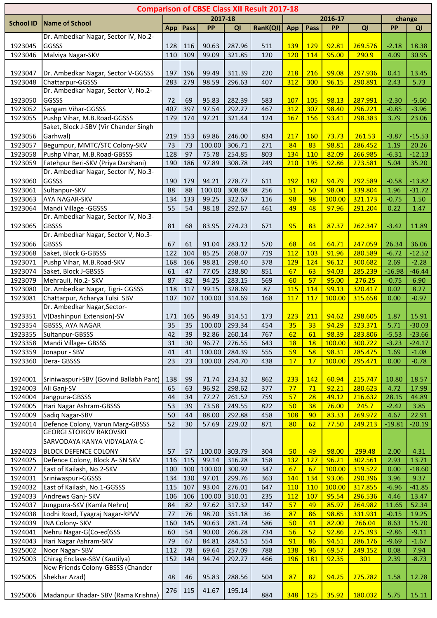| <b>Comparison of CBSE Class XII Result 2017-18</b> |                                                                      |          |          |                |                  |            |            |            |                |                    |                  |               |
|----------------------------------------------------|----------------------------------------------------------------------|----------|----------|----------------|------------------|------------|------------|------------|----------------|--------------------|------------------|---------------|
| <b>School ID</b>                                   | <b>Name of School</b>                                                |          | 2017-18  |                |                  |            |            | 2016-17    | change         |                    |                  |               |
|                                                    |                                                                      | App      | Pass     | <b>PP</b>      | QI               | RanK(QI)   | App        | Pass       | <b>PP</b>      | QI                 | PP               | QI            |
|                                                    | Dr. Ambedkar Nagar, Sector IV, No.2-                                 |          |          |                |                  |            |            |            |                |                    |                  |               |
| 1923045                                            | GGSSS                                                                | 128      | 116      | 90.63          | 287.96           | 511        | 139        | 129        | 92.81          | 269.576            | $-2.18$          | 18.38         |
| 1923046                                            | Malviya Nagar-SKV                                                    | 110      | 109      | 99.09          | 321.85           | 120        | 120        | 114        | 95.00          | 290.9              | 4.09             | 30.95         |
|                                                    |                                                                      |          |          |                |                  |            |            |            |                |                    |                  |               |
| 1923047                                            | Dr. Ambedkar Nagar, Sector V-GGSSS                                   | 197      | 196      | 99.49          | 311.39           | 220        | 218        | 216        | 99.08          | 297.936            | 0.41             | 13.45         |
| 1923048                                            | Chattarpur-GGSSS                                                     | 283      | 279      | 98.59          | 296.63           | 407        | 312        | 300        | 96.15          | 290.891            | 2.43             | 5.73          |
|                                                    | Dr. Ambedkar Nagar, Sector V, No.2-                                  |          |          |                |                  |            |            |            |                |                    |                  |               |
| 1923050                                            | GGSSS                                                                | 72       | 69       | 95.83          | 282.39           | 583        | <b>107</b> | 105        | 98.13          | 287.991            | $-2.30$          | $-5.60$       |
| 1923052                                            | Sangam Vihar-GGSSS                                                   | 407      | 397      | 97.54          | 292.27           | 467        | 312        | 307        | 98.40          | 296.221            | $-0.85$          | $-3.96$       |
| 1923055                                            | Pushp Vihar, M.B.Road-GGSSS<br>Saket, Block J-SBV (Vir Chander Singh | 179      | 174      | 97.21          | 321.44           | 124        | 167        | 156        | 93.41          | 298.383            | 3.79             | 23.06         |
| 1923056                                            | Garhwal)                                                             | 219      | 153      | 69.86          | 246.00           | 834        | 217        | <b>160</b> | 73.73          | 261.53             | $-3.87$          | $-15.53$      |
| 1923057                                            | Begumpur, MMTC/STC Colony-SKV                                        | 73       | 73       | 100.00         | 306.71           | 271        | 84         | 83         | 98.81          | 286.452            | 1.19             | 20.26         |
| 1923058                                            | Pushp Vihar, M.B.Road-GBSSS                                          | 128      | 97       | 75.78          | 254.85           | 803        | 134        | 110        | 82.09          | 266.985            | $-6.31$          | $-12.13$      |
| 1923059                                            | Fatehpur Beri-SKV (Priya Darshani)                                   | 190      | 186      | 97.89          | 308.78           | 249        | 210        | 195        | 92.86          | 273.581            | 5.04             | 35.20         |
|                                                    | Dr. Ambedkar Nagar, Sector IV, No.3-                                 |          |          |                |                  |            |            |            |                |                    |                  |               |
| 1923060                                            | GGSSS                                                                | 190      | 179      | 94.21          | 278.77           | 611        | 192        | <b>182</b> | 94.79          | 292.589            | $-0.58$          | $-13.82$      |
| 1923061                                            | Sultanpur-SKV                                                        | 88       | 88       | 100.00         | 308.08           | 256        | 51         | 50         | 98.04          | 339.804            | 1.96             | $-31.72$      |
| 1923063                                            | AYA NAGAR-SKV                                                        | 134      | 133      | 99.25          | 322.67           | 116        | 98         | 98         | 100.00         | 321.173            | $-0.75$          | 1.50          |
| 1923064                                            | Mandi Village - GGSSS                                                | 55       | 54       | 98.18          | 292.67           | 461        | 49         | 48         | 97.96          | 291.204            | 0.22             | 1.47          |
|                                                    | Dr. Ambedkar Nagar, Sector IV, No.3-                                 |          |          |                |                  |            |            |            |                |                    |                  |               |
| 1923065                                            | <b>GBSSS</b>                                                         | 81       | 68       | 83.95          | 274.23           | 671        | 95         | 83         | 87.37          | 262.347            | $-3.42$          | 11.89         |
|                                                    | Dr. Ambedkar Nagar, Sector V, No.3-                                  |          |          |                |                  |            |            |            |                |                    |                  |               |
| 1923066                                            | <b>GBSSS</b>                                                         | 67       | 61       | 91.04          | 283.12           | 570        | 68         | 44         | 64.71          | 247.059            | 26.34            | 36.06         |
| 1923068                                            | Saket, Block G-GBSSS                                                 | 122      | 104      | 85.25          | 268.07           | 719        | 112        | 103        | 91.96          | 280.589            | $-6.72$          | $-12.52$      |
| 1923071                                            | Pushp Vihar, M.B.Road-SKV                                            | 168      | 166      | 98.81          | 298.40           | 378        | 129        | 124        | 96.12          | 300.682            | 2.69             | $-2.28$       |
| 1923074                                            | Saket, Block J-GBSSS                                                 | 61       | 47       | 77.05          | 238.80           | 851        | 67         | 63         | 94.03          | 285.239            | $-16.98$         | $-46.44$      |
| 1923079                                            | Mehrauli, No.2- SKV                                                  | 87       | 82       | 94.25          | 283.15           | 569        | 60         | 57         | 95.00          | 276.25             | $-0.75$          | 6.90          |
| 1923080                                            | Dr. Ambedkar Nagar, Tigri- GGSSS                                     | 118      | 117      | 99.15          | 328.69           | 87         | <b>115</b> | 114        | 99.13          | 320.417            | 0.02             | 8.27          |
| 1923081                                            | Chattarpur, Acharya Tulsi SBV                                        | 107      | 107      | 100.00         | 314.69           | 168        | 117        | 117        | 100.00         | 315.658            | 0.00             | $-0.97$       |
|                                                    | Dr. Ambedkar Nagar, Sector-                                          |          |          |                |                  |            |            |            |                |                    |                  |               |
| 1923351                                            | V(Dashinpuri Extension)-SV                                           | 171      | 165      | 96.49          | 314.51           | 173        | 223        | 211        | 94.62          | 298.605            | 1.87             | 15.91         |
| 1923354                                            | GBSSS, AYA NAGAR                                                     | 35       | 35       | 100.00         | 293.34           | 454        | 35         | 33         | 94.29          | 323.371            | 5.71             | $-30.03$      |
| 1923355                                            | Sultanpur-GBSSS                                                      | 42       | 39       | 92.86          | 260.14           | 767        | <u>62</u>  | 61         | 98.39          | 283.806            | $-5.53$          | $-23.66$      |
| 1923358                                            | Mandi Village- GBSSS                                                 | 31       | 30       | 96.77          | 276.55           | 643        | 18         | <b>18</b>  | 100.00         | 300.722            | $-3.23$          | $-24.17$      |
| 1923359                                            | Jonapur - SBV                                                        | 41       | 41       | 100.00         | 284.39           | 555        | 59         | 58         | 98.31          | 285.475            | 1.69             | $-1.08$       |
| 1923360                                            | Dera-GBSSS                                                           | 23       | 23       | 100.00         | 294.70           | 438        | 17         | 17         | 100.00         | 295.471            | 0.00             | $-0.78$       |
|                                                    |                                                                      |          |          |                |                  |            |            |            |                |                    |                  |               |
| 1924001                                            | Sriniwaspuri-SBV (Govind Ballabh Pant)                               | 138      | 99       | 71.74          | 234.32           | 862        | 233        | 142        | 60.94          | 215.747            | 10.80            | 18.57         |
| 1924003                                            | Ali Ganj-SV                                                          | 65       | 63       | 96.92          | 298.62           | 377        | 77<br>57   | 71         | 92.21          | 280.623<br>216.632 | 4.72             | 17.99         |
| 1924004<br>1924005                                 | Jangpura-GBSSS<br>Hari Nagar Ashram-GBSSS                            | 44<br>53 | 34<br>39 | 77.27<br>73.58 | 261.52<br>249.55 | 759<br>822 | 50         | 28<br>38   | 49.12<br>76.00 | 245.7              | 28.15<br>$-2.42$ | 44.89<br>3.85 |
| 1924009                                            | Sadiq Nagar-SBV                                                      | 50       | 44       | 88.00          | 292.88           | 458        | 108        | 90         | 83.33          | 269.972            | 4.67             | 22.91         |
| 1924014                                            | Defence Colony, Varun Marg-GBSSS                                     | 52       | 30       | 57.69          | 229.02           | 871        | 80         | 62         | 77.50          | 249.213            | $-19.81$         | $-20.19$      |
|                                                    | <b>GEORGI STOIKOV RAKOVSKI</b>                                       |          |          |                |                  |            |            |            |                |                    |                  |               |
|                                                    | SARVODAYA KANYA VIDYALAYA C-                                         |          |          |                |                  |            |            |            |                |                    |                  |               |
| 1924023                                            | <b>BLOCK DEFENCE COLONY</b>                                          | 57       | 57       | 100.00         | 303.79           | 304        | 50         | 49         | 98.00          | 299.48             | 2.00             | 4.31          |
| 1924025                                            | Defence Colony, Block A- SN SKV                                      | 116      | 115      | 99.14          | 316.28           | 158        | 132        | 127        | 96.21          | 302.561            | 2.93             | 13.71         |
| 1924027                                            | East of Kailash, No.2-SKV                                            | 100      | 100      | 100.00         | 300.92           | 347        | 67         | 67         | 100.00         | 319.522            | 0.00             | $-18.60$      |
| 1924031                                            | Sriniwaspuri-GGSSS                                                   | 134      | 130      | 97.01          | 299.76           | 363        | 144        | 134        | 93.06          | 290.396            | 3.96             | 9.37          |
| 1924032                                            | East of Kailash, No.1-GGSSS                                          | 115      | 107      | 93.04          | 276.01           | 647        | <b>110</b> | <b>110</b> | 100.00         | 317.855            | $-6.96$          | $-41.85$      |
| 1924033                                            | Andrews Ganj- SKV                                                    | 106      | 106      | 100.00         | 310.01           | 235        | <b>112</b> | 107        | 95.54          | 296.536            | 4.46             | 13.47         |
| 1924037                                            | Jungpura-SKV (Kamla Nehru)                                           | 84       | 82       | 97.62          | 317.32           | 147        | 57         | 49         | 85.97          | 264.982            | 11.65            | 52.34         |
| 1924038                                            | Lodhi Road, Tyagraj Nagar-RPVV                                       | 77       | 76       | 98.70          | 351.18           | 36         | 87         | 86         | 98.85          | 331.931            | $-0.15$          | 19.25         |
| 1924039                                            | <b>INA Colony- SKV</b>                                               | 160      | 145      | 90.63          | 281.74           | 586        | 50         | 41         | 82.00          | 266.04             | 8.63             | 15.70         |
| 1924041                                            | Nehru Nagar-G(Co-ed)SSS                                              | 60       | 54       | 90.00          | 266.28           | 734        | 56         | 52         | 92.86          | 275.393            | $-2.86$          | $-9.11$       |
| 1924043                                            | Hari Nagar Ashram-SKV                                                | 79       | 67       | 84.81          | 284.51           | 554        | 91         | 86         | 94.51          | 286.176            | $-9.69$          | $-1.67$       |
| 1925002                                            | Noor Nagar-SBV                                                       | 112      | 78       | 69.64          | 257.09           | 788        | 138        | 96         | 69.57          | 249.152            | 0.08             | 7.94          |
| 1925003                                            | Chirag Enclave-SBV (Kautilya)                                        | 152      | 144      | 94.74          | 292.27           | 466        | <b>196</b> | 181        | 92.35          | 301                | 2.39             | $-8.73$       |
|                                                    | New Friends Colony-GBSSS (Chander                                    |          |          |                |                  |            |            |            |                |                    |                  |               |
| 1925005                                            | Shekhar Azad)                                                        | 48       | 46       | 95.83          | 288.56           | 504        | 87         | 82         | 94.25          | 275.782            | 1.58             | 12.78         |
|                                                    |                                                                      | 276      | 115      | 41.67          | 195.14           |            |            |            |                |                    |                  |               |
| 1925006                                            | Madanpur Khadar- SBV (Rama Krishna)                                  |          |          |                |                  | 884        | 348        | 125        | 35.92          | 180.032            | 5.75             | 15.11         |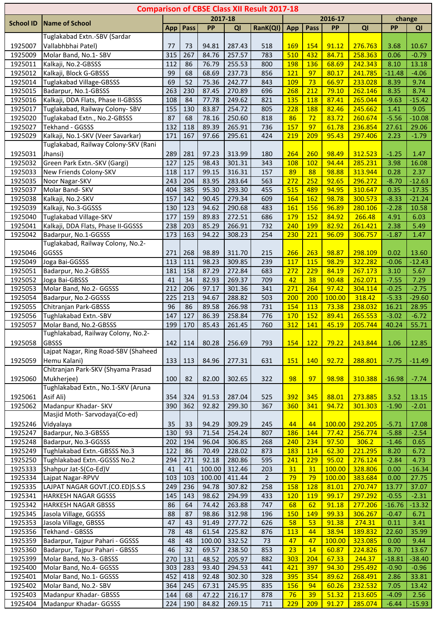| <b>Comparison of CBSE Class XII Result 2017-18</b> |                                                            |            |            |                |                  |                |            |                   |                |                    |                    |                  |
|----------------------------------------------------|------------------------------------------------------------|------------|------------|----------------|------------------|----------------|------------|-------------------|----------------|--------------------|--------------------|------------------|
| <b>School ID</b>                                   | <b>Name of School</b>                                      |            |            | 2017-18        |                  |                |            |                   | 2016-17        |                    |                    | change           |
|                                                    |                                                            | <b>App</b> | Pass       | PP             | QI               | RanK(QI)       | App        | Pass              | PP             | QI                 | <b>PP</b>          | QI               |
|                                                    | Tuglakabad Extn.-SBV (Sardar                               |            |            |                |                  |                |            |                   |                |                    |                    |                  |
| 1925007                                            | Vallabhbhai Patel)                                         | 77         | 73         | 94.81          | 287.43           | 518            | <b>169</b> | 154               | 91.12          | 276.763            | 3.68               | 10.67            |
| 1925009                                            | Molar Band, No.1- SBV                                      | 315        | 267        | 84.76          | 257.57           | 783            | 510        | 432               | 84.71          | 258.363            | 0.06               | $-0.79$          |
| 1925011                                            | Kalkaji, No.2-GBSSS                                        | 112        | 86         | 76.79          | 255.53           | 800            | <b>198</b> | 136               | 68.69          | 242.343            | 8.10               | 13.18            |
| 1925012                                            | Kalkaji, Block G-GBSSS                                     | 99         | 68         | 68.69          | 237.73           | 856            | <b>121</b> | 97                | 80.17          | 241.785            | $-11.48$           | $-4.06$          |
| 1925014                                            | <b>Tuglakabad Village-GBSSS</b>                            | 69         | 52         | 75.36          | 242.77           | 843            | <b>109</b> | 73                | 66.97          | 233.028            | 8.39               | 9.74             |
| 1925015                                            | Badarpur, No.1-GBSSS                                       | 263        | 230        | 87.45          | 270.89           | 696            | 268        | 212               | 79.10          | 262.146            | 8.35               | 8.74             |
| 1925016                                            | Kalkaji, DDA Flats, Phase II-GBSSS                         | 108        | 84         | 77.78          | 249.62           | 821            | 135        | <b>118</b>        | 87.41          | 265.044            | $-9.63$            | $-15.42$         |
| 1925017                                            | Tuglakabad, Railway Colony- SBV                            | 155        | 130        | 83.87          | 254.72           | 805            | 228        | 188               | 82.46          | 245.662            | 1.41               | 9.05             |
| 1925020                                            | Tuglakabad Extn., No.2-GBSSS                               | 87         | 68         | 78.16          | 250.60           | 818            | 86         | 72                | 83.72          | 260.674            | $-5.56$            | $-10.08$         |
| 1925027                                            | Tekhand - GGSSS                                            | 132        | 118        | 89.39          | 265.91           | 736            | 157        | 97                | 61.78          | 236.854            | 27.61              | 29.06            |
| 1925029                                            | Kalkaji, No.1-SKV (Veer Savarkar)                          | 171        | 167        | 97.66          | 295.61           | 424            | 219        | 209               | 95.43          | 297.406            | 2.23               | $-1.79$          |
|                                                    | Tuglakabad, Railway Colony-SKV (Rani                       |            |            |                |                  |                |            |                   |                |                    |                    |                  |
| 1925031                                            | Jhansi)                                                    | 289        | 281        | 97.23          | 313.99           | 180            | 264        | 260               | 98.49          | 312.523            | $-1.25$            | 1.47             |
| 1925032                                            | Green Park Extn.-SKV (Gargi)                               | 127        | 125        | 98.43          | 301.31           | 343            | <b>108</b> | 102               | 94.44          | 285.231            | 3.98               | 16.08            |
| 1925033                                            | New Friends Colony-SKV                                     | 118        | 117        | 99.15          | 316.31           | 157            | 89         | 88                | 98.88          | 313.944            | 0.28               | 2.37             |
| 1925035                                            | Noor Nagar-SKV                                             | 243        | 204        | 83.95          | 283.64           | 563            | 272        | 252               | 92.65          | 296.272            | $-8.70$            | $-12.63$         |
| 1925037                                            | Molar Band- SKV                                            | 404        | 385        | 95.30          | 293.30           | 455            | 515        | 489               | 94.95          | 310.647            | 0.35               | $-17.35$         |
| 1925038                                            | Kalkaji, No.2-SKV                                          | 157<br>130 | 142<br>123 | 90.45<br>94.62 | 279.34           | 609<br>483     | 164<br>161 | 162<br>156        | 98.78<br>96.89 | 300.573<br>280.106 | $-8.33$<br>$-2.28$ | $-21.24$         |
| 1925039                                            | Kalkaji, No.3-GGSSS                                        |            |            |                | 290.68           |                |            |                   |                |                    |                    | 10.58            |
| 1925040                                            | Tuglakabad Village-SKV                                     | 177        | 159        | 89.83          | 272.51           | 686            | <b>179</b> | 152               | 84.92          | 266.48             | 4.91               | 6.03             |
| 1925041                                            | Kalkaji, DDA Flats, Phase II-GGSSS<br>Badarpur, No.1-GGSSS | 238        | 203<br>163 | 85.29          | 266.91           | 732            | 240        | <b>199</b><br>221 | 82.92<br>96.09 | 261.421            | 2.38               | 5.49             |
| 1925042                                            | Tuglakabad, Railway Colony, No.2-                          | 173        |            | 94.22          | 308.23           | 254            | 230        |                   |                | 306.757            | $-1.87$            | 1.47             |
| 1925046                                            | GGSSS                                                      | 271        | 268        | 98.89          | 311.70           | 215            | 266        | 263               | 98.87          | 298.109            | 0.02               | 13.60            |
|                                                    |                                                            |            |            |                |                  |                |            | 115               |                |                    |                    |                  |
| 1925049<br>1925051                                 | Joga Bai-GGSSS<br>Badarpur, No.2-GBSSS                     | 113<br>181 | 111<br>158 | 98.23<br>87.29 | 309.85<br>272.84 | 239<br>683     | 117<br>272 | 229               | 98.29<br>84.19 | 322.282<br>267.173 | $-0.06$<br>3.10    | $-12.43$<br>5.67 |
| 1925052                                            | Joga Bai-GBSSS                                             | 41         | 34         | 82.93          | 269.37           | 709            | 42         | 38                | 90.48          | 262.071            | $-7.55$            | 7.29             |
| 1925053                                            | Molar Band, No.2- GGSSS                                    | 212        | 206        | 97.17          | 301.36           | 341            | 271        | 264               | 97.42          | 304.114            | $-0.25$            | $-2.75$          |
| 1925054                                            | Badarpur, No.2-GGSSS                                       | 225        | 213        | 94.67          | 288.82           | 503            | 200        | 200               | 100.00         | 318.42             | $-5.33$            | $-29.60$         |
| 1925055                                            | Chitranjan Park-GBSSS                                      | 96         | 86         | 89.58          | 266.98           | 731            | 154        | 113               | 73.38          | 238.032            | 16.21              | 28.95            |
| 1925056                                            | Tughlakabad Extn.-SBV                                      | 147        | 127        | 86.39          | 258.84           | 776            | <b>170</b> | 152               | 89.41          | 265.553            | $-3.02$            | $-6.72$          |
| 1925057                                            | Molar Band, No.2-GBSSS                                     | 199        | 170        | 85.43          | 261.45           | 760            | 312        | 141               | 45.19          | 205.744            | 40.24              | 55.71            |
|                                                    | Tughlakabad, Railway Colony, No.2-                         |            |            |                |                  |                |            |                   |                |                    |                    |                  |
| 1925058                                            | <b>GBSSS</b>                                               | 142        | 114        | 80.28          | 256.69           | 793            | 154        | 122               | 79.22          | 243.844            | 1.06               | 12.85            |
|                                                    | Lajpat Nagar, Ring Road-SBV (Shaheed                       |            |            |                |                  |                |            |                   |                |                    |                    |                  |
| 1925059                                            | Hemu Kalani)                                               | 133        | 113        | 84.96          | 277.31           | 631            | 151        | <b>140</b>        | 92.72          | 288.801            | $-7.75$            | $-11.49$         |
|                                                    | Chitranjan Park-SKV (Shyama Prasad                         |            |            |                |                  |                |            |                   |                |                    |                    |                  |
| 1925060                                            | Mukherjee)                                                 | 100        | 82         | 82.00          | 302.65           | 322            | 98         | 97                | 98.98          | 310.388            | $-16.98$           | $-7.74$          |
|                                                    | Tughlakabad Extn., No.1-SKV (Aruna                         |            |            |                |                  |                |            |                   |                |                    |                    |                  |
| 1925061                                            | Asif Ali)                                                  | 354        | 324        | 91.53          | 287.04           | 525            | 392        | 345               | 88.01          | 273.885            | 3.52               | 13.15            |
| 1925062                                            | Madanpur Khadar- SKV                                       | 390        | 362        | 92.82          | 299.30           | 367            | 360        | 341               | 94.72          | 301.303            | $-1.90$            | $-2.01$          |
|                                                    | Masjid Moth-Sarvodaya(Co-ed)                               |            |            |                |                  |                |            |                   |                |                    |                    |                  |
| 1925246                                            | Vidyalaya                                                  | 35         | 33         | 94.29          | 309.29           | 245            | 44         | 44                | 100.00         | 292.205            | $-5.71$            | 17.08            |
| 1925247                                            | Badarpur, No.3-GBSSS                                       | 130        | 93         | 71.54          | 254.24           | 807            | <b>186</b> | 144               | 77.42          | 256.774            | $-5.88$            | $-2.54$          |
| 1925248                                            | Badarpur, No.3-GGSSS                                       | 202        | 194        | 96.04          | 306.85           | 268            | 240        | 234               | 97.50          | 306.2              | $-1.46$            | 0.65             |
| 1925249                                            | Tughlakabad Extn.-GBSSS No.3                               | 122        | 86         | 70.49          | 228.02           | 873            | <b>183</b> | 114               | 62.30          | 221.295            | 8.20               | 6.72             |
| 1925250                                            | Tughlakabad Extn.-GGSSS No.2                               | 294        | 271        | 92.18          | 280.86           | 595            | 241        | 229               | 95.02          | 276.124            | $-2.84$            | 4.73             |
| 1925333                                            | Shahpur Jat-S(Co-Ed)V                                      | 41         | 41         | 100.00         | 312.46           | 203            | 31         | 31                | 100.00         | 328.806            | 0.00               | $-16.34$         |
| 1925334                                            | Lajpat Nagar-RPVV                                          | 103        | 103        | 100.00         | 411.44           | $\overline{2}$ | 79         | 79                | 100.00         | 383.684            | 0.00               | 27.75            |
| 1925335                                            | LAJPAT NAGAR GOVT.(CO.ED)S.S.S                             | 249        | 236        | 94.78          | 307.82           | 258            | 158        | 128               | 81.01          | 270.747            | 13.77              | 37.07            |
| 1925341                                            | <b>HARKESH NAGAR GGSSS</b>                                 | 145        | 143        | 98.62          | 294.99           | 433            | <b>120</b> | <b>119</b>        | 99.17          | 297.292            | $-0.55$            | $-2.31$          |
| 1925342                                            | <b>HARKESH NAGAR GBSSS</b>                                 | 86         | 64         | 74.42          | 263.88           | 747            | 68         | 62                | 91.18          | 277.206            | $-16.76$           | $-13.32$         |
| 1925345                                            | Jasola Village, GGSSS                                      | 88         | 87         | 98.86          | 312.98           | 196            | <b>150</b> | 149               | 99.33          | 306.267            | $-0.47$            | 6.71             |
| 1925353                                            | Jasola Village, GBSSS                                      | 47         | 43         | 91.49          | 277.72           | 626            | 58         | 53                | 91.38          | 274.31             | 0.11               | 3.41             |
| 1925356                                            | <b>Tekhand - GBSSS</b>                                     | 78         | 48         | 61.54          | 225.82           | 876            | <b>113</b> | 44                | 38.94          | 189.832            | 22.60              | 35.99            |
| 1925359                                            | Badarpur, Tajpur Pahari - GGSSS                            | 48         | 48         | 100.00         | 332.52           | 73             | 47         | 47                | 100.00         | 323.085            | 0.00               | 9.44             |
| 1925360                                            | Badarpur, Tajpur Pahari - GBSSS                            | 46         | 32         | 69.57          | 238.50           | 853            | 23         | 14                | 60.87          | 224.826            | 8.70               | 13.67            |
| 1925399                                            | Molar Band, No.3- GBSSS                                    | 270        | 131        | 48.52          | 205.97           | 882            | 303        | 204               | 67.33          | 244.37             | $-18.81$           | $-38.40$         |
| 1925400                                            | Molar Band, No.4- GGSSS                                    | 303        | 283        | 93.40          | 294.53           | 441            | 421        | 397               | 94.30          | 295.492            | $-0.90$            | $-0.96$          |
| 1925401                                            | Molar Band, No.1- GGSSS                                    | 452        | 418        | 92.48          | 302.30           | 328            | 395        | 354               | 89.62          | 268.491            | 2.86               | 33.81            |
| 1925402                                            | Molar Band, No.2- SBV                                      | 364        | 245        | 67.31          | 245.95           | 835            | 156        | 94                | 60.26          | 232.532            | 7.05               | 13.42            |
| 1925403                                            | Madanpur Khadar- GBSSS                                     | 144        | 68         | 47.22          | 216.17           | 878            | 76         | 39                | 51.32          | 213.605            | $-4.09$            | 2.56             |
| 1925404                                            | Madanpur Khadar- GGSSS                                     | 224        | 190        | 84.82          | 269.15           | 711            | 229        | 209               | 91.27          | 285.074            | $-6.44$            | $-15.93$         |